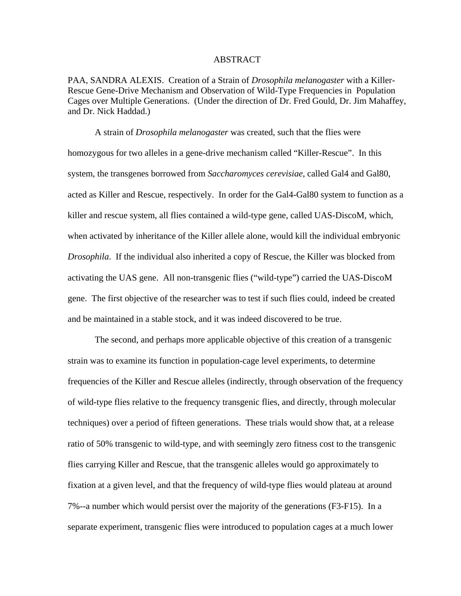#### ABSTRACT

PAA, SANDRA ALEXIS. Creation of a Strain of *Drosophila melanogaster* with a Killer-Rescue Gene-Drive Mechanism and Observation of Wild-Type Frequencies in Population Cages over Multiple Generations. (Under the direction of Dr. Fred Gould, Dr. Jim Mahaffey, and Dr. Nick Haddad.)

A strain of *Drosophila melanogaster* was created, such that the flies were homozygous for two alleles in a gene-drive mechanism called "Killer-Rescue". In this system, the transgenes borrowed from *Saccharomyces cerevisiae*, called Gal4 and Gal80, acted as Killer and Rescue, respectively. In order for the Gal4-Gal80 system to function as a killer and rescue system, all flies contained a wild-type gene, called UAS-DiscoM, which, when activated by inheritance of the Killer allele alone, would kill the individual embryonic *Drosophila*. If the individual also inherited a copy of Rescue, the Killer was blocked from activating the UAS gene. All non-transgenic flies ("wild-type") carried the UAS-DiscoM gene. The first objective of the researcher was to test if such flies could, indeed be created and be maintained in a stable stock, and it was indeed discovered to be true.

The second, and perhaps more applicable objective of this creation of a transgenic strain was to examine its function in population-cage level experiments, to determine frequencies of the Killer and Rescue alleles (indirectly, through observation of the frequency of wild-type flies relative to the frequency transgenic flies, and directly, through molecular techniques) over a period of fifteen generations. These trials would show that, at a release ratio of 50% transgenic to wild-type, and with seemingly zero fitness cost to the transgenic flies carrying Killer and Rescue, that the transgenic alleles would go approximately to fixation at a given level, and that the frequency of wild-type flies would plateau at around 7%--a number which would persist over the majority of the generations (F3-F15). In a separate experiment, transgenic flies were introduced to population cages at a much lower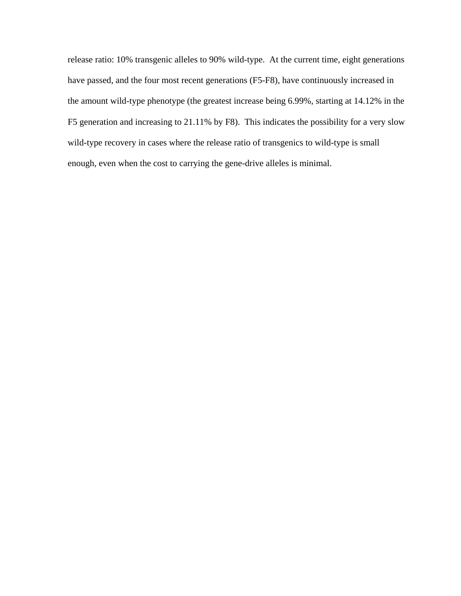release ratio: 10% transgenic alleles to 90% wild-type. At the current time, eight generations have passed, and the four most recent generations (F5-F8), have continuously increased in the amount wild-type phenotype (the greatest increase being 6.99%, starting at 14.12% in the F5 generation and increasing to 21.11% by F8). This indicates the possibility for a very slow wild-type recovery in cases where the release ratio of transgenics to wild-type is small enough, even when the cost to carrying the gene-drive alleles is minimal.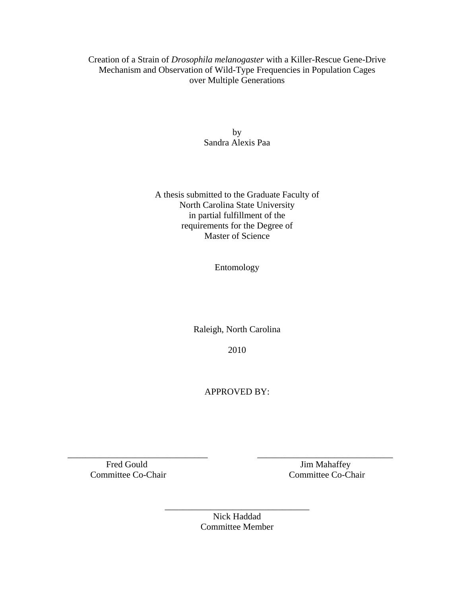# Creation of a Strain of *Drosophila melanogaster* with a Killer-Rescue Gene-Drive Mechanism and Observation of Wild-Type Frequencies in Population Cages over Multiple Generations

by Sandra Alexis Paa

A thesis submitted to the Graduate Faculty of North Carolina State University in partial fulfillment of the requirements for the Degree of Master of Science

Entomology

Raleigh, North Carolina

2010

APPROVED BY:

 $\overline{\phantom{a}}$  , and the contribution of the contribution of  $\overline{\phantom{a}}$  , and  $\overline{\phantom{a}}$  , and  $\overline{\phantom{a}}$  , and  $\overline{\phantom{a}}$  , and  $\overline{\phantom{a}}$  , and  $\overline{\phantom{a}}$  , and  $\overline{\phantom{a}}$  , and  $\overline{\phantom{a}}$  , and  $\overline{\phantom{a}}$  , and Fred Gould Jim Mahaffey Committee Co-Chair Committee Co-Chair

Nick Haddad Committee Member

\_\_\_\_\_\_\_\_\_\_\_\_\_\_\_\_\_\_\_\_\_\_\_\_\_\_\_\_\_\_\_\_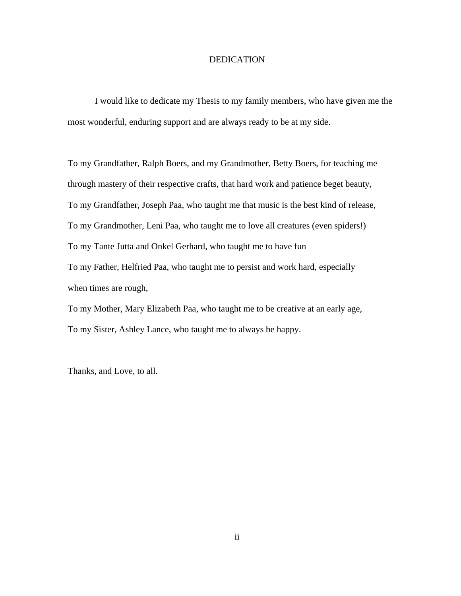# DEDICATION

 I would like to dedicate my Thesis to my family members, who have given me the most wonderful, enduring support and are always ready to be at my side.

To my Grandfather, Ralph Boers, and my Grandmother, Betty Boers, for teaching me through mastery of their respective crafts, that hard work and patience beget beauty, To my Grandfather, Joseph Paa, who taught me that music is the best kind of release, To my Grandmother, Leni Paa, who taught me to love all creatures (even spiders!) To my Tante Jutta and Onkel Gerhard, who taught me to have fun To my Father, Helfried Paa, who taught me to persist and work hard, especially when times are rough,

To my Mother, Mary Elizabeth Paa, who taught me to be creative at an early age, To my Sister, Ashley Lance, who taught me to always be happy.

Thanks, and Love, to all.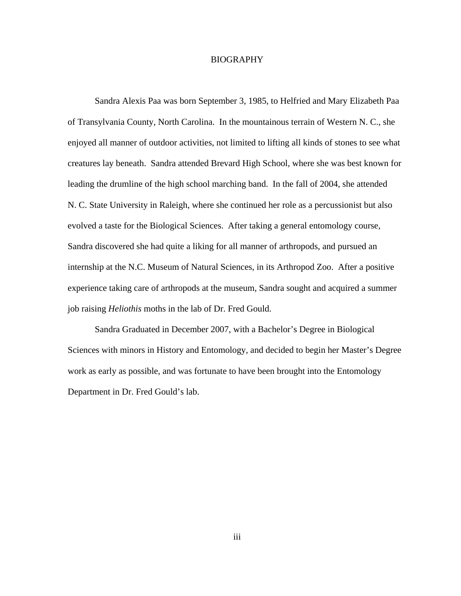# BIOGRAPHY

Sandra Alexis Paa was born September 3, 1985, to Helfried and Mary Elizabeth Paa of Transylvania County, North Carolina. In the mountainous terrain of Western N. C., she enjoyed all manner of outdoor activities, not limited to lifting all kinds of stones to see what creatures lay beneath. Sandra attended Brevard High School, where she was best known for leading the drumline of the high school marching band. In the fall of 2004, she attended N. C. State University in Raleigh, where she continued her role as a percussionist but also evolved a taste for the Biological Sciences. After taking a general entomology course, Sandra discovered she had quite a liking for all manner of arthropods, and pursued an internship at the N.C. Museum of Natural Sciences, in its Arthropod Zoo. After a positive experience taking care of arthropods at the museum, Sandra sought and acquired a summer job raising *Heliothis* moths in the lab of Dr. Fred Gould.

 Sandra Graduated in December 2007, with a Bachelor's Degree in Biological Sciences with minors in History and Entomology, and decided to begin her Master's Degree work as early as possible, and was fortunate to have been brought into the Entomology Department in Dr. Fred Gould's lab.

iii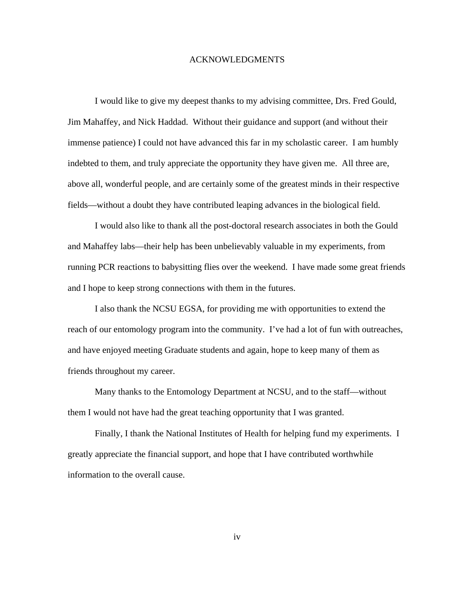# ACKNOWLEDGMENTS

I would like to give my deepest thanks to my advising committee, Drs. Fred Gould, Jim Mahaffey, and Nick Haddad. Without their guidance and support (and without their immense patience) I could not have advanced this far in my scholastic career. I am humbly indebted to them, and truly appreciate the opportunity they have given me. All three are, above all, wonderful people, and are certainly some of the greatest minds in their respective fields—without a doubt they have contributed leaping advances in the biological field.

I would also like to thank all the post-doctoral research associates in both the Gould and Mahaffey labs—their help has been unbelievably valuable in my experiments, from running PCR reactions to babysitting flies over the weekend. I have made some great friends and I hope to keep strong connections with them in the futures.

I also thank the NCSU EGSA, for providing me with opportunities to extend the reach of our entomology program into the community. I've had a lot of fun with outreaches, and have enjoyed meeting Graduate students and again, hope to keep many of them as friends throughout my career.

Many thanks to the Entomology Department at NCSU, and to the staff—without them I would not have had the great teaching opportunity that I was granted.

Finally, I thank the National Institutes of Health for helping fund my experiments. I greatly appreciate the financial support, and hope that I have contributed worthwhile information to the overall cause.

iv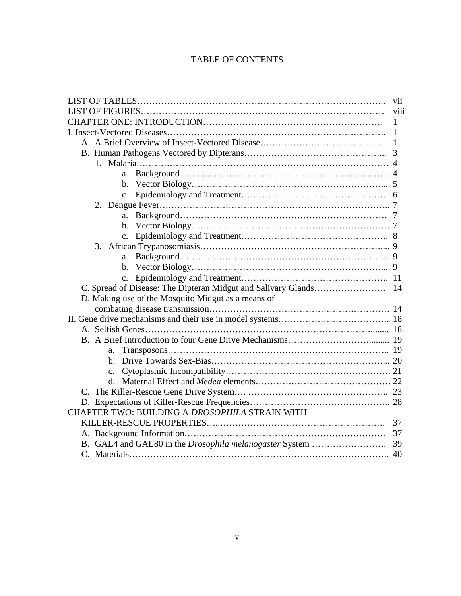# TABLE OF CONTENTS

|                                                    | V11  |
|----------------------------------------------------|------|
|                                                    | viii |
| 1                                                  |      |
| 1                                                  |      |
| 1                                                  |      |
|                                                    |      |
|                                                    |      |
| a.                                                 |      |
|                                                    |      |
|                                                    |      |
|                                                    |      |
| a.                                                 |      |
|                                                    |      |
|                                                    |      |
|                                                    |      |
| a.                                                 |      |
|                                                    |      |
| $c_{\cdot}$                                        |      |
|                                                    |      |
| D. Making use of the Mosquito Midgut as a means of |      |
|                                                    |      |
|                                                    |      |
|                                                    |      |
|                                                    |      |
| a.                                                 |      |
|                                                    |      |
| $\mathbf{c}$ .                                     |      |
| d.                                                 |      |
|                                                    |      |
|                                                    |      |
| CHAPTER TWO: BUILDING A DROSOPHILA STRAIN WITH     |      |
| 37                                                 |      |
|                                                    | 37   |
|                                                    |      |
|                                                    |      |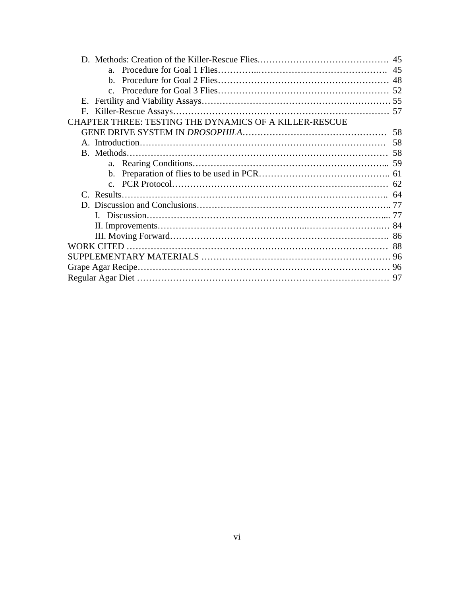| $a_{-}$                                                |  |
|--------------------------------------------------------|--|
|                                                        |  |
| $C_{-}$                                                |  |
|                                                        |  |
|                                                        |  |
| CHAPTER THREE: TESTING THE DYNAMICS OF A KILLER-RESCUE |  |
|                                                        |  |
|                                                        |  |
|                                                        |  |
|                                                        |  |
|                                                        |  |
|                                                        |  |
|                                                        |  |
|                                                        |  |
|                                                        |  |
|                                                        |  |
|                                                        |  |
|                                                        |  |
|                                                        |  |
|                                                        |  |
|                                                        |  |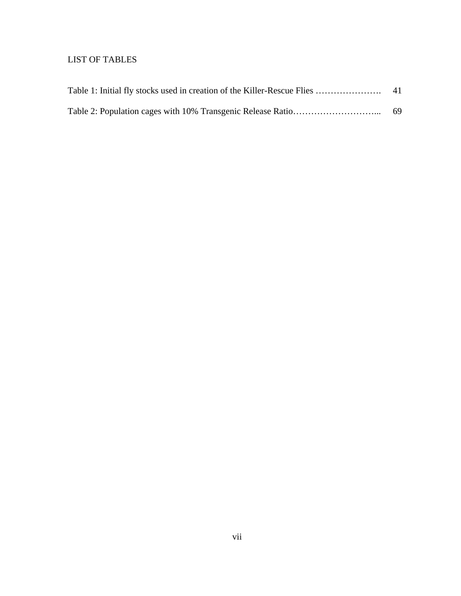# LIST OF TABLES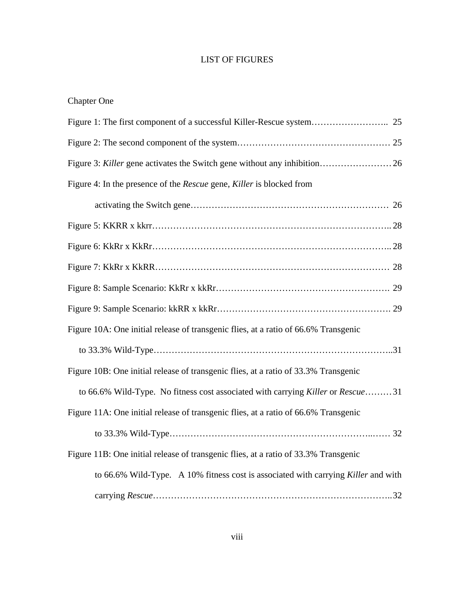# LIST OF FIGURES

| <b>Chapter One</b> |  |
|--------------------|--|
|--------------------|--|

| Figure 4: In the presence of the Rescue gene, Killer is blocked from                |
|-------------------------------------------------------------------------------------|
|                                                                                     |
|                                                                                     |
|                                                                                     |
|                                                                                     |
|                                                                                     |
|                                                                                     |
| Figure 10A: One initial release of transgenic flies, at a ratio of 66.6% Transgenic |
|                                                                                     |
| Figure 10B: One initial release of transgenic flies, at a ratio of 33.3% Transgenic |
| to 66.6% Wild-Type. No fitness cost associated with carrying Killer or Rescue31     |
| Figure 11A: One initial release of transgenic flies, at a ratio of 66.6% Transgenic |
|                                                                                     |
| Figure 11B: One initial release of transgenic flies, at a ratio of 33.3% Transgenic |
| to 66.6% Wild-Type. A 10% fitness cost is associated with carrying Killer and with  |
|                                                                                     |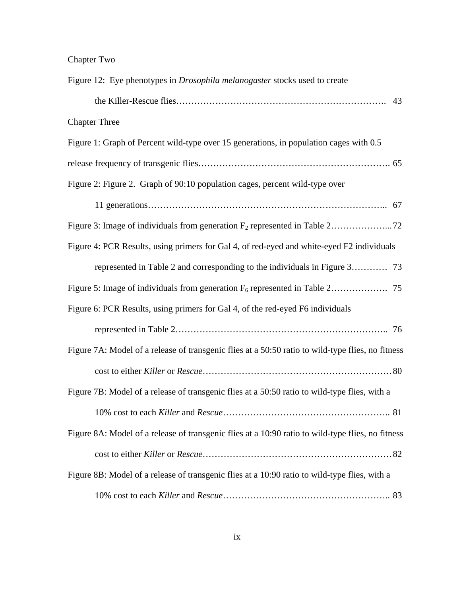| Figure 12: Eye phenotypes in <i>Drosophila melanogaster</i> stocks used to create                 |
|---------------------------------------------------------------------------------------------------|
| 43                                                                                                |
| <b>Chapter Three</b>                                                                              |
| Figure 1: Graph of Percent wild-type over 15 generations, in population cages with 0.5            |
|                                                                                                   |
| Figure 2: Figure 2. Graph of 90:10 population cages, percent wild-type over                       |
|                                                                                                   |
|                                                                                                   |
| Figure 4: PCR Results, using primers for Gal 4, of red-eyed and white-eyed F2 individuals         |
|                                                                                                   |
|                                                                                                   |
| Figure 6: PCR Results, using primers for Gal 4, of the red-eyed F6 individuals                    |
|                                                                                                   |
| Figure 7A: Model of a release of transgenic flies at a 50:50 ratio to wild-type flies, no fitness |
|                                                                                                   |
| Figure 7B: Model of a release of transgenic flies at a 50:50 ratio to wild-type flies, with a     |
| .81                                                                                               |
| Figure 8A: Model of a release of transgenic flies at a 10:90 ratio to wild-type flies, no fitness |
|                                                                                                   |
| Figure 8B: Model of a release of transgenic flies at a 10:90 ratio to wild-type flies, with a     |
|                                                                                                   |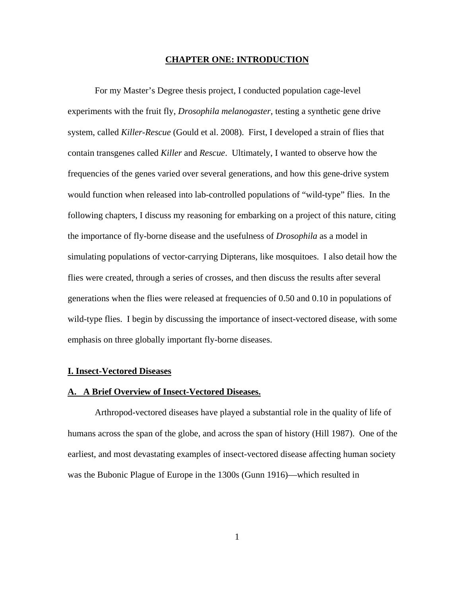## **CHAPTER ONE: INTRODUCTION**

For my Master's Degree thesis project, I conducted population cage-level experiments with the fruit fly, *Drosophila melanogaster*, testing a synthetic gene drive system, called *Killer*-*Rescue* (Gould et al. 2008). First, I developed a strain of flies that contain transgenes called *Killer* and *Rescue*. Ultimately, I wanted to observe how the frequencies of the genes varied over several generations, and how this gene-drive system would function when released into lab-controlled populations of "wild-type" flies. In the following chapters, I discuss my reasoning for embarking on a project of this nature, citing the importance of fly-borne disease and the usefulness of *Drosophila* as a model in simulating populations of vector-carrying Dipterans, like mosquitoes. I also detail how the flies were created, through a series of crosses, and then discuss the results after several generations when the flies were released at frequencies of 0.50 and 0.10 in populations of wild-type flies. I begin by discussing the importance of insect-vectored disease, with some emphasis on three globally important fly-borne diseases.

# **I. Insect-Vectored Diseases**

# **A. A Brief Overview of Insect-Vectored Diseases.**

Arthropod-vectored diseases have played a substantial role in the quality of life of humans across the span of the globe, and across the span of history (Hill 1987). One of the earliest, and most devastating examples of insect-vectored disease affecting human society was the Bubonic Plague of Europe in the 1300s (Gunn 1916)—which resulted in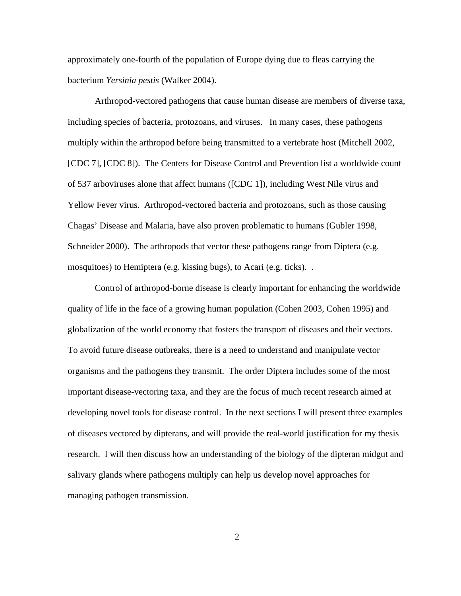approximately one-fourth of the population of Europe dying due to fleas carrying the bacterium *Yersinia pestis* (Walker 2004).

 Arthropod-vectored pathogens that cause human disease are members of diverse taxa, including species of bacteria, protozoans, and viruses. In many cases, these pathogens multiply within the arthropod before being transmitted to a vertebrate host (Mitchell 2002, [CDC 7], [CDC 8]). The Centers for Disease Control and Prevention list a worldwide count of 537 arboviruses alone that affect humans ([CDC 1]), including West Nile virus and Yellow Fever virus. Arthropod-vectored bacteria and protozoans, such as those causing Chagas' Disease and Malaria, have also proven problematic to humans (Gubler 1998, Schneider 2000). The arthropods that vector these pathogens range from Diptera (e.g. mosquitoes) to Hemiptera (e.g. kissing bugs), to Acari (e.g. ticks). .

 Control of arthropod-borne disease is clearly important for enhancing the worldwide quality of life in the face of a growing human population (Cohen 2003, Cohen 1995) and globalization of the world economy that fosters the transport of diseases and their vectors. To avoid future disease outbreaks, there is a need to understand and manipulate vector organisms and the pathogens they transmit. The order Diptera includes some of the most important disease-vectoring taxa, and they are the focus of much recent research aimed at developing novel tools for disease control. In the next sections I will present three examples of diseases vectored by dipterans, and will provide the real-world justification for my thesis research. I will then discuss how an understanding of the biology of the dipteran midgut and salivary glands where pathogens multiply can help us develop novel approaches for managing pathogen transmission.

2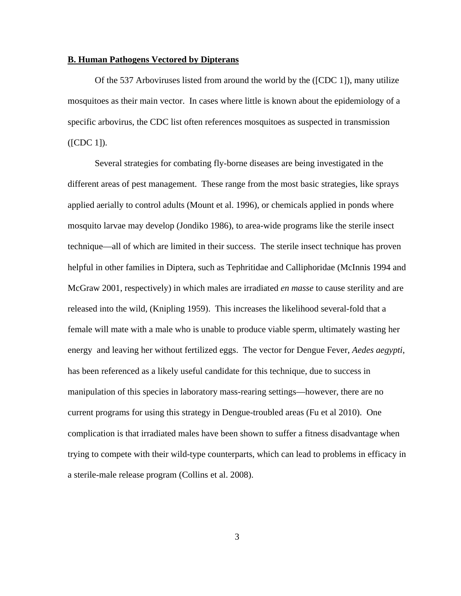# **B. Human Pathogens Vectored by Dipterans**

Of the 537 Arboviruses listed from around the world by the ([CDC 1]), many utilize mosquitoes as their main vector. In cases where little is known about the epidemiology of a specific arbovirus, the CDC list often references mosquitoes as suspected in transmission ([CDC 1]).

Several strategies for combating fly-borne diseases are being investigated in the different areas of pest management. These range from the most basic strategies, like sprays applied aerially to control adults (Mount et al. 1996), or chemicals applied in ponds where mosquito larvae may develop (Jondiko 1986), to area-wide programs like the sterile insect technique—all of which are limited in their success. The sterile insect technique has proven helpful in other families in Diptera, such as Tephritidae and Calliphoridae (McInnis 1994 and McGraw 2001, respectively) in which males are irradiated *en masse* to cause sterility and are released into the wild, (Knipling 1959). This increases the likelihood several-fold that a female will mate with a male who is unable to produce viable sperm, ultimately wasting her energy and leaving her without fertilized eggs. The vector for Dengue Fever, *Aedes aegypti*, has been referenced as a likely useful candidate for this technique, due to success in manipulation of this species in laboratory mass-rearing settings—however, there are no current programs for using this strategy in Dengue-troubled areas (Fu et al 2010). One complication is that irradiated males have been shown to suffer a fitness disadvantage when trying to compete with their wild-type counterparts, which can lead to problems in efficacy in a sterile-male release program (Collins et al. 2008).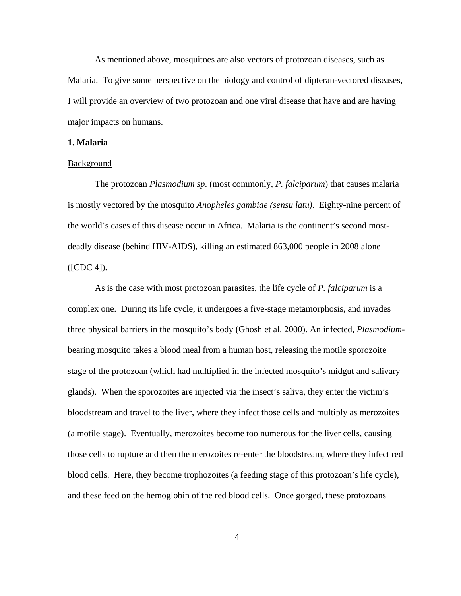As mentioned above, mosquitoes are also vectors of protozoan diseases, such as Malaria. To give some perspective on the biology and control of dipteran-vectored diseases, I will provide an overview of two protozoan and one viral disease that have and are having major impacts on humans.

## **1. Malaria**

# Background

The protozoan *Plasmodium sp*. (most commonly, *P. falciparum*) that causes malaria is mostly vectored by the mosquito *Anopheles gambiae (sensu latu)*. Eighty-nine percent of the world's cases of this disease occur in Africa. Malaria is the continent's second mostdeadly disease (behind HIV-AIDS), killing an estimated 863,000 people in 2008 alone ([CDC 4]).

As is the case with most protozoan parasites, the life cycle of *P. falciparum* is a complex one. During its life cycle, it undergoes a five-stage metamorphosis, and invades three physical barriers in the mosquito's body (Ghosh et al. 2000). An infected, *Plasmodium*bearing mosquito takes a blood meal from a human host, releasing the motile sporozoite stage of the protozoan (which had multiplied in the infected mosquito's midgut and salivary glands). When the sporozoites are injected via the insect's saliva, they enter the victim's bloodstream and travel to the liver, where they infect those cells and multiply as merozoites (a motile stage). Eventually, merozoites become too numerous for the liver cells, causing those cells to rupture and then the merozoites re-enter the bloodstream, where they infect red blood cells. Here, they become trophozoites (a feeding stage of this protozoan's life cycle), and these feed on the hemoglobin of the red blood cells. Once gorged, these protozoans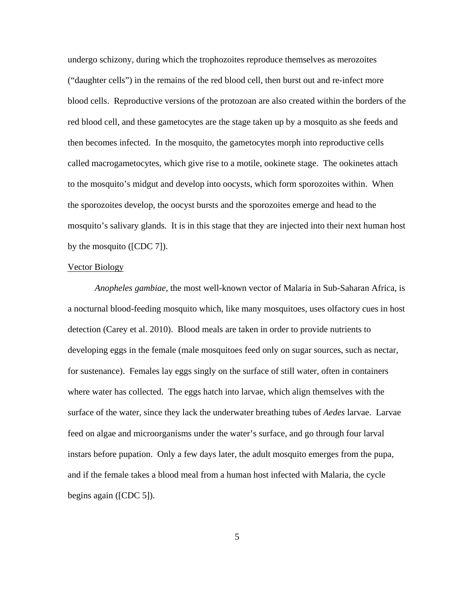undergo schizony, during which the trophozoites reproduce themselves as merozoites ("daughter cells") in the remains of the red blood cell, then burst out and re-infect more blood cells. Reproductive versions of the protozoan are also created within the borders of the red blood cell, and these gametocytes are the stage taken up by a mosquito as she feeds and then becomes infected. In the mosquito, the gametocytes morph into reproductive cells called macrogametocytes, which give rise to a motile, ookinete stage. The ookinetes attach to the mosquito's midgut and develop into oocysts, which form sporozoites within. When the sporozoites develop, the oocyst bursts and the sporozoites emerge and head to the mosquito's salivary glands. It is in this stage that they are injected into their next human host by the mosquito ([CDC 7]).

## Vector Biology

*Anopheles gambiae*, the most well-known vector of Malaria in Sub-Saharan Africa, is a nocturnal blood-feeding mosquito which, like many mosquitoes, uses olfactory cues in host detection (Carey et al. 2010). Blood meals are taken in order to provide nutrients to developing eggs in the female (male mosquitoes feed only on sugar sources, such as nectar, for sustenance). Females lay eggs singly on the surface of still water, often in containers where water has collected. The eggs hatch into larvae, which align themselves with the surface of the water, since they lack the underwater breathing tubes of *Aedes* larvae. Larvae feed on algae and microorganisms under the water's surface, and go through four larval instars before pupation. Only a few days later, the adult mosquito emerges from the pupa, and if the female takes a blood meal from a human host infected with Malaria, the cycle begins again ([CDC 5]).

5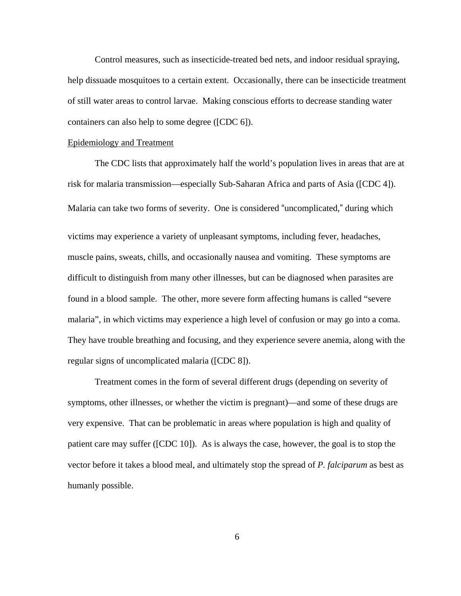Control measures, such as insecticide-treated bed nets, and indoor residual spraying, help dissuade mosquitoes to a certain extent. Occasionally, there can be insecticide treatment of still water areas to control larvae. Making conscious efforts to decrease standing water containers can also help to some degree ([CDC 6]).

## Epidemiology and Treatment

 The CDC lists that approximately half the world's population lives in areas that are at risk for malaria transmission—especially Sub-Saharan Africa and parts of Asia ([CDC 4]). Malaria can take two forms of severity. One is considered "uncomplicated," during which victims may experience a variety of unpleasant symptoms, including fever, headaches, muscle pains, sweats, chills, and occasionally nausea and vomiting. These symptoms are difficult to distinguish from many other illnesses, but can be diagnosed when parasites are found in a blood sample. The other, more severe form affecting humans is called "severe malaria", in which victims may experience a high level of confusion or may go into a coma. They have trouble breathing and focusing, and they experience severe anemia, along with the regular signs of uncomplicated malaria ([CDC 8]).

 Treatment comes in the form of several different drugs (depending on severity of symptoms, other illnesses, or whether the victim is pregnant)—and some of these drugs are very expensive. That can be problematic in areas where population is high and quality of patient care may suffer ([CDC 10]). As is always the case, however, the goal is to stop the vector before it takes a blood meal, and ultimately stop the spread of *P. falciparum* as best as humanly possible.

6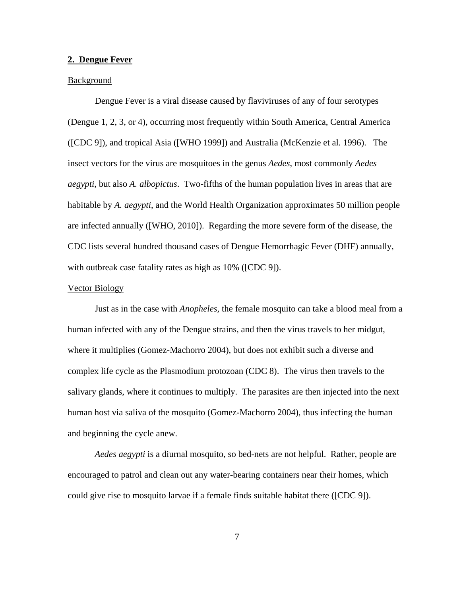## **2. Dengue Fever**

# Background

 Dengue Fever is a viral disease caused by flaviviruses of any of four serotypes (Dengue 1, 2, 3, or 4), occurring most frequently within South America, Central America ([CDC 9]), and tropical Asia ([WHO 1999]) and Australia (McKenzie et al. 1996). The insect vectors for the virus are mosquitoes in the genus *Aedes*, most commonly *Aedes aegypti*, but also *A. albopictus*. Two-fifths of the human population lives in areas that are habitable by *A. aegypti*, and the World Health Organization approximates 50 million people are infected annually ([WHO, 2010]). Regarding the more severe form of the disease, the CDC lists several hundred thousand cases of Dengue Hemorrhagic Fever (DHF) annually, with outbreak case fatality rates as high as  $10\%$  ([CDC 9]).

#### Vector Biology

Just as in the case with *Anopheles,* the female mosquito can take a blood meal from a human infected with any of the Dengue strains, and then the virus travels to her midgut, where it multiplies (Gomez-Machorro 2004), but does not exhibit such a diverse and complex life cycle as the Plasmodium protozoan (CDC 8). The virus then travels to the salivary glands, where it continues to multiply. The parasites are then injected into the next human host via saliva of the mosquito (Gomez-Machorro 2004), thus infecting the human and beginning the cycle anew.

*Aedes aegypti* is a diurnal mosquito, so bed-nets are not helpful. Rather, people are encouraged to patrol and clean out any water-bearing containers near their homes, which could give rise to mosquito larvae if a female finds suitable habitat there ([CDC 9]).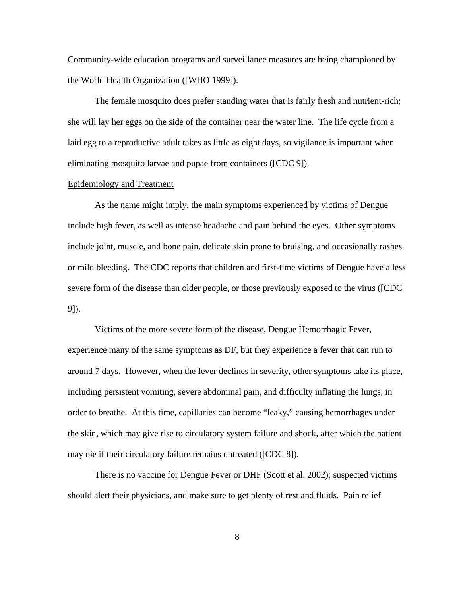Community-wide education programs and surveillance measures are being championed by the World Health Organization ([WHO 1999]).

The female mosquito does prefer standing water that is fairly fresh and nutrient-rich; she will lay her eggs on the side of the container near the water line. The life cycle from a laid egg to a reproductive adult takes as little as eight days, so vigilance is important when eliminating mosquito larvae and pupae from containers ([CDC 9]).

# Epidemiology and Treatment

As the name might imply, the main symptoms experienced by victims of Dengue include high fever, as well as intense headache and pain behind the eyes. Other symptoms include joint, muscle, and bone pain, delicate skin prone to bruising, and occasionally rashes or mild bleeding. The CDC reports that children and first-time victims of Dengue have a less severe form of the disease than older people, or those previously exposed to the virus ([CDC 9]).

Victims of the more severe form of the disease, Dengue Hemorrhagic Fever, experience many of the same symptoms as DF, but they experience a fever that can run to around 7 days. However, when the fever declines in severity, other symptoms take its place, including persistent vomiting, severe abdominal pain, and difficulty inflating the lungs, in order to breathe. At this time, capillaries can become "leaky," causing hemorrhages under the skin, which may give rise to circulatory system failure and shock, after which the patient may die if their circulatory failure remains untreated ([CDC 8]).

There is no vaccine for Dengue Fever or DHF (Scott et al. 2002); suspected victims should alert their physicians, and make sure to get plenty of rest and fluids. Pain relief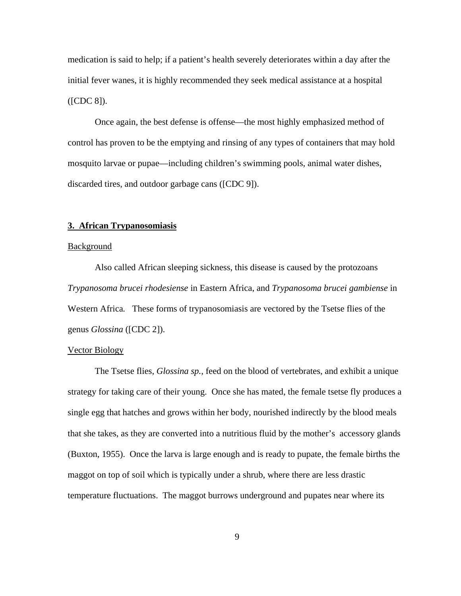medication is said to help; if a patient's health severely deteriorates within a day after the initial fever wanes, it is highly recommended they seek medical assistance at a hospital ([CDC 8]).

Once again, the best defense is offense—the most highly emphasized method of control has proven to be the emptying and rinsing of any types of containers that may hold mosquito larvae or pupae—including children's swimming pools, animal water dishes, discarded tires, and outdoor garbage cans ([CDC 9]).

# **3. African Trypanosomiasis**

#### **Background**

Also called African sleeping sickness, this disease is caused by the protozoans *Trypanosoma brucei rhodesiense* in Eastern Africa, and *Trypanosoma brucei gambiense* in Western Africa*.* These forms of trypanosomiasis are vectored by the Tsetse flies of the genus *Glossina* ([CDC 2]).

# Vector Biology

The Tsetse flies, *Glossina sp.*, feed on the blood of vertebrates, and exhibit a unique strategy for taking care of their young. Once she has mated, the female tsetse fly produces a single egg that hatches and grows within her body, nourished indirectly by the blood meals that she takes, as they are converted into a nutritious fluid by the mother's accessory glands (Buxton, 1955). Once the larva is large enough and is ready to pupate, the female births the maggot on top of soil which is typically under a shrub, where there are less drastic temperature fluctuations. The maggot burrows underground and pupates near where its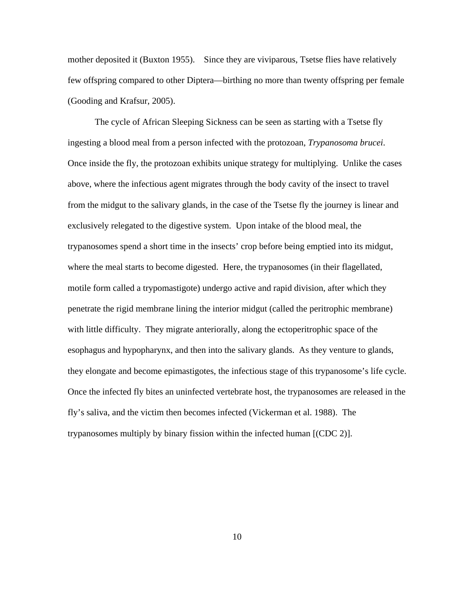mother deposited it (Buxton 1955). Since they are viviparous, Tsetse flies have relatively few offspring compared to other Diptera—birthing no more than twenty offspring per female (Gooding and Krafsur, 2005).

The cycle of African Sleeping Sickness can be seen as starting with a Tsetse fly ingesting a blood meal from a person infected with the protozoan, *Trypanosoma brucei*. Once inside the fly, the protozoan exhibits unique strategy for multiplying. Unlike the cases above, where the infectious agent migrates through the body cavity of the insect to travel from the midgut to the salivary glands, in the case of the Tsetse fly the journey is linear and exclusively relegated to the digestive system. Upon intake of the blood meal, the trypanosomes spend a short time in the insects' crop before being emptied into its midgut, where the meal starts to become digested. Here, the trypanosomes (in their flagellated, motile form called a trypomastigote) undergo active and rapid division, after which they penetrate the rigid membrane lining the interior midgut (called the peritrophic membrane) with little difficulty. They migrate anteriorally, along the ectoperitrophic space of the esophagus and hypopharynx, and then into the salivary glands. As they venture to glands, they elongate and become epimastigotes, the infectious stage of this trypanosome's life cycle. Once the infected fly bites an uninfected vertebrate host, the trypanosomes are released in the fly's saliva, and the victim then becomes infected (Vickerman et al. 1988). The trypanosomes multiply by binary fission within the infected human [(CDC 2)].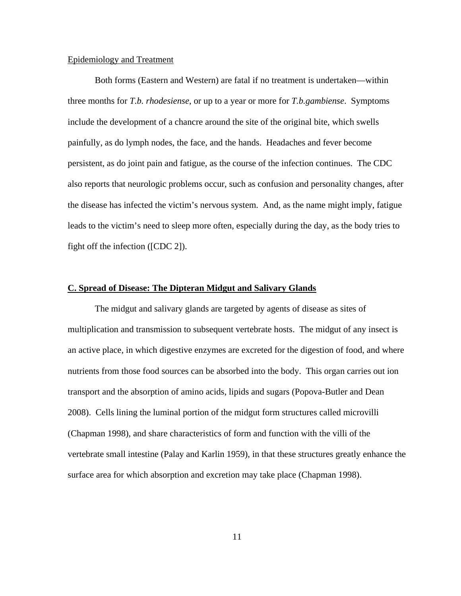# Epidemiology and Treatment

Both forms (Eastern and Western) are fatal if no treatment is undertaken—within three months for *T.b. rhodesiense*, or up to a year or more for *T.b.gambiense*. Symptoms include the development of a chancre around the site of the original bite, which swells painfully, as do lymph nodes, the face, and the hands. Headaches and fever become persistent, as do joint pain and fatigue, as the course of the infection continues. The CDC also reports that neurologic problems occur, such as confusion and personality changes, after the disease has infected the victim's nervous system. And, as the name might imply, fatigue leads to the victim's need to sleep more often, especially during the day, as the body tries to fight off the infection ([CDC 2]).

# **C. Spread of Disease: The Dipteran Midgut and Salivary Glands**

 The midgut and salivary glands are targeted by agents of disease as sites of multiplication and transmission to subsequent vertebrate hosts. The midgut of any insect is an active place, in which digestive enzymes are excreted for the digestion of food, and where nutrients from those food sources can be absorbed into the body. This organ carries out ion transport and the absorption of amino acids, lipids and sugars (Popova-Butler and Dean 2008). Cells lining the luminal portion of the midgut form structures called microvilli (Chapman 1998), and share characteristics of form and function with the villi of the vertebrate small intestine (Palay and Karlin 1959), in that these structures greatly enhance the surface area for which absorption and excretion may take place (Chapman 1998).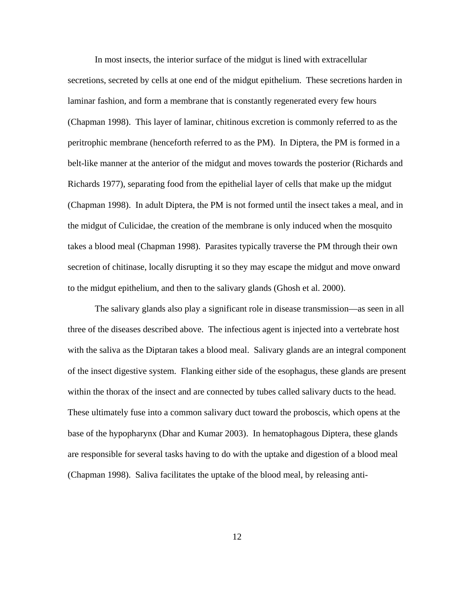In most insects, the interior surface of the midgut is lined with extracellular secretions, secreted by cells at one end of the midgut epithelium. These secretions harden in laminar fashion, and form a membrane that is constantly regenerated every few hours (Chapman 1998). This layer of laminar, chitinous excretion is commonly referred to as the peritrophic membrane (henceforth referred to as the PM). In Diptera, the PM is formed in a belt-like manner at the anterior of the midgut and moves towards the posterior (Richards and Richards 1977), separating food from the epithelial layer of cells that make up the midgut (Chapman 1998). In adult Diptera, the PM is not formed until the insect takes a meal, and in the midgut of Culicidae, the creation of the membrane is only induced when the mosquito takes a blood meal (Chapman 1998). Parasites typically traverse the PM through their own secretion of chitinase, locally disrupting it so they may escape the midgut and move onward to the midgut epithelium, and then to the salivary glands (Ghosh et al. 2000).

 The salivary glands also play a significant role in disease transmission—as seen in all three of the diseases described above. The infectious agent is injected into a vertebrate host with the saliva as the Diptaran takes a blood meal. Salivary glands are an integral component of the insect digestive system. Flanking either side of the esophagus, these glands are present within the thorax of the insect and are connected by tubes called salivary ducts to the head. These ultimately fuse into a common salivary duct toward the proboscis, which opens at the base of the hypopharynx (Dhar and Kumar 2003). In hematophagous Diptera, these glands are responsible for several tasks having to do with the uptake and digestion of a blood meal (Chapman 1998). Saliva facilitates the uptake of the blood meal, by releasing anti-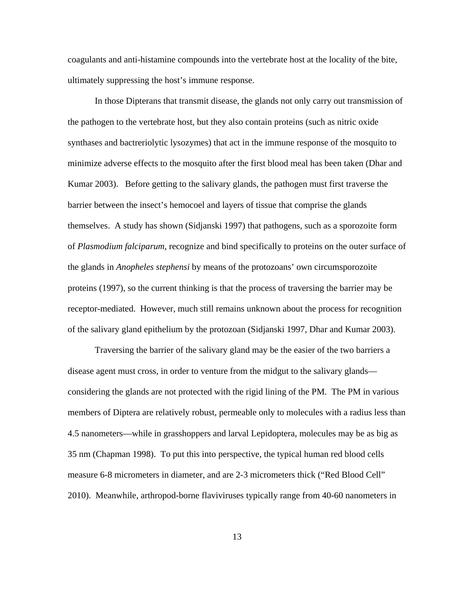coagulants and anti-histamine compounds into the vertebrate host at the locality of the bite, ultimately suppressing the host's immune response.

 In those Dipterans that transmit disease, the glands not only carry out transmission of the pathogen to the vertebrate host, but they also contain proteins (such as nitric oxide synthases and bactreriolytic lysozymes) that act in the immune response of the mosquito to minimize adverse effects to the mosquito after the first blood meal has been taken (Dhar and Kumar 2003). Before getting to the salivary glands, the pathogen must first traverse the barrier between the insect's hemocoel and layers of tissue that comprise the glands themselves. A study has shown (Sidjanski 1997) that pathogens, such as a sporozoite form of *Plasmodium falciparum*, recognize and bind specifically to proteins on the outer surface of the glands in *Anopheles stephensi* by means of the protozoans' own circumsporozoite proteins (1997), so the current thinking is that the process of traversing the barrier may be receptor-mediated. However, much still remains unknown about the process for recognition of the salivary gland epithelium by the protozoan (Sidjanski 1997, Dhar and Kumar 2003).

 Traversing the barrier of the salivary gland may be the easier of the two barriers a disease agent must cross, in order to venture from the midgut to the salivary glands considering the glands are not protected with the rigid lining of the PM. The PM in various members of Diptera are relatively robust, permeable only to molecules with a radius less than 4.5 nanometers—while in grasshoppers and larval Lepidoptera, molecules may be as big as 35 nm (Chapman 1998). To put this into perspective, the typical human red blood cells measure 6-8 micrometers in diameter, and are 2-3 micrometers thick ("Red Blood Cell" 2010). Meanwhile, arthropod-borne flaviviruses typically range from 40-60 nanometers in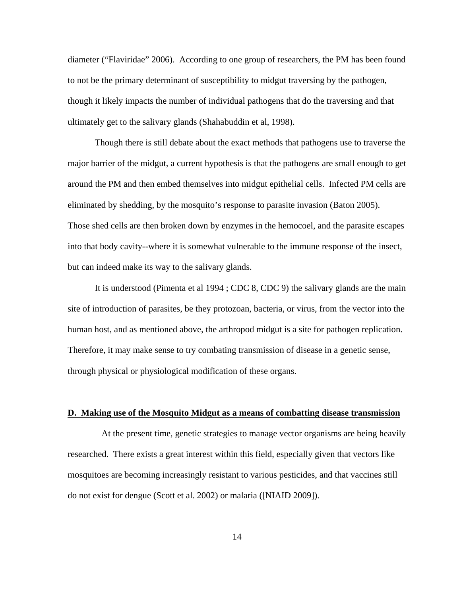diameter ("Flaviridae" 2006). According to one group of researchers, the PM has been found to not be the primary determinant of susceptibility to midgut traversing by the pathogen, though it likely impacts the number of individual pathogens that do the traversing and that ultimately get to the salivary glands (Shahabuddin et al, 1998).

Though there is still debate about the exact methods that pathogens use to traverse the major barrier of the midgut, a current hypothesis is that the pathogens are small enough to get around the PM and then embed themselves into midgut epithelial cells. Infected PM cells are eliminated by shedding, by the mosquito's response to parasite invasion (Baton 2005). Those shed cells are then broken down by enzymes in the hemocoel, and the parasite escapes into that body cavity--where it is somewhat vulnerable to the immune response of the insect, but can indeed make its way to the salivary glands.

It is understood (Pimenta et al 1994 ; CDC 8, CDC 9) the salivary glands are the main site of introduction of parasites, be they protozoan, bacteria, or virus, from the vector into the human host, and as mentioned above, the arthropod midgut is a site for pathogen replication. Therefore, it may make sense to try combating transmission of disease in a genetic sense, through physical or physiological modification of these organs.

#### **D. Making use of the Mosquito Midgut as a means of combatting disease transmission**

 At the present time, genetic strategies to manage vector organisms are being heavily researched. There exists a great interest within this field, especially given that vectors like mosquitoes are becoming increasingly resistant to various pesticides, and that vaccines still do not exist for dengue (Scott et al. 2002) or malaria ([NIAID 2009]).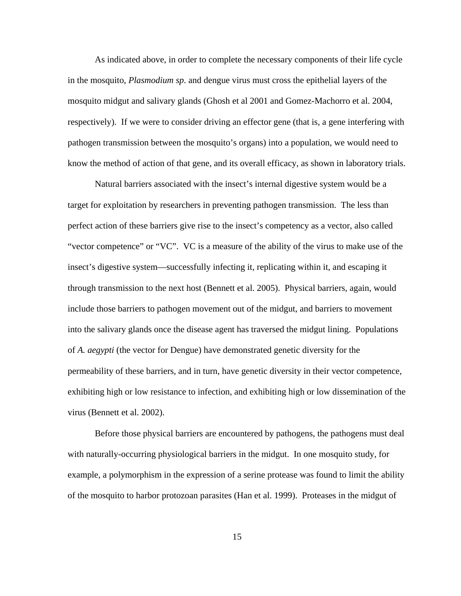As indicated above, in order to complete the necessary components of their life cycle in the mosquito, *Plasmodium sp*. and dengue virus must cross the epithelial layers of the mosquito midgut and salivary glands (Ghosh et al 2001 and Gomez-Machorro et al. 2004, respectively). If we were to consider driving an effector gene (that is, a gene interfering with pathogen transmission between the mosquito's organs) into a population, we would need to know the method of action of that gene, and its overall efficacy, as shown in laboratory trials.

Natural barriers associated with the insect's internal digestive system would be a target for exploitation by researchers in preventing pathogen transmission. The less than perfect action of these barriers give rise to the insect's competency as a vector, also called "vector competence" or "VC". VC is a measure of the ability of the virus to make use of the insect's digestive system—successfully infecting it, replicating within it, and escaping it through transmission to the next host (Bennett et al. 2005). Physical barriers, again, would include those barriers to pathogen movement out of the midgut, and barriers to movement into the salivary glands once the disease agent has traversed the midgut lining. Populations of *A. aegypti* (the vector for Dengue) have demonstrated genetic diversity for the permeability of these barriers, and in turn, have genetic diversity in their vector competence, exhibiting high or low resistance to infection, and exhibiting high or low dissemination of the virus (Bennett et al. 2002).

Before those physical barriers are encountered by pathogens, the pathogens must deal with naturally-occurring physiological barriers in the midgut. In one mosquito study, for example, a polymorphism in the expression of a serine protease was found to limit the ability of the mosquito to harbor protozoan parasites (Han et al. 1999). Proteases in the midgut of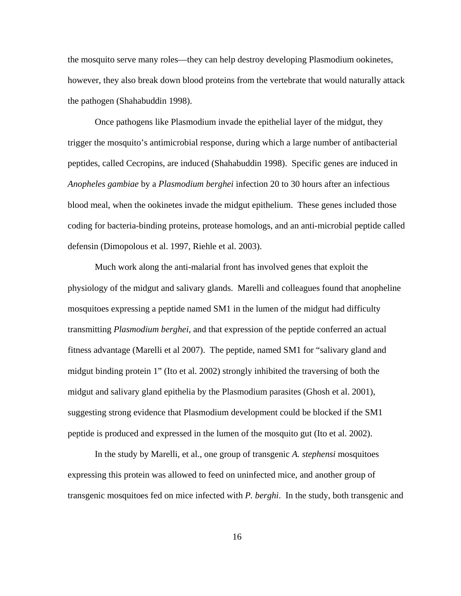the mosquito serve many roles—they can help destroy developing Plasmodium ookinetes, however, they also break down blood proteins from the vertebrate that would naturally attack the pathogen (Shahabuddin 1998).

Once pathogens like Plasmodium invade the epithelial layer of the midgut, they trigger the mosquito's antimicrobial response, during which a large number of antibacterial peptides, called Cecropins, are induced (Shahabuddin 1998). Specific genes are induced in *Anopheles gambiae* by a *Plasmodium berghei* infection 20 to 30 hours after an infectious blood meal, when the ookinetes invade the midgut epithelium. These genes included those coding for bacteria-binding proteins, protease homologs, and an anti-microbial peptide called defensin (Dimopolous et al. 1997, Riehle et al. 2003).

Much work along the anti-malarial front has involved genes that exploit the physiology of the midgut and salivary glands. Marelli and colleagues found that anopheline mosquitoes expressing a peptide named SM1 in the lumen of the midgut had difficulty transmitting *Plasmodium berghei*, and that expression of the peptide conferred an actual fitness advantage (Marelli et al 2007). The peptide, named SM1 for "salivary gland and midgut binding protein 1" (Ito et al. 2002) strongly inhibited the traversing of both the midgut and salivary gland epithelia by the Plasmodium parasites (Ghosh et al. 2001), suggesting strong evidence that Plasmodium development could be blocked if the SM1 peptide is produced and expressed in the lumen of the mosquito gut (Ito et al. 2002).

In the study by Marelli, et al., one group of transgenic *A. stephensi* mosquitoes expressing this protein was allowed to feed on uninfected mice, and another group of transgenic mosquitoes fed on mice infected with *P. berghi*. In the study, both transgenic and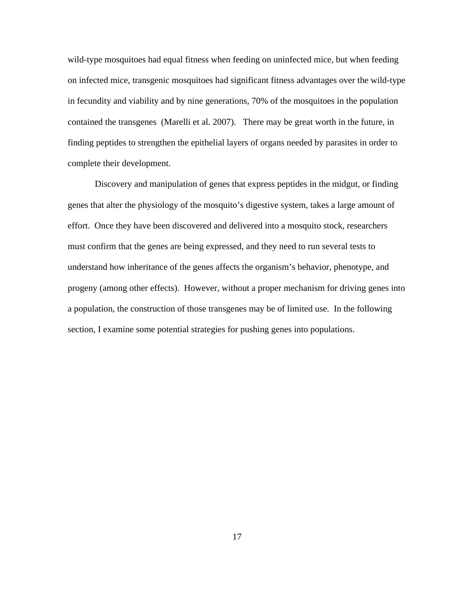wild-type mosquitoes had equal fitness when feeding on uninfected mice, but when feeding on infected mice, transgenic mosquitoes had significant fitness advantages over the wild-type in fecundity and viability and by nine generations, 70% of the mosquitoes in the population contained the transgenes (Marelli et al. 2007). There may be great worth in the future, in finding peptides to strengthen the epithelial layers of organs needed by parasites in order to complete their development.

Discovery and manipulation of genes that express peptides in the midgut, or finding genes that alter the physiology of the mosquito's digestive system, takes a large amount of effort. Once they have been discovered and delivered into a mosquito stock, researchers must confirm that the genes are being expressed, and they need to run several tests to understand how inheritance of the genes affects the organism's behavior, phenotype, and progeny (among other effects). However, without a proper mechanism for driving genes into a population, the construction of those transgenes may be of limited use. In the following section, I examine some potential strategies for pushing genes into populations.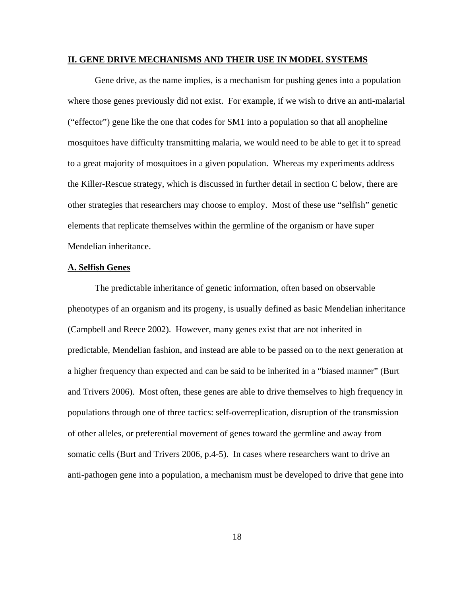#### **II. GENE DRIVE MECHANISMS AND THEIR USE IN MODEL SYSTEMS**

Gene drive, as the name implies, is a mechanism for pushing genes into a population where those genes previously did not exist. For example, if we wish to drive an anti-malarial ("effector") gene like the one that codes for SM1 into a population so that all anopheline mosquitoes have difficulty transmitting malaria, we would need to be able to get it to spread to a great majority of mosquitoes in a given population. Whereas my experiments address the Killer-Rescue strategy, which is discussed in further detail in section C below, there are other strategies that researchers may choose to employ. Most of these use "selfish" genetic elements that replicate themselves within the germline of the organism or have super Mendelian inheritance.

#### **A. Selfish Genes**

 The predictable inheritance of genetic information, often based on observable phenotypes of an organism and its progeny, is usually defined as basic Mendelian inheritance (Campbell and Reece 2002). However, many genes exist that are not inherited in predictable, Mendelian fashion, and instead are able to be passed on to the next generation at a higher frequency than expected and can be said to be inherited in a "biased manner" (Burt and Trivers 2006). Most often, these genes are able to drive themselves to high frequency in populations through one of three tactics: self-overreplication, disruption of the transmission of other alleles, or preferential movement of genes toward the germline and away from somatic cells (Burt and Trivers 2006, p.4-5). In cases where researchers want to drive an anti-pathogen gene into a population, a mechanism must be developed to drive that gene into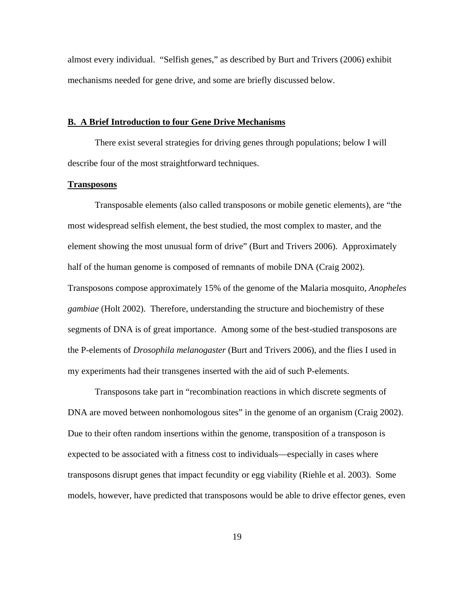almost every individual. "Selfish genes," as described by Burt and Trivers (2006) exhibit mechanisms needed for gene drive, and some are briefly discussed below.

#### **B. A Brief Introduction to four Gene Drive Mechanisms**

 There exist several strategies for driving genes through populations; below I will describe four of the most straightforward techniques.

### **Transposons**

 Transposable elements (also called transposons or mobile genetic elements), are "the most widespread selfish element, the best studied, the most complex to master, and the element showing the most unusual form of drive" (Burt and Trivers 2006). Approximately half of the human genome is composed of remnants of mobile DNA (Craig 2002). Transposons compose approximately 15% of the genome of the Malaria mosquito, *Anopheles gambiae* (Holt 2002). Therefore, understanding the structure and biochemistry of these segments of DNA is of great importance. Among some of the best-studied transposons are the P-elements of *Drosophila melanogaster* (Burt and Trivers 2006), and the flies I used in my experiments had their transgenes inserted with the aid of such P-elements.

 Transposons take part in "recombination reactions in which discrete segments of DNA are moved between nonhomologous sites" in the genome of an organism (Craig 2002). Due to their often random insertions within the genome, transposition of a transposon is expected to be associated with a fitness cost to individuals—especially in cases where transposons disrupt genes that impact fecundity or egg viability (Riehle et al. 2003). Some models, however, have predicted that transposons would be able to drive effector genes, even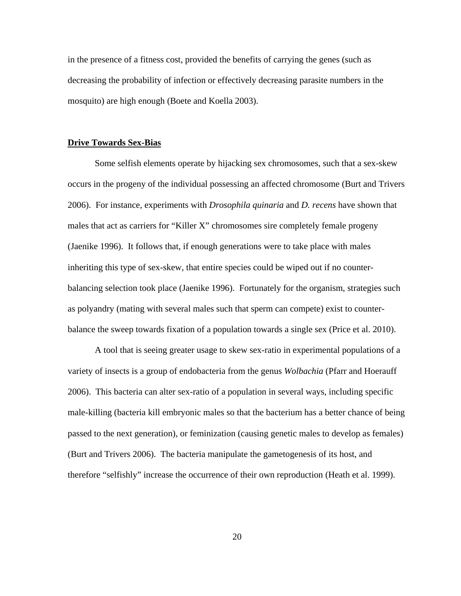in the presence of a fitness cost, provided the benefits of carrying the genes (such as decreasing the probability of infection or effectively decreasing parasite numbers in the mosquito) are high enough (Boete and Koella 2003).

#### **Drive Towards Sex-Bias**

 Some selfish elements operate by hijacking sex chromosomes, such that a sex-skew occurs in the progeny of the individual possessing an affected chromosome (Burt and Trivers 2006). For instance, experiments with *Drosophila quinaria* and *D. recens* have shown that males that act as carriers for "Killer X" chromosomes sire completely female progeny (Jaenike 1996). It follows that, if enough generations were to take place with males inheriting this type of sex-skew, that entire species could be wiped out if no counterbalancing selection took place (Jaenike 1996). Fortunately for the organism, strategies such as polyandry (mating with several males such that sperm can compete) exist to counterbalance the sweep towards fixation of a population towards a single sex (Price et al. 2010).

 A tool that is seeing greater usage to skew sex-ratio in experimental populations of a variety of insects is a group of endobacteria from the genus *Wolbachia* (Pfarr and Hoerauff 2006). This bacteria can alter sex-ratio of a population in several ways, including specific male-killing (bacteria kill embryonic males so that the bacterium has a better chance of being passed to the next generation), or feminization (causing genetic males to develop as females) (Burt and Trivers 2006). The bacteria manipulate the gametogenesis of its host, and therefore "selfishly" increase the occurrence of their own reproduction (Heath et al. 1999).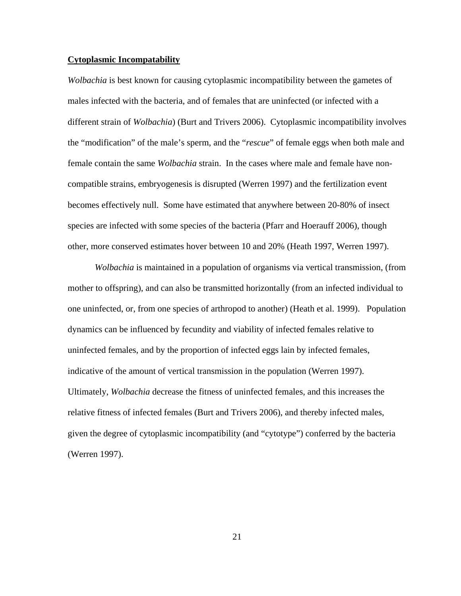## **Cytoplasmic Incompatability**

*Wolbachia* is best known for causing cytoplasmic incompatibility between the gametes of males infected with the bacteria, and of females that are uninfected (or infected with a different strain of *Wolbachia*) (Burt and Trivers 2006). Cytoplasmic incompatibility involves the "modification" of the male's sperm, and the "*rescue*" of female eggs when both male and female contain the same *Wolbachia* strain. In the cases where male and female have noncompatible strains, embryogenesis is disrupted (Werren 1997) and the fertilization event becomes effectively null. Some have estimated that anywhere between 20-80% of insect species are infected with some species of the bacteria (Pfarr and Hoerauff 2006), though other, more conserved estimates hover between 10 and 20% (Heath 1997, Werren 1997).

*Wolbachia* is maintained in a population of organisms via vertical transmission, (from mother to offspring), and can also be transmitted horizontally (from an infected individual to one uninfected, or, from one species of arthropod to another) (Heath et al. 1999). Population dynamics can be influenced by fecundity and viability of infected females relative to uninfected females, and by the proportion of infected eggs lain by infected females, indicative of the amount of vertical transmission in the population (Werren 1997). Ultimately, *Wolbachia* decrease the fitness of uninfected females, and this increases the relative fitness of infected females (Burt and Trivers 2006), and thereby infected males, given the degree of cytoplasmic incompatibility (and "cytotype") conferred by the bacteria (Werren 1997).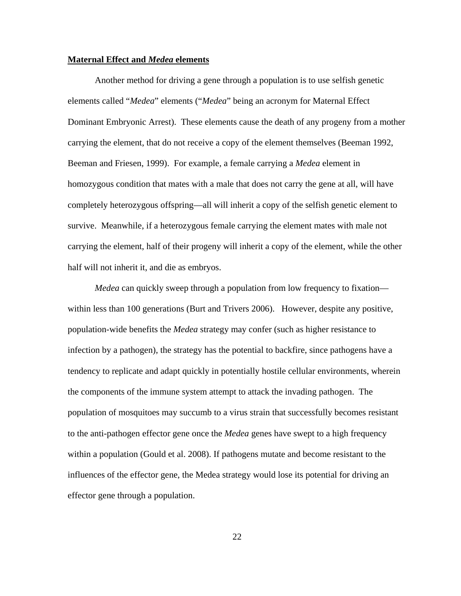## **Maternal Effect and** *Medea* **elements**

 Another method for driving a gene through a population is to use selfish genetic elements called "*Medea*" elements ("*Medea*" being an acronym for Maternal Effect Dominant Embryonic Arrest). These elements cause the death of any progeny from a mother carrying the element, that do not receive a copy of the element themselves (Beeman 1992, Beeman and Friesen, 1999). For example, a female carrying a *Medea* element in homozygous condition that mates with a male that does not carry the gene at all, will have completely heterozygous offspring—all will inherit a copy of the selfish genetic element to survive. Meanwhile, if a heterozygous female carrying the element mates with male not carrying the element, half of their progeny will inherit a copy of the element, while the other half will not inherit it, and die as embryos.

*Medea* can quickly sweep through a population from low frequency to fixation within less than 100 generations (Burt and Trivers 2006). However, despite any positive, population-wide benefits the *Medea* strategy may confer (such as higher resistance to infection by a pathogen), the strategy has the potential to backfire, since pathogens have a tendency to replicate and adapt quickly in potentially hostile cellular environments, wherein the components of the immune system attempt to attack the invading pathogen. The population of mosquitoes may succumb to a virus strain that successfully becomes resistant to the anti-pathogen effector gene once the *Medea* genes have swept to a high frequency within a population (Gould et al. 2008). If pathogens mutate and become resistant to the influences of the effector gene, the Medea strategy would lose its potential for driving an effector gene through a population.

22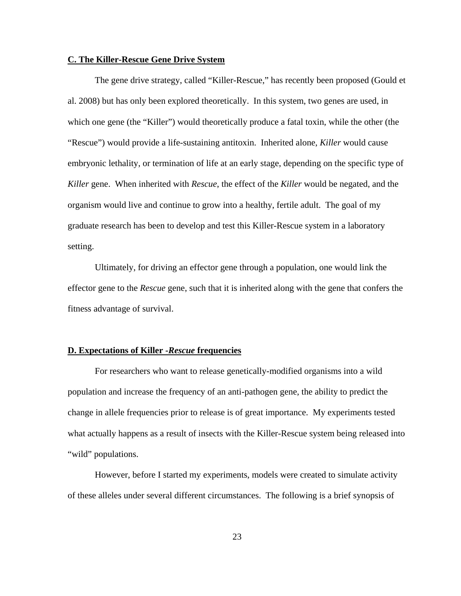# **C. The Killer-Rescue Gene Drive System**

The gene drive strategy, called "Killer-Rescue," has recently been proposed (Gould et al. 2008) but has only been explored theoretically. In this system, two genes are used, in which one gene (the "Killer") would theoretically produce a fatal toxin, while the other (the "Rescue") would provide a life-sustaining antitoxin. Inherited alone, *Killer* would cause embryonic lethality, or termination of life at an early stage, depending on the specific type of *Killer* gene. When inherited with *Rescue*, the effect of the *Killer* would be negated, and the organism would live and continue to grow into a healthy, fertile adult. The goal of my graduate research has been to develop and test this Killer-Rescue system in a laboratory setting.

Ultimately, for driving an effector gene through a population, one would link the effector gene to the *Rescue* gene, such that it is inherited along with the gene that confers the fitness advantage of survival.

#### **D. Expectations of Killer -***Rescue* **frequencies**

 For researchers who want to release genetically-modified organisms into a wild population and increase the frequency of an anti-pathogen gene, the ability to predict the change in allele frequencies prior to release is of great importance. My experiments tested what actually happens as a result of insects with the Killer-Rescue system being released into "wild" populations.

However, before I started my experiments, models were created to simulate activity of these alleles under several different circumstances. The following is a brief synopsis of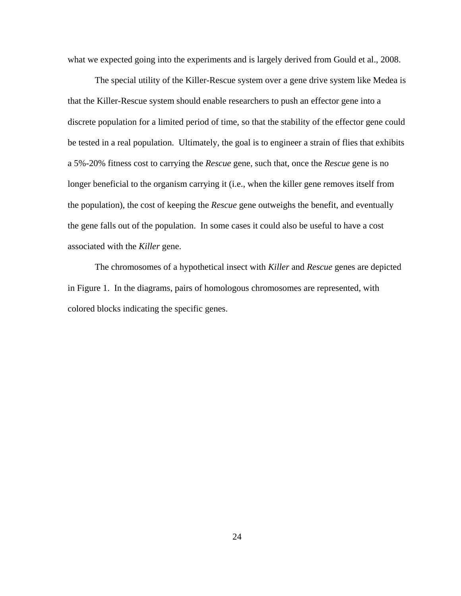what we expected going into the experiments and is largely derived from Gould et al., 2008.

 The special utility of the Killer-Rescue system over a gene drive system like Medea is that the Killer-Rescue system should enable researchers to push an effector gene into a discrete population for a limited period of time, so that the stability of the effector gene could be tested in a real population. Ultimately, the goal is to engineer a strain of flies that exhibits a 5%-20% fitness cost to carrying the *Rescue* gene, such that, once the *Rescue* gene is no longer beneficial to the organism carrying it (i.e., when the killer gene removes itself from the population), the cost of keeping the *Rescue* gene outweighs the benefit, and eventually the gene falls out of the population. In some cases it could also be useful to have a cost associated with the *Killer* gene.

 The chromosomes of a hypothetical insect with *Killer* and *Rescue* genes are depicted in Figure 1. In the diagrams, pairs of homologous chromosomes are represented, with colored blocks indicating the specific genes.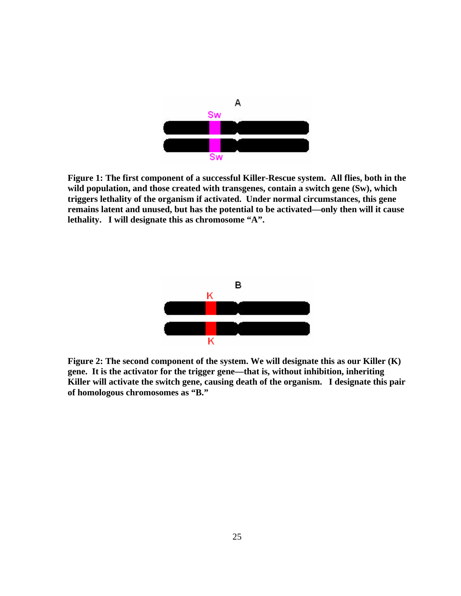

**Figure 1: The first component of a successful Killer-Rescue system. All flies, both in the wild population, and those created with transgenes, contain a switch gene (Sw), which triggers lethality of the organism if activated. Under normal circumstances, this gene remains latent and unused, but has the potential to be activated—only then will it cause lethality. I will designate this as chromosome "A".** 



**Figure 2: The second component of the system. We will designate this as our Killer (K) gene. It is the activator for the trigger gene—that is, without inhibition, inheriting Killer will activate the switch gene, causing death of the organism. I designate this pair of homologous chromosomes as "B."**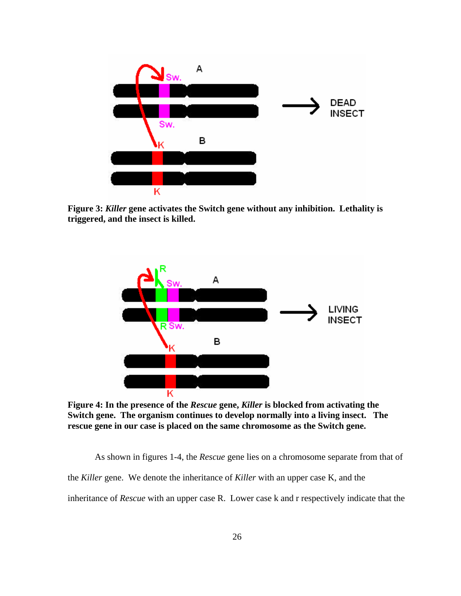

**Figure 3:** *Killer* **gene activates the Switch gene without any inhibition. Lethality is triggered, and the insect is killed.** 



**Figure 4: In the presence of the** *Rescue* **gene,** *Killer* **is blocked from activating the Switch gene. The organism continues to develop normally into a living insect. The rescue gene in our case is placed on the same chromosome as the Switch gene.** 

As shown in figures 1-4, the *Rescue* gene lies on a chromosome separate from that of the *Killer* gene. We denote the inheritance of *Killer* with an upper case K, and the inheritance of *Rescue* with an upper case R. Lower case k and r respectively indicate that the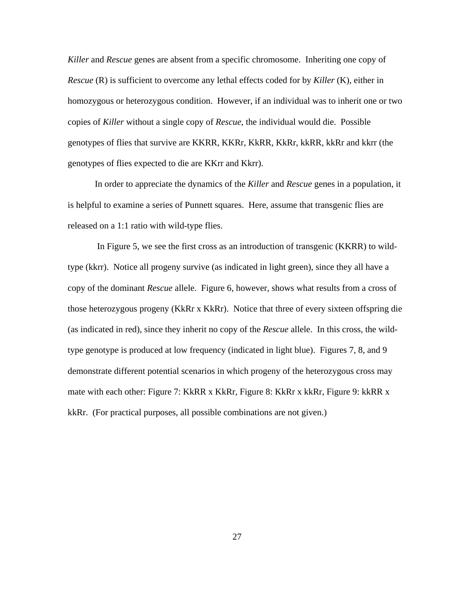*Killer* and *Rescue* genes are absent from a specific chromosome. Inheriting one copy of *Rescue* (R) is sufficient to overcome any lethal effects coded for by *Killer* (K), either in homozygous or heterozygous condition. However, if an individual was to inherit one or two copies of *Killer* without a single copy of *Rescue*, the individual would die. Possible genotypes of flies that survive are KKRR, KKRr, KkRR, KkRr, kkRR, kkRr and kkrr (the genotypes of flies expected to die are KKrr and Kkrr).

In order to appreciate the dynamics of the *Killer* and *Rescue* genes in a population, it is helpful to examine a series of Punnett squares. Here, assume that transgenic flies are released on a 1:1 ratio with wild-type flies.

 In Figure 5, we see the first cross as an introduction of transgenic (KKRR) to wildtype (kkrr). Notice all progeny survive (as indicated in light green), since they all have a copy of the dominant *Rescue* allele. Figure 6, however, shows what results from a cross of those heterozygous progeny (KkRr x KkRr). Notice that three of every sixteen offspring die (as indicated in red), since they inherit no copy of the *Rescue* allele. In this cross, the wildtype genotype is produced at low frequency (indicated in light blue). Figures 7, 8, and 9 demonstrate different potential scenarios in which progeny of the heterozygous cross may mate with each other: Figure 7: KkRR x KkRr, Figure 8: KkRr x kkRr, Figure 9: kkRR x kkRr. (For practical purposes, all possible combinations are not given.)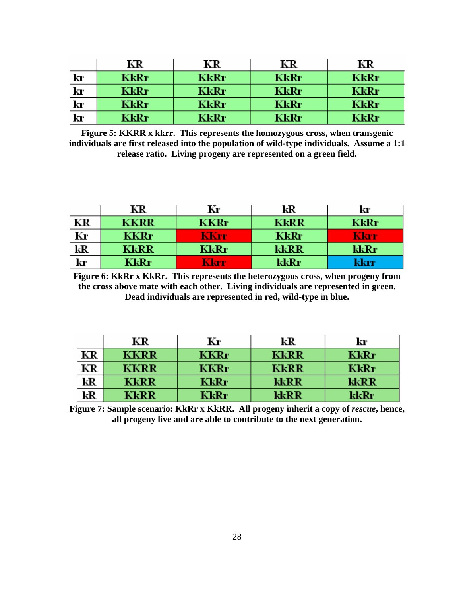|                                                     | KR   | KR   | ΚR   | KR   |
|-----------------------------------------------------|------|------|------|------|
| kr                                                  | KkRr | KkRr | KkRr | KkRr |
| $\mathbf{k}$                                        | KkRr | KkRr | KkRr | KkRr |
|                                                     | KkRr | KkRr | KkRr | KkRr |
| $\frac{\mathbf{k}\mathbf{r}}{\mathbf{k}\mathbf{r}}$ | KkRr | KkRr | KkRr | KkRr |

**Figure 5: KKRR x kkrr. This represents the homozygous cross, when transgenic individuals are first released into the population of wild-type individuals. Assume a 1:1 release ratio. Living progeny are represented on a green field.** 

|                                          | KR          | Kг   | kR          | kr   |
|------------------------------------------|-------------|------|-------------|------|
| ΚR                                       | <b>KKRR</b> | KKRr | <b>KkRR</b> | KkRr |
| $\frac{\overline{\text{Kr}}}{\text{kR}}$ | KKRr        | KKrr | KkRr        | Kkrr |
|                                          | <b>KkRR</b> | KkRr | kkRR        | kkRr |
| kr                                       | KkRr        | Kkrr | kkRr        | kkrr |

**Figure 6: KkRr x KkRr. This represents the heterozygous cross, when progeny from the cross above mate with each other. Living individuals are represented in green. Dead individuals are represented in red, wild-type in blue.** 

|    | KR   | Kг   | kR          | kr   |
|----|------|------|-------------|------|
| KR | KKRR | KKRr | <b>KkRR</b> | KkRr |
| KR | KKRR | KKRr | KkRR        | KkRr |
| kR | KkRR | KkRr | kkRR        | kkRR |
| kR | KkRR | KkRr | kkRR        | kkRr |

Figure 7: Sample scenario: KkRr x KkRR. All progeny inherit a copy of *rescue*, hence, **all progeny live and are able to contribute to the next generation.**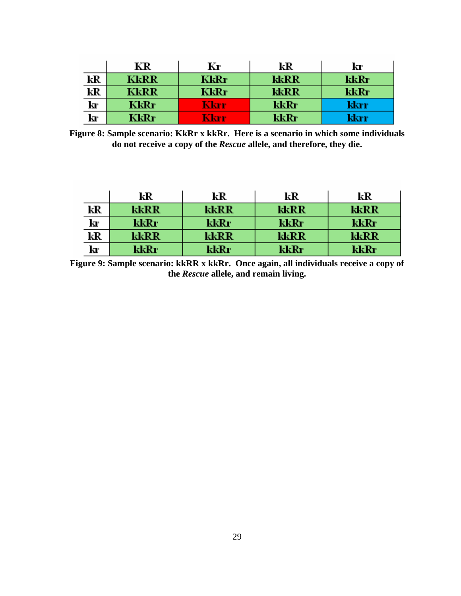|                         | КR   | Kг   | kR   | kr   |
|-------------------------|------|------|------|------|
| kR                      | KkRR | KkRr | kkRR | kkRr |
| $\overline{\mathbf{k}}$ | KkRR | KkRr | kkRR | kkRr |
| kľ                      | KkRr | Kkrr | kkRr | kkrr |
| k                       | KkRr | Kkrr | kkRr | kkrr |

**Figure 8: Sample scenario: KkRr x kkRr. Here is a scenario in which some individuals do not receive a copy of the** *Rescue* **allele, and therefore, they die.** 

|    | kR   | kR    | kR   | kR   |
|----|------|-------|------|------|
| kR | kkRR | kkRR  | kkRR | kkRR |
| kr | kkRr | kkRr  | kkRr | kkRr |
| kR | kkRR | kkRR  | kkRR | kkRR |
| kľ | kkRr | kkRr\ | kkRr | kkRr |

**Figure 9: Sample scenario: kkRR x kkRr. Once again, all individuals receive a copy of the** *Rescue* **allele, and remain living.**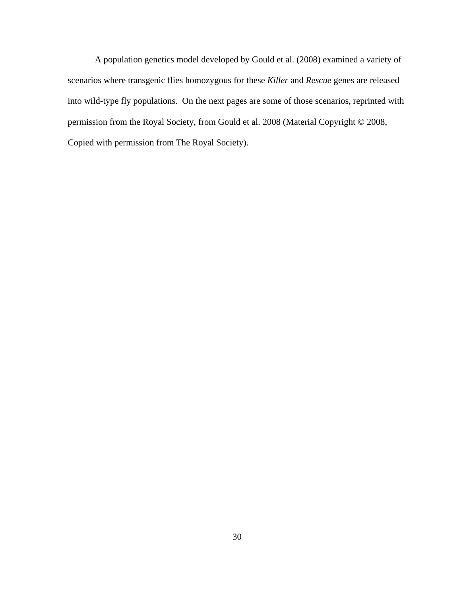A population genetics model developed by Gould et al. (2008) examined a variety of scenarios where transgenic flies homozygous for these *Killer* and *Rescue* genes are released into wild-type fly populations. On the next pages are some of those scenarios, reprinted with permission from the Royal Society, from Gould et al. 2008 (Material Copyright © 2008, Copied with permission from The Royal Society).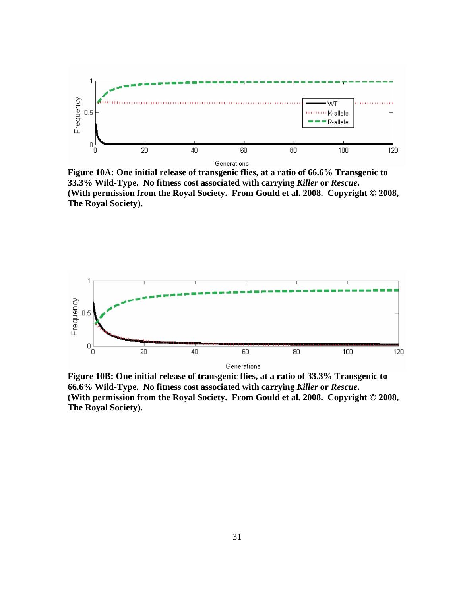

**Figure 10A: One initial release of transgenic flies, at a ratio of 66.6% Transgenic to 33.3% Wild-Type. No fitness cost associated with carrying** *Killer* **or** *Rescue***. (With permission from the Royal Society. From Gould et al. 2008. Copyright © 2008, The Royal Society).** 



**Figure 10B: One initial release of transgenic flies, at a ratio of 33.3% Transgenic to 66.6% Wild-Type. No fitness cost associated with carrying** *Killer* **or** *Rescue***. (With permission from the Royal Society. From Gould et al. 2008. Copyright © 2008, The Royal Society).**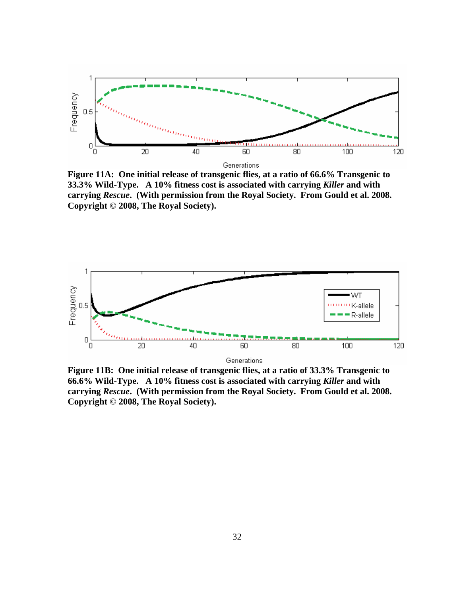

**Figure 11A: One initial release of transgenic flies, at a ratio of 66.6% Transgenic to 33.3% Wild-Type. A 10% fitness cost is associated with carrying** *Killer* **and with carrying** *Rescue***. (With permission from the Royal Society. From Gould et al. 2008. Copyright © 2008, The Royal Society).** 



**Figure 11B: One initial release of transgenic flies, at a ratio of 33.3% Transgenic to 66.6% Wild-Type. A 10% fitness cost is associated with carrying** *Killer* **and with carrying** *Rescue***. (With permission from the Royal Society. From Gould et al. 2008. Copyright © 2008, The Royal Society).**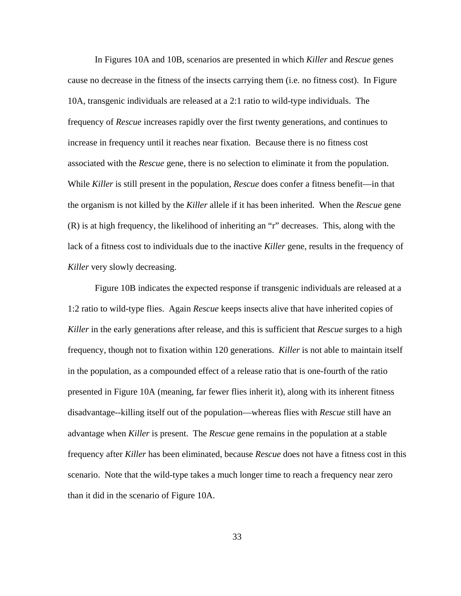In Figures 10A and 10B, scenarios are presented in which *Killer* and *Rescue* genes cause no decrease in the fitness of the insects carrying them (i.e. no fitness cost). In Figure 10A, transgenic individuals are released at a 2:1 ratio to wild-type individuals. The frequency of *Rescue* increases rapidly over the first twenty generations, and continues to increase in frequency until it reaches near fixation. Because there is no fitness cost associated with the *Rescue* gene, there is no selection to eliminate it from the population. While *Killer* is still present in the population, *Rescue* does confer a fitness benefit—in that the organism is not killed by the *Killer* allele if it has been inherited. When the *Rescue* gene (R) is at high frequency, the likelihood of inheriting an "r" decreases. This, along with the lack of a fitness cost to individuals due to the inactive *Killer* gene, results in the frequency of *Killer* very slowly decreasing.

 Figure 10B indicates the expected response if transgenic individuals are released at a 1:2 ratio to wild-type flies. Again *Rescue* keeps insects alive that have inherited copies of *Killer* in the early generations after release, and this is sufficient that *Rescue* surges to a high frequency, though not to fixation within 120 generations. *Killer* is not able to maintain itself in the population, as a compounded effect of a release ratio that is one-fourth of the ratio presented in Figure 10A (meaning, far fewer flies inherit it), along with its inherent fitness disadvantage--killing itself out of the population—whereas flies with *Rescue* still have an advantage when *Killer* is present. The *Rescue* gene remains in the population at a stable frequency after *Killer* has been eliminated, because *Rescue* does not have a fitness cost in this scenario. Note that the wild-type takes a much longer time to reach a frequency near zero than it did in the scenario of Figure 10A.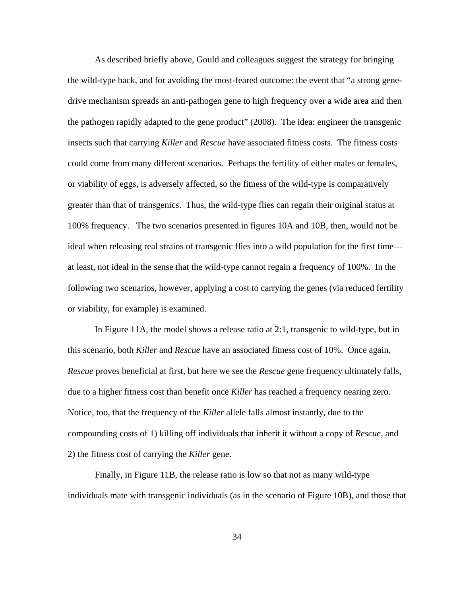As described briefly above, Gould and colleagues suggest the strategy for bringing the wild-type back, and for avoiding the most-feared outcome: the event that "a strong genedrive mechanism spreads an anti-pathogen gene to high frequency over a wide area and then the pathogen rapidly adapted to the gene product" (2008). The idea: engineer the transgenic insects such that carrying *Killer* and *Rescue* have associated fitness costs. The fitness costs could come from many different scenarios. Perhaps the fertility of either males or females, or viability of eggs, is adversely affected, so the fitness of the wild-type is comparatively greater than that of transgenics. Thus, the wild-type flies can regain their original status at 100% frequency. The two scenarios presented in figures 10A and 10B, then, would not be ideal when releasing real strains of transgenic flies into a wild population for the first time at least, not ideal in the sense that the wild-type cannot regain a frequency of 100%. In the following two scenarios, however, applying a cost to carrying the genes (via reduced fertility or viability, for example) is examined.

 In Figure 11A, the model shows a release ratio at 2:1, transgenic to wild-type, but in this scenario, both *Killer* and *Rescue* have an associated fitness cost of 10%. Once again, *Rescue* proves beneficial at first, but here we see the *Rescue* gene frequency ultimately falls, due to a higher fitness cost than benefit once *Killer* has reached a frequency nearing zero. Notice, too, that the frequency of the *Killer* allele falls almost instantly, due to the compounding costs of 1) killing off individuals that inherit it without a copy of *Rescue*, and 2) the fitness cost of carrying the *Killer* gene.

 Finally, in Figure 11B, the release ratio is low so that not as many wild-type individuals mate with transgenic individuals (as in the scenario of Figure 10B), and those that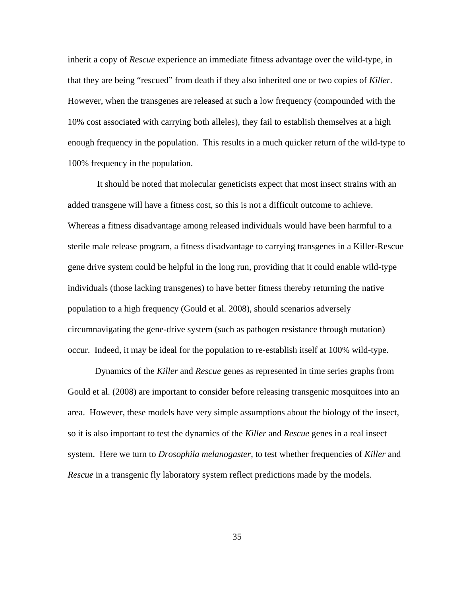inherit a copy of *Rescue* experience an immediate fitness advantage over the wild-type, in that they are being "rescued" from death if they also inherited one or two copies of *Killer.* However, when the transgenes are released at such a low frequency (compounded with the 10% cost associated with carrying both alleles), they fail to establish themselves at a high enough frequency in the population. This results in a much quicker return of the wild-type to 100% frequency in the population.

 It should be noted that molecular geneticists expect that most insect strains with an added transgene will have a fitness cost, so this is not a difficult outcome to achieve. Whereas a fitness disadvantage among released individuals would have been harmful to a sterile male release program, a fitness disadvantage to carrying transgenes in a Killer-Rescue gene drive system could be helpful in the long run, providing that it could enable wild-type individuals (those lacking transgenes) to have better fitness thereby returning the native population to a high frequency (Gould et al. 2008), should scenarios adversely circumnavigating the gene-drive system (such as pathogen resistance through mutation) occur. Indeed, it may be ideal for the population to re-establish itself at 100% wild-type.

Dynamics of the *Killer* and *Rescue* genes as represented in time series graphs from Gould et al. (2008) are important to consider before releasing transgenic mosquitoes into an area. However, these models have very simple assumptions about the biology of the insect, so it is also important to test the dynamics of the *Killer* and *Rescue* genes in a real insect system. Here we turn to *Drosophila melanogaster*, to test whether frequencies of *Killer* and *Rescue* in a transgenic fly laboratory system reflect predictions made by the models.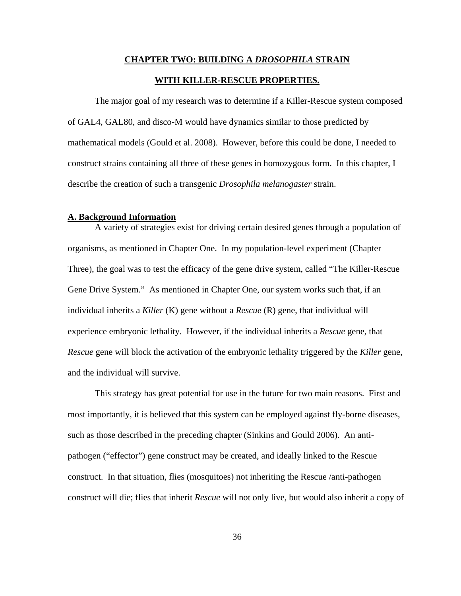# **CHAPTER TWO: BUILDING A** *DROSOPHILA* **STRAIN WITH KILLER-RESCUE PROPERTIES.**

The major goal of my research was to determine if a Killer-Rescue system composed of GAL4, GAL80, and disco-M would have dynamics similar to those predicted by mathematical models (Gould et al. 2008). However, before this could be done, I needed to construct strains containing all three of these genes in homozygous form. In this chapter, I describe the creation of such a transgenic *Drosophila melanogaster* strain.

# **A. Background Information**

A variety of strategies exist for driving certain desired genes through a population of organisms, as mentioned in Chapter One. In my population-level experiment (Chapter Three), the goal was to test the efficacy of the gene drive system, called "The Killer-Rescue Gene Drive System." As mentioned in Chapter One, our system works such that, if an individual inherits a *Killer* (K) gene without a *Rescue* (R) gene, that individual will experience embryonic lethality. However, if the individual inherits a *Rescue* gene, that *Rescue* gene will block the activation of the embryonic lethality triggered by the *Killer* gene, and the individual will survive.

This strategy has great potential for use in the future for two main reasons. First and most importantly, it is believed that this system can be employed against fly-borne diseases, such as those described in the preceding chapter (Sinkins and Gould 2006). An antipathogen ("effector") gene construct may be created, and ideally linked to the Rescue construct. In that situation, flies (mosquitoes) not inheriting the Rescue /anti-pathogen construct will die; flies that inherit *Rescue* will not only live, but would also inherit a copy of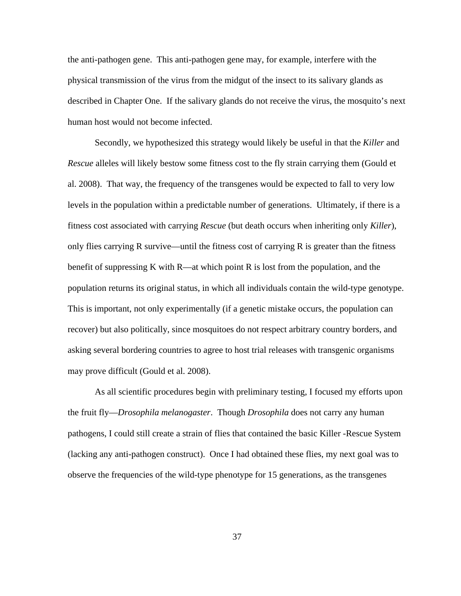the anti-pathogen gene. This anti-pathogen gene may, for example, interfere with the physical transmission of the virus from the midgut of the insect to its salivary glands as described in Chapter One. If the salivary glands do not receive the virus, the mosquito's next human host would not become infected.

Secondly, we hypothesized this strategy would likely be useful in that the *Killer* and *Rescue* alleles will likely bestow some fitness cost to the fly strain carrying them (Gould et al. 2008). That way, the frequency of the transgenes would be expected to fall to very low levels in the population within a predictable number of generations. Ultimately, if there is a fitness cost associated with carrying *Rescue* (but death occurs when inheriting only *Killer*), only flies carrying R survive—until the fitness cost of carrying R is greater than the fitness benefit of suppressing K with R—at which point R is lost from the population, and the population returns its original status, in which all individuals contain the wild-type genotype. This is important, not only experimentally (if a genetic mistake occurs, the population can recover) but also politically, since mosquitoes do not respect arbitrary country borders, and asking several bordering countries to agree to host trial releases with transgenic organisms may prove difficult (Gould et al. 2008).

 As all scientific procedures begin with preliminary testing, I focused my efforts upon the fruit fly—*Drosophila melanogaster*. Though *Drosophila* does not carry any human pathogens, I could still create a strain of flies that contained the basic Killer -Rescue System (lacking any anti-pathogen construct). Once I had obtained these flies, my next goal was to observe the frequencies of the wild-type phenotype for 15 generations, as the transgenes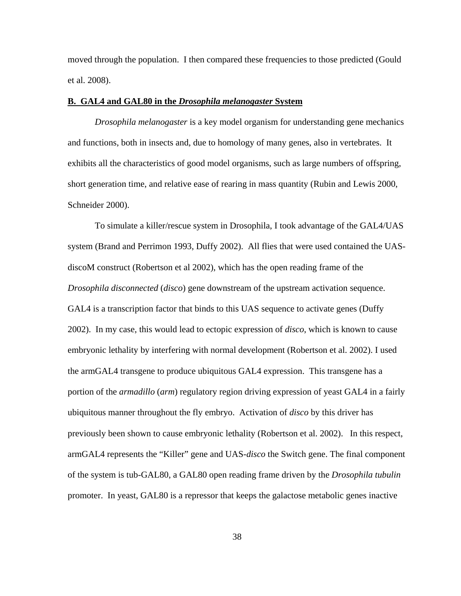moved through the population. I then compared these frequencies to those predicted (Gould et al. 2008).

# **B. GAL4 and GAL80 in the** *Drosophila melanogaster* **System**

*Drosophila melanogaster* is a key model organism for understanding gene mechanics and functions, both in insects and, due to homology of many genes, also in vertebrates. It exhibits all the characteristics of good model organisms, such as large numbers of offspring, short generation time, and relative ease of rearing in mass quantity (Rubin and Lewis 2000, Schneider 2000).

To simulate a killer/rescue system in Drosophila, I took advantage of the GAL4/UAS system (Brand and Perrimon 1993, Duffy 2002). All flies that were used contained the UASdiscoM construct (Robertson et al 2002), which has the open reading frame of the *Drosophila disconnected* (*disco*) gene downstream of the upstream activation sequence. GAL4 is a transcription factor that binds to this UAS sequence to activate genes (Duffy 2002). In my case, this would lead to ectopic expression of *disco*, which is known to cause embryonic lethality by interfering with normal development (Robertson et al. 2002). I used the armGAL4 transgene to produce ubiquitous GAL4 expression. This transgene has a portion of the *armadillo* (*arm*) regulatory region driving expression of yeast GAL4 in a fairly ubiquitous manner throughout the fly embryo. Activation of *disco* by this driver has previously been shown to cause embryonic lethality (Robertson et al. 2002). In this respect, armGAL4 represents the "Killer" gene and UAS-*disco* the Switch gene. The final component of the system is tub-GAL80, a GAL80 open reading frame driven by the *Drosophila tubulin* promoter. In yeast, GAL80 is a repressor that keeps the galactose metabolic genes inactive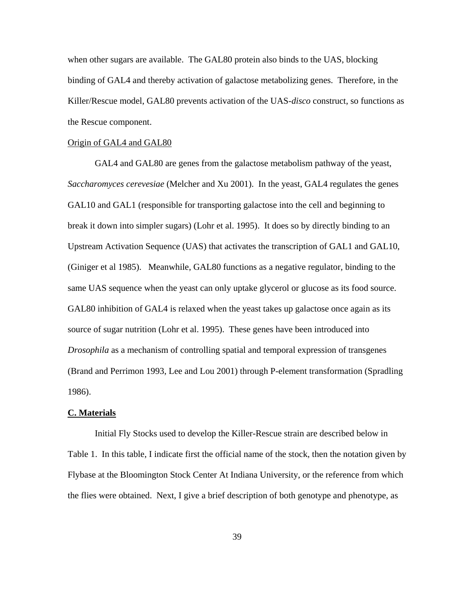when other sugars are available. The GAL80 protein also binds to the UAS, blocking binding of GAL4 and thereby activation of galactose metabolizing genes. Therefore, in the Killer/Rescue model, GAL80 prevents activation of the UAS-*disco* construct, so functions as the Rescue component.

## Origin of GAL4 and GAL80

GAL4 and GAL80 are genes from the galactose metabolism pathway of the yeast, *Saccharomyces cerevesiae* (Melcher and Xu 2001). In the yeast, GAL4 regulates the genes GAL10 and GAL1 (responsible for transporting galactose into the cell and beginning to break it down into simpler sugars) (Lohr et al. 1995). It does so by directly binding to an Upstream Activation Sequence (UAS) that activates the transcription of GAL1 and GAL10, (Giniger et al 1985). Meanwhile, GAL80 functions as a negative regulator, binding to the same UAS sequence when the yeast can only uptake glycerol or glucose as its food source. GAL80 inhibition of GAL4 is relaxed when the yeast takes up galactose once again as its source of sugar nutrition (Lohr et al. 1995). These genes have been introduced into *Drosophila* as a mechanism of controlling spatial and temporal expression of transgenes (Brand and Perrimon 1993, Lee and Lou 2001) through P-element transformation (Spradling 1986).

## **C. Materials**

Initial Fly Stocks used to develop the Killer-Rescue strain are described below in Table 1. In this table, I indicate first the official name of the stock, then the notation given by Flybase at the Bloomington Stock Center At Indiana University, or the reference from which the flies were obtained. Next, I give a brief description of both genotype and phenotype, as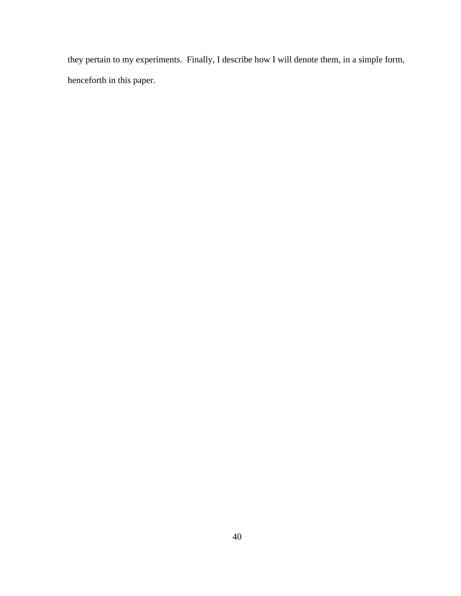they pertain to my experiments. Finally, I describe how I will denote them, in a simple form, henceforth in this paper.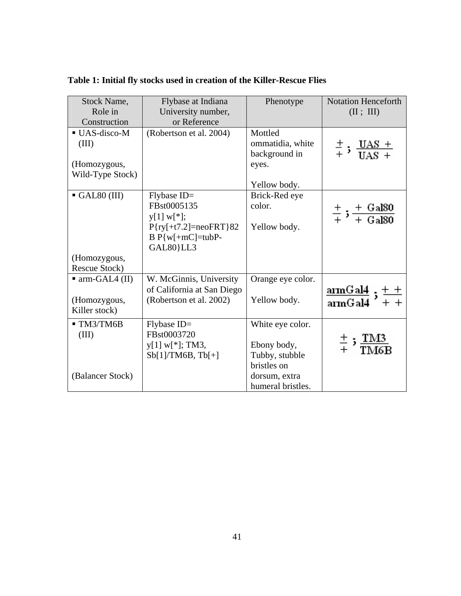| Stock Name,                  | Flybase at Indiana           | Phenotype         | <b>Notation Henceforth</b>                                        |
|------------------------------|------------------------------|-------------------|-------------------------------------------------------------------|
| Role in                      | University number,           |                   | (II; III)                                                         |
| Construction                 | or Reference                 |                   |                                                                   |
| UAS-disco-M                  | (Robertson et al. 2004)      | Mottled           |                                                                   |
| (III)                        |                              | ommatidia, white  | $\frac{+}{+}$ ; $\frac{UAS +}{IIAS +}$                            |
|                              |                              | background in     |                                                                   |
| (Homozygous,                 |                              | eyes.             |                                                                   |
| Wild-Type Stock)             |                              |                   |                                                                   |
|                              |                              | Yellow body.      |                                                                   |
| $\blacksquare$ GAL80 (III)   | $Flybase ID =$               | Brick-Red eye     |                                                                   |
|                              | FBst0005135                  | color.            | $\frac{+}{+}$ ; $\frac{+}{+}$ Gal80                               |
|                              | $y[1] w[*];$                 |                   |                                                                   |
|                              | $P{ry[+t7.2]} = neoFRT}{82}$ | Yellow body.      |                                                                   |
|                              | $B P{w[+mC]=tubP-}$          |                   |                                                                   |
|                              | GAL80}LL3                    |                   |                                                                   |
| (Homozygous,                 |                              |                   |                                                                   |
| Rescue Stock)                |                              |                   |                                                                   |
| $\blacksquare$ arm-GAL4 (II) | W. McGinnis, University      | Orange eye color. |                                                                   |
|                              | of California at San Diego   |                   | $\frac{\text{armGal4}}{\text{armGal4}};\frac{++}{++}$             |
| (Homozygous,                 | (Robertson et al. 2002)      | Yellow body.      |                                                                   |
| Killer stock)                |                              |                   |                                                                   |
| $\blacksquare$ TM3/TM6B      | Flybase ID=                  | White eye color.  |                                                                   |
| (III)                        | FBst0003720                  |                   |                                                                   |
|                              | $y[1] w[*]; TM3,$            | Ebony body,       | $\frac{+}{+}$ ; $\frac{1 \text{M}3}{\text{T} \text{M}6 \text{F}}$ |
|                              | Sb[1]/TM6B, Tb[+]            | Tubby, stubble    |                                                                   |
|                              |                              | bristles on       |                                                                   |
| (Balancer Stock)             |                              | dorsum, extra     |                                                                   |
|                              |                              | humeral bristles. |                                                                   |

**Table 1: Initial fly stocks used in creation of the Killer-Rescue Flies**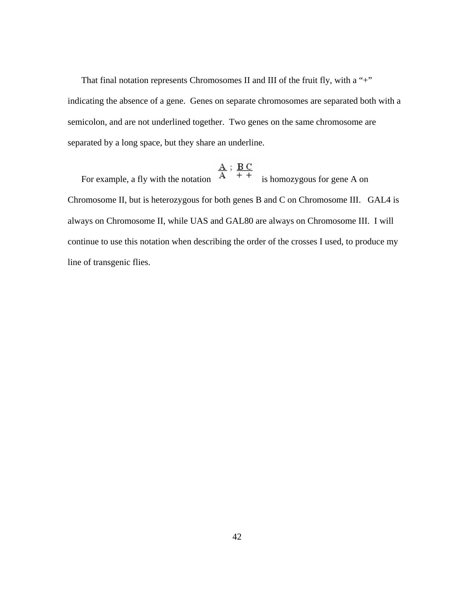That final notation represents Chromosomes II and III of the fruit fly, with a "+" indicating the absence of a gene. Genes on separate chromosomes are separated both with a semicolon, and are not underlined together. Two genes on the same chromosome are separated by a long space, but they share an underline.

For example, a fly with the notation  $\frac{A}{A}$ ;  $\frac{B C}{A}$  is homozygous for gene A on Chromosome II, but is heterozygous for both genes B and C on Chromosome III. GAL4 is always on Chromosome II, while UAS and GAL80 are always on Chromosome III. I will continue to use this notation when describing the order of the crosses I used, to produce my line of transgenic flies.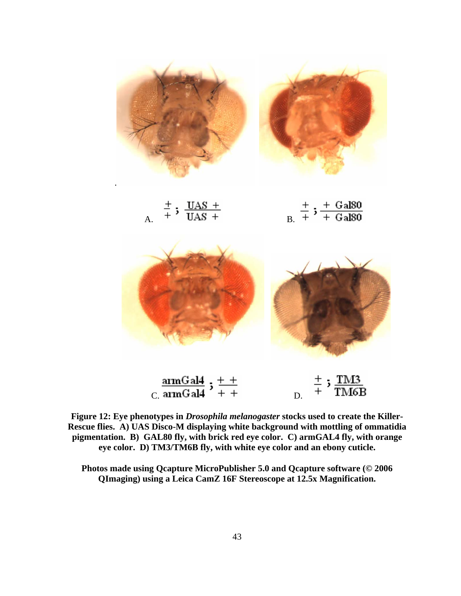

|  | $\pm$ . UAS +  |  |
|--|----------------|--|
|  | $\text{UAS}$ + |  |



 $\frac{\text{armGal4}}{\text{c. } \text{armGal4}}$  ;  $\frac{+}{+}$   $+$ ;  $\frac{\text{TMS}}{\text{TM6B}}$  $\frac{+}{+}$ 

**Figure 12: Eye phenotypes in** *Drosophila melanogaster* **stocks used to create the Killer-Rescue flies. A) UAS Disco-M displaying white background with mottling of ommatidia pigmentation. B) GAL80 fly, with brick red eye color. C) armGAL4 fly, with orange eye color. D) TM3/TM6B fly, with white eye color and an ebony cuticle.** 

**Photos made using Qcapture MicroPublisher 5.0 and Qcapture software (© 2006 QImaging) using a Leica CamZ 16F Stereoscope at 12.5x Magnification.**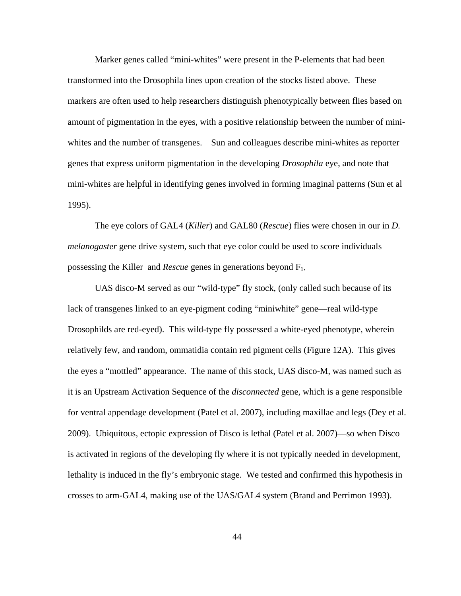Marker genes called "mini-whites" were present in the P-elements that had been transformed into the Drosophila lines upon creation of the stocks listed above. These markers are often used to help researchers distinguish phenotypically between flies based on amount of pigmentation in the eyes, with a positive relationship between the number of miniwhites and the number of transgenes. Sun and colleagues describe mini-whites as reporter genes that express uniform pigmentation in the developing *Drosophila* eye, and note that mini-whites are helpful in identifying genes involved in forming imaginal patterns (Sun et al 1995).

The eye colors of GAL4 (*Killer*) and GAL80 (*Rescue*) flies were chosen in our in *D. melanogaster* gene drive system, such that eye color could be used to score individuals possessing the Killer and *Rescue* genes in generations beyond F1.

UAS disco-M served as our "wild-type" fly stock, (only called such because of its lack of transgenes linked to an eye-pigment coding "miniwhite" gene—real wild-type Drosophilds are red-eyed). This wild-type fly possessed a white-eyed phenotype, wherein relatively few, and random, ommatidia contain red pigment cells (Figure 12A). This gives the eyes a "mottled" appearance. The name of this stock, UAS disco-M, was named such as it is an Upstream Activation Sequence of the *disconnected* gene, which is a gene responsible for ventral appendage development (Patel et al. 2007), including maxillae and legs (Dey et al. 2009). Ubiquitous, ectopic expression of Disco is lethal (Patel et al. 2007)—so when Disco is activated in regions of the developing fly where it is not typically needed in development, lethality is induced in the fly's embryonic stage. We tested and confirmed this hypothesis in crosses to arm-GAL4, making use of the UAS/GAL4 system (Brand and Perrimon 1993).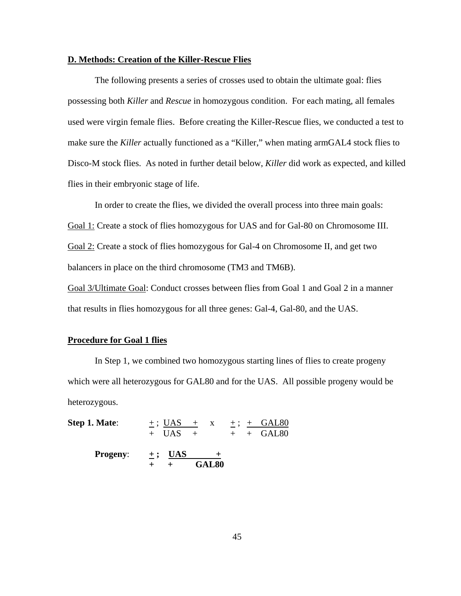## **D. Methods: Creation of the Killer-Rescue Flies**

The following presents a series of crosses used to obtain the ultimate goal: flies possessing both *Killer* and *Rescue* in homozygous condition. For each mating, all females used were virgin female flies. Before creating the Killer-Rescue flies, we conducted a test to make sure the *Killer* actually functioned as a "Killer," when mating armGAL4 stock flies to Disco-M stock flies. As noted in further detail below, *Killer* did work as expected, and killed flies in their embryonic stage of life.

In order to create the flies, we divided the overall process into three main goals: Goal 1: Create a stock of flies homozygous for UAS and for Gal-80 on Chromosome III. Goal 2: Create a stock of flies homozygous for Gal-4 on Chromosome II, and get two balancers in place on the third chromosome (TM3 and TM6B).

Goal 3/Ultimate Goal: Conduct crosses between flies from Goal 1 and Goal 2 in a manner that results in flies homozygous for all three genes: Gal-4, Gal-80, and the UAS.

# **Procedure for Goal 1 flies**

In Step 1, we combined two homozygous starting lines of flies to create progeny which were all heterozygous for GAL80 and for the UAS. All possible progeny would be heterozygous.

**Step 1. Mate:**  $\qquad \pm$ ; UAS  $\qquad \pm$  x  $\qquad \pm$ ;  $\pm$  GAL80  $+$  UAS  $+$   $+$   $+$  GAL80 **Progeny:**  $\pm$ ; <u>UAS  $\pm$ </u>  **+ + GAL80**

45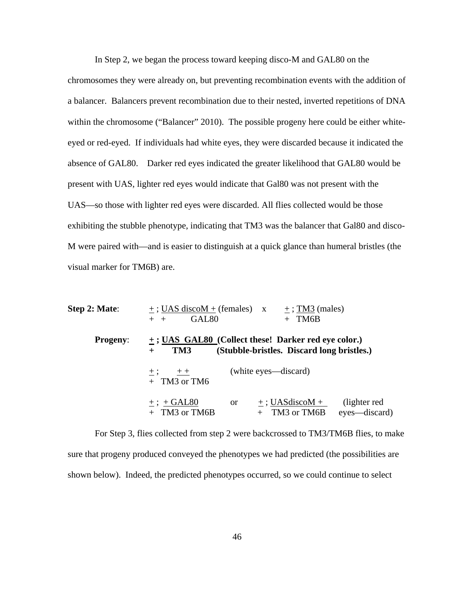In Step 2, we began the process toward keeping disco-M and GAL80 on the

chromosomes they were already on, but preventing recombination events with the addition of a balancer. Balancers prevent recombination due to their nested, inverted repetitions of DNA within the chromosome ("Balancer" 2010). The possible progeny here could be either whiteeyed or red-eyed. If individuals had white eyes, they were discarded because it indicated the absence of GAL80. Darker red eyes indicated the greater likelihood that GAL80 would be present with UAS, lighter red eyes would indicate that Gal80 was not present with the UAS—so those with lighter red eyes were discarded. All flies collected would be those exhibiting the stubble phenotype, indicating that TM3 was the balancer that Gal80 and disco-M were paired with—and is easier to distinguish at a quick glance than humeral bristles (the visual marker for TM6B) are.

| Step 2: Mate:   | $+$ ; UAS discoM + (females) $x +$ ; TM3 (males)<br>GAL <sub>80</sub><br>TM6B<br>$+$ $+$                                  |
|-----------------|---------------------------------------------------------------------------------------------------------------------------|
| <b>Progeny:</b> | $\pm$ ; UAS GAL80 (Collect these! Darker red eye color.)<br>(Stubble-bristles. Discard long bristles.)<br>TM3<br>$+$      |
|                 | (white eyes—discard)<br>$\pm$ ; $\pm$<br>$+$ TM3 or TM6                                                                   |
|                 | (lighter red)<br>$+$ : UASdiscoM +<br>$+$ ; + GAL80<br><sub>or</sub><br>$+$ TM3 or TM6B<br>eyes—discard)<br>+ TM3 or TM6B |

 For Step 3, flies collected from step 2 were backcrossed to TM3/TM6B flies, to make sure that progeny produced conveyed the phenotypes we had predicted (the possibilities are shown below). Indeed, the predicted phenotypes occurred, so we could continue to select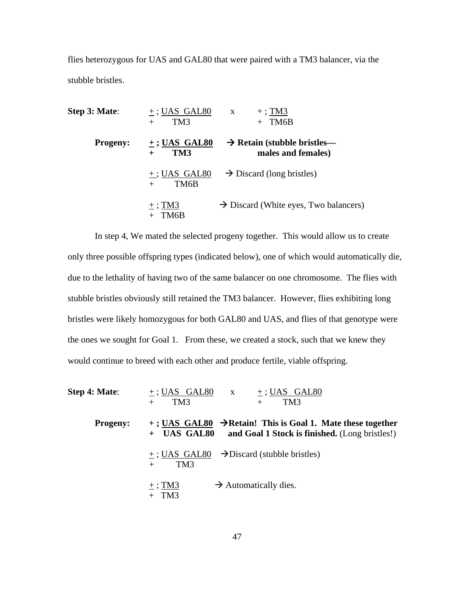flies heterozygous for UAS and GAL80 that were paired with a TM3 balancer, via the stubble bristles.

| Step 3: Mate:   | $+$ ; UAS GAL80<br>TM <sub>3</sub><br>$+$ | $+$ ; TM3<br>$\mathbf{X}$<br>TM6B<br>$+$                      |
|-----------------|-------------------------------------------|---------------------------------------------------------------|
| <b>Progeny:</b> | $\pm$ ; UAS GAL80<br>TM3<br>$+$           | $\rightarrow$ Retain (stubble bristles—<br>males and females) |
|                 | $+$ ; UAS GAL80<br>TM6B<br>$^{+}$         | $\rightarrow$ Discard (long bristles)                         |
|                 | $\pm$ ; TM3<br>TM6B                       | $\rightarrow$ Discard (White eyes, Two balancers)             |

 In step 4, We mated the selected progeny together. This would allow us to create only three possible offspring types (indicated below), one of which would automatically die, due to the lethality of having two of the same balancer on one chromosome. The flies with stubble bristles obviously still retained the TM3 balancer. However, flies exhibiting long bristles were likely homozygous for both GAL80 and UAS, and flies of that genotype were the ones we sought for Goal 1. From these, we created a stock, such that we knew they would continue to breed with each other and produce fertile, viable offspring.

| Step 4: Mate:   | $+$ ; UAS GAL80 $x$<br>$+$ ; UAS GAL80<br>TM <sub>3</sub><br>TM <sub>3</sub><br>$+$                                                        |
|-----------------|--------------------------------------------------------------------------------------------------------------------------------------------|
| <b>Progeny:</b> | $+$ ; UAS GAL80 $\rightarrow$ Retain! This is Goal 1. Mate these together<br>+ UAS GAL80<br>and Goal 1 Stock is finished. (Long bristles!) |
|                 | $+$ ; UAS GAL80 $\rightarrow$ Discard (stubble bristles)<br>TM3<br>$+$                                                                     |
|                 | $\pm$ ; TM3<br>$\rightarrow$ Automatically dies.<br>$+$ TM3                                                                                |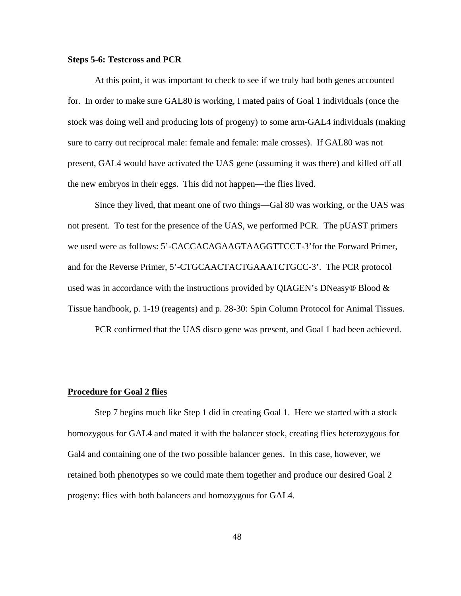# **Steps 5-6: Testcross and PCR**

At this point, it was important to check to see if we truly had both genes accounted for. In order to make sure GAL80 is working, I mated pairs of Goal 1 individuals (once the stock was doing well and producing lots of progeny) to some arm-GAL4 individuals (making sure to carry out reciprocal male: female and female: male crosses). If GAL80 was not present, GAL4 would have activated the UAS gene (assuming it was there) and killed off all the new embryos in their eggs. This did not happen—the flies lived.

Since they lived, that meant one of two things—Gal 80 was working, or the UAS was not present. To test for the presence of the UAS, we performed PCR. The pUAST primers we used were as follows: 5'-CACCACAGAAGTAAGGTTCCT-3'for the Forward Primer, and for the Reverse Primer, 5'-CTGCAACTACTGAAATCTGCC-3'. The PCR protocol used was in accordance with the instructions provided by QIAGEN's DNeasy<sup>®</sup> Blood  $\&$ Tissue handbook, p. 1-19 (reagents) and p. 28-30: Spin Column Protocol for Animal Tissues.

PCR confirmed that the UAS disco gene was present, and Goal 1 had been achieved.

## **Procedure for Goal 2 flies**

Step 7 begins much like Step 1 did in creating Goal 1. Here we started with a stock homozygous for GAL4 and mated it with the balancer stock, creating flies heterozygous for Gal4 and containing one of the two possible balancer genes. In this case, however, we retained both phenotypes so we could mate them together and produce our desired Goal 2 progeny: flies with both balancers and homozygous for GAL4.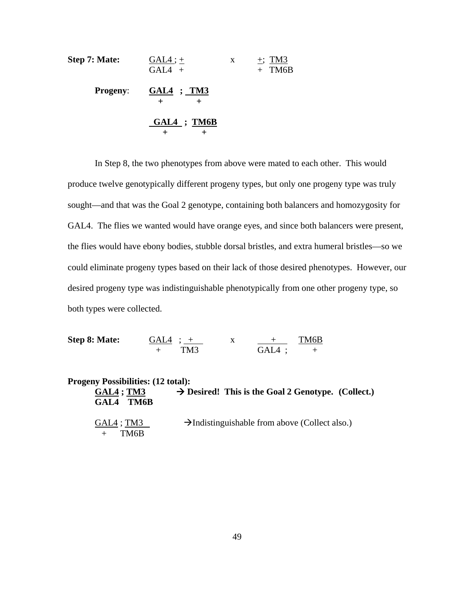| Step 7: Mate:   | $GAL4$ ; $+$<br>$GAL4 +$   | X | $\pm$ ; TM3<br>$+$ TM6B |
|-----------------|----------------------------|---|-------------------------|
| <b>Progeny:</b> | <u>GAL4 ; TM3</u><br>$\pm$ |   |                         |
|                 | $GAL4$ ; TM6B              |   |                         |

In Step 8, the two phenotypes from above were mated to each other. This would produce twelve genotypically different progeny types, but only one progeny type was truly sought—and that was the Goal 2 genotype, containing both balancers and homozygosity for GAL4. The flies we wanted would have orange eyes, and since both balancers were present, the flies would have ebony bodies, stubble dorsal bristles, and extra humeral bristles—so we could eliminate progeny types based on their lack of those desired phenotypes. However, our desired progeny type was indistinguishable phenotypically from one other progeny type, so both types were collected.

**Step 8: Mate:** GAL4 ; + x + TM6B + TM3 GAL4 ; +

| <b>Progeny Possibilities: (12 total):</b><br>$GAL4$ ; TM3<br>GAL4 TM6B | $\rightarrow$ Desired! This is the Goal 2 Genotype. (Collect.) |
|------------------------------------------------------------------------|----------------------------------------------------------------|
| GAL4 ; TM3<br>TM6B                                                     | $\rightarrow$ Indistinguishable from above (Collect also.)     |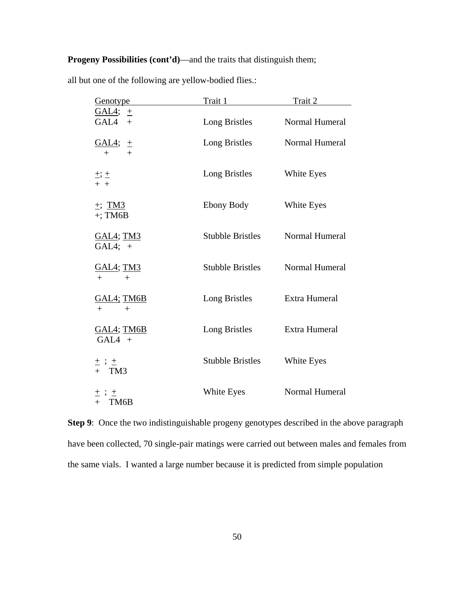# **Progeny Possibilities (cont'd)**—and the traits that distinguish them;

| Genotype                           | Trait 1                 | Trait 2        |
|------------------------------------|-------------------------|----------------|
| $GAL4$ ; $\pm$<br>GAL4<br>$+$      | Long Bristles           | Normal Humeral |
| <u>GAL4;</u><br>土<br>$^{+}$<br>$+$ | Long Bristles           | Normal Humeral |
| $\pm$ ; $\pm$<br>$+ +$             | Long Bristles           | White Eyes     |
| $\pm$ ; TM3<br>$+$ ; TM6B          | Ebony Body              | White Eyes     |
| <b>GAL4; TM3</b><br>GAL4; $+$      | <b>Stubble Bristles</b> | Normal Humeral |
| <b>GAL4; TM3</b><br>$+$<br>$+$     | <b>Stubble Bristles</b> | Normal Humeral |
| <u>GAL4; TM6B</u><br>$+$<br>$+$    | Long Bristles           | Extra Humeral  |
| <u>GAL4; TM6B</u><br>$GAL4 +$      | Long Bristles           | Extra Humeral  |
| $\pm$ ; $\pm$<br>$+$ TM3           | <b>Stubble Bristles</b> | White Eyes     |
| $\pm$ ; $\pm$<br>$+$ TM6B          | White Eyes              | Normal Humeral |

all but one of the following are yellow-bodied flies.:

**Step 9**: Once the two indistinguishable progeny genotypes described in the above paragraph have been collected, 70 single-pair matings were carried out between males and females from the same vials. I wanted a large number because it is predicted from simple population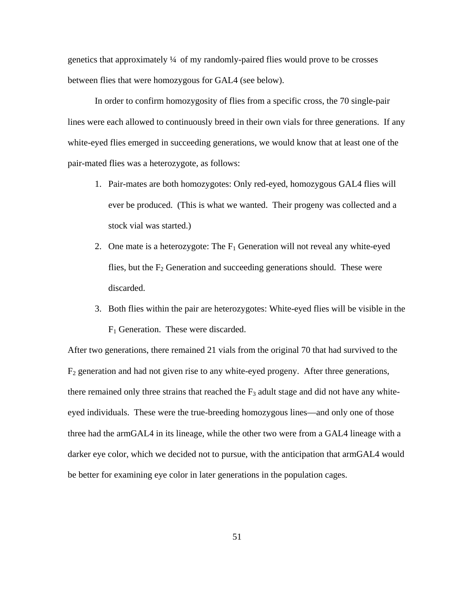genetics that approximately ¼ of my randomly-paired flies would prove to be crosses between flies that were homozygous for GAL4 (see below).

In order to confirm homozygosity of flies from a specific cross, the 70 single-pair lines were each allowed to continuously breed in their own vials for three generations. If any white-eyed flies emerged in succeeding generations, we would know that at least one of the pair-mated flies was a heterozygote, as follows:

- 1. Pair-mates are both homozygotes: Only red-eyed, homozygous GAL4 flies will ever be produced. (This is what we wanted. Their progeny was collected and a stock vial was started.)
- 2. One mate is a heterozygote: The  $F_1$  Generation will not reveal any white-eyed flies, but the  $F_2$  Generation and succeeding generations should. These were discarded.
- 3. Both flies within the pair are heterozygotes: White-eyed flies will be visible in the  $F_1$  Generation. These were discarded.

After two generations, there remained 21 vials from the original 70 that had survived to the  $F_2$  generation and had not given rise to any white-eyed progeny. After three generations, there remained only three strains that reached the  $F_3$  adult stage and did not have any whiteeyed individuals. These were the true-breeding homozygous lines—and only one of those three had the armGAL4 in its lineage, while the other two were from a GAL4 lineage with a darker eye color, which we decided not to pursue, with the anticipation that armGAL4 would be better for examining eye color in later generations in the population cages.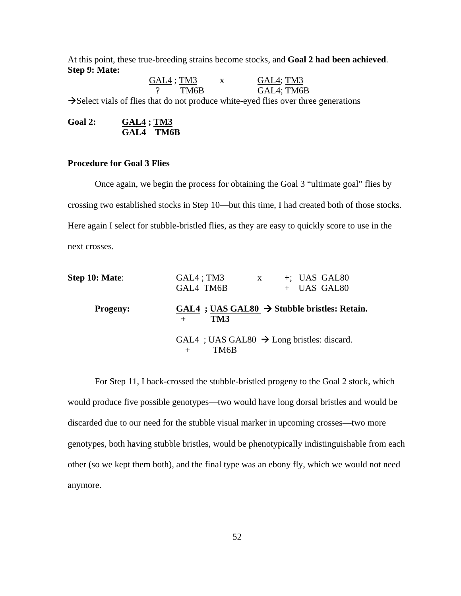At this point, these true-breeding strains become stocks, and **Goal 2 had been achieved**. **Step 9: Mate:** 

GAL4; TM3 x GAL4; TM3 TM6B GAL4; TM6B  $\rightarrow$  Select vials of flies that do not produce white-eyed flies over three generations

Goal 2: **GAL4** ; **TM3 GAL4 TM6B**

# **Procedure for Goal 3 Flies**

 Once again, we begin the process for obtaining the Goal 3 "ultimate goal" flies by crossing two established stocks in Step 10—but this time, I had created both of those stocks. Here again I select for stubble-bristled flies, as they are easy to quickly score to use in the next crosses.

| Step 10: Mate:  | $GAL4$ ; TM3<br>$+$ ; UAS GAL80<br>$\mathbf{X}$<br>+ UAS GAL80<br>GAL4 TM6B |
|-----------------|-----------------------------------------------------------------------------|
| <b>Progeny:</b> | GAL4 ; UAS GAL80 $\rightarrow$ Stubble bristles: Retain.<br>TM3             |
|                 | GAL4 ; UAS GAL80 $\rightarrow$ Long bristles: discard.<br>TM6B              |

For Step 11, I back-crossed the stubble-bristled progeny to the Goal 2 stock, which would produce five possible genotypes—two would have long dorsal bristles and would be discarded due to our need for the stubble visual marker in upcoming crosses—two more genotypes, both having stubble bristles, would be phenotypically indistinguishable from each other (so we kept them both), and the final type was an ebony fly, which we would not need anymore.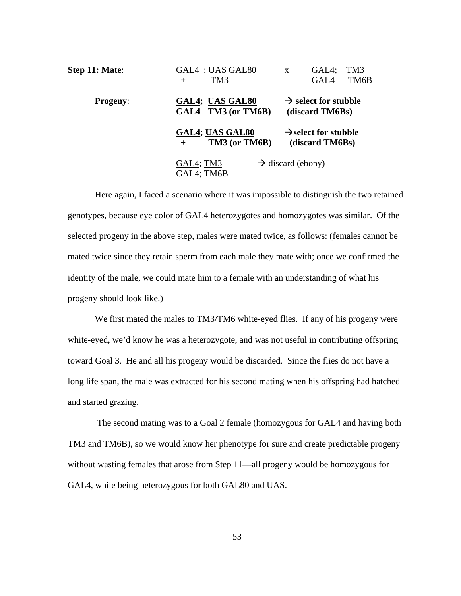| Step 11: Mate:  | GAL4 ; UAS GAL80<br>TM <sub>3</sub><br>$^{+}$ | GAL4;<br>TM3<br>X<br>GAL4<br>TM6B                   |
|-----------------|-----------------------------------------------|-----------------------------------------------------|
| <b>Progeny:</b> | GAL4; UAS GAL80<br>GAL4 TM3 (or TM6B)         | $\rightarrow$ select for stubble<br>(discard TM6Bs) |
|                 | GAL4; UAS GAL80<br>TM3 (or TM6B)<br>$+$       | $\rightarrow$ select for stubble<br>(discard TM6Bs) |
|                 | GAL4; TM3<br>GAL4; TM6B                       | $\rightarrow$ discard (ebony)                       |

Here again, I faced a scenario where it was impossible to distinguish the two retained genotypes, because eye color of GAL4 heterozygotes and homozygotes was similar. Of the selected progeny in the above step, males were mated twice, as follows: (females cannot be mated twice since they retain sperm from each male they mate with; once we confirmed the identity of the male, we could mate him to a female with an understanding of what his progeny should look like.)

We first mated the males to TM3/TM6 white-eyed flies. If any of his progeny were white-eyed, we'd know he was a heterozygote, and was not useful in contributing offspring toward Goal 3. He and all his progeny would be discarded. Since the flies do not have a long life span, the male was extracted for his second mating when his offspring had hatched and started grazing.

 The second mating was to a Goal 2 female (homozygous for GAL4 and having both TM3 and TM6B), so we would know her phenotype for sure and create predictable progeny without wasting females that arose from Step 11—all progeny would be homozygous for GAL4, while being heterozygous for both GAL80 and UAS.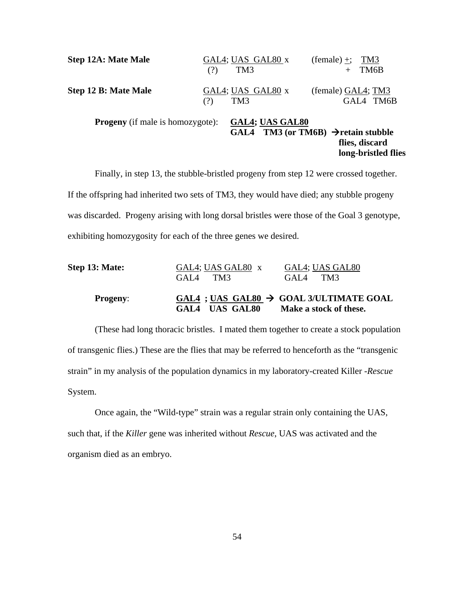| <b>Step 12A: Mate Male</b>              | (?) | GAL4; UAS GAL80 x<br>TM <sub>3</sub> | $(female) +; TM3$<br>TM6B<br>$+$                                                           |
|-----------------------------------------|-----|--------------------------------------|--------------------------------------------------------------------------------------------|
| <b>Step 12 B: Mate Male</b>             | (?) | GAL4; UAS GAL80 x<br>TM <sub>3</sub> | (female) GAL4; TM3<br>GAL4 TM6B                                                            |
| <b>Progeny</b> (if male is homozygote): |     | <b>GAL4; UAS GAL80</b><br>GAL4       | <b>TM3 (or TM6B)</b> $\rightarrow$ retain stubble<br>flies, discard<br>long-bristled flies |

Finally, in step 13, the stubble-bristled progeny from step 12 were crossed together. If the offspring had inherited two sets of TM3, they would have died; any stubble progeny was discarded. Progeny arising with long dorsal bristles were those of the Goal 3 genotype, exhibiting homozygosity for each of the three genes we desired.

| Step 13: Mate:  | GAL4; UAS GAL80 x | GAL4; UAS GAL80                                     |
|-----------------|-------------------|-----------------------------------------------------|
|                 | $GAI4$ TM3        | TM3<br>GAL <sub>4</sub>                             |
| <b>Progeny:</b> |                   | GAL4 ; UAS GAL80 $\rightarrow$ GOAL 3/ULTIMATE GOAL |
|                 | GAL4 UAS GAL80    | Make a stock of these.                              |

(These had long thoracic bristles. I mated them together to create a stock population of transgenic flies.) These are the flies that may be referred to henceforth as the "transgenic strain" in my analysis of the population dynamics in my laboratory-created Killer -*Rescue* System.

Once again, the "Wild-type" strain was a regular strain only containing the UAS, such that, if the *Killer* gene was inherited without *Rescue*, UAS was activated and the organism died as an embryo.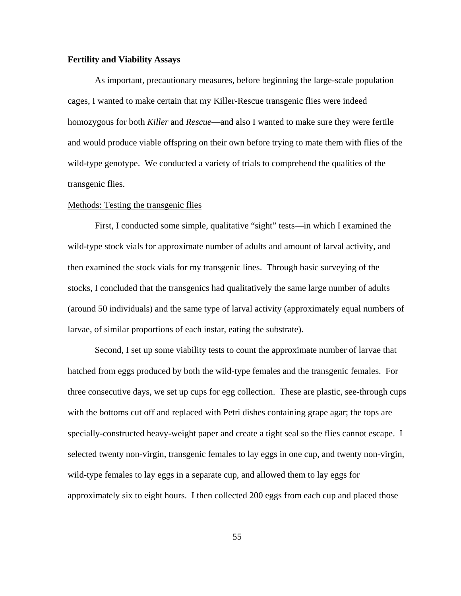## **Fertility and Viability Assays**

 As important, precautionary measures, before beginning the large-scale population cages, I wanted to make certain that my Killer-Rescue transgenic flies were indeed homozygous for both *Killer* and *Rescue*—and also I wanted to make sure they were fertile and would produce viable offspring on their own before trying to mate them with flies of the wild-type genotype. We conducted a variety of trials to comprehend the qualities of the transgenic flies.

#### Methods: Testing the transgenic flies

 First, I conducted some simple, qualitative "sight" tests—in which I examined the wild-type stock vials for approximate number of adults and amount of larval activity, and then examined the stock vials for my transgenic lines. Through basic surveying of the stocks, I concluded that the transgenics had qualitatively the same large number of adults (around 50 individuals) and the same type of larval activity (approximately equal numbers of larvae, of similar proportions of each instar, eating the substrate).

 Second, I set up some viability tests to count the approximate number of larvae that hatched from eggs produced by both the wild-type females and the transgenic females. For three consecutive days, we set up cups for egg collection. These are plastic, see-through cups with the bottoms cut off and replaced with Petri dishes containing grape agar; the tops are specially-constructed heavy-weight paper and create a tight seal so the flies cannot escape. I selected twenty non-virgin, transgenic females to lay eggs in one cup, and twenty non-virgin, wild-type females to lay eggs in a separate cup, and allowed them to lay eggs for approximately six to eight hours. I then collected 200 eggs from each cup and placed those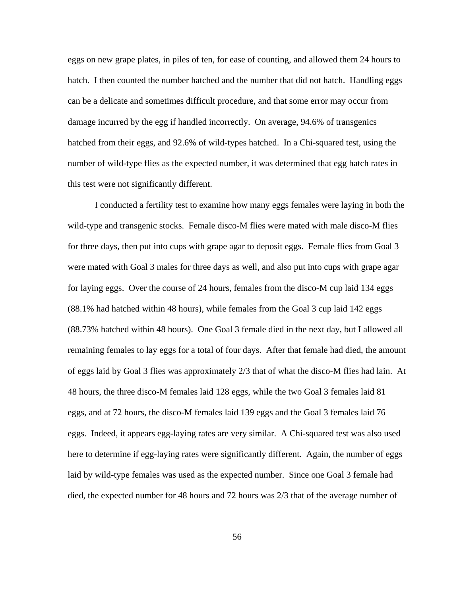eggs on new grape plates, in piles of ten, for ease of counting, and allowed them 24 hours to hatch. I then counted the number hatched and the number that did not hatch. Handling eggs can be a delicate and sometimes difficult procedure, and that some error may occur from damage incurred by the egg if handled incorrectly. On average, 94.6% of transgenics hatched from their eggs, and 92.6% of wild-types hatched. In a Chi-squared test, using the number of wild-type flies as the expected number, it was determined that egg hatch rates in this test were not significantly different.

 I conducted a fertility test to examine how many eggs females were laying in both the wild-type and transgenic stocks. Female disco-M flies were mated with male disco-M flies for three days, then put into cups with grape agar to deposit eggs. Female flies from Goal 3 were mated with Goal 3 males for three days as well, and also put into cups with grape agar for laying eggs. Over the course of 24 hours, females from the disco-M cup laid 134 eggs (88.1% had hatched within 48 hours), while females from the Goal 3 cup laid 142 eggs (88.73% hatched within 48 hours). One Goal 3 female died in the next day, but I allowed all remaining females to lay eggs for a total of four days. After that female had died, the amount of eggs laid by Goal 3 flies was approximately 2/3 that of what the disco-M flies had lain. At 48 hours, the three disco-M females laid 128 eggs, while the two Goal 3 females laid 81 eggs, and at 72 hours, the disco-M females laid 139 eggs and the Goal 3 females laid 76 eggs. Indeed, it appears egg-laying rates are very similar. A Chi-squared test was also used here to determine if egg-laying rates were significantly different. Again, the number of eggs laid by wild-type females was used as the expected number. Since one Goal 3 female had died, the expected number for 48 hours and 72 hours was 2/3 that of the average number of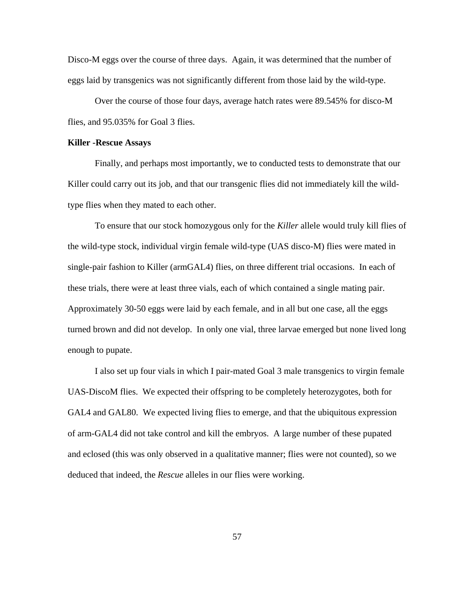Disco-M eggs over the course of three days. Again, it was determined that the number of eggs laid by transgenics was not significantly different from those laid by the wild-type.

Over the course of those four days, average hatch rates were 89.545% for disco-M flies, and 95.035% for Goal 3 flies.

## **Killer -Rescue Assays**

 Finally, and perhaps most importantly, we to conducted tests to demonstrate that our Killer could carry out its job, and that our transgenic flies did not immediately kill the wildtype flies when they mated to each other.

 To ensure that our stock homozygous only for the *Killer* allele would truly kill flies of the wild-type stock, individual virgin female wild-type (UAS disco-M) flies were mated in single-pair fashion to Killer (armGAL4) flies, on three different trial occasions. In each of these trials, there were at least three vials, each of which contained a single mating pair. Approximately 30-50 eggs were laid by each female, and in all but one case, all the eggs turned brown and did not develop. In only one vial, three larvae emerged but none lived long enough to pupate.

 I also set up four vials in which I pair-mated Goal 3 male transgenics to virgin female UAS-DiscoM flies. We expected their offspring to be completely heterozygotes, both for GAL4 and GAL80. We expected living flies to emerge, and that the ubiquitous expression of arm-GAL4 did not take control and kill the embryos. A large number of these pupated and eclosed (this was only observed in a qualitative manner; flies were not counted), so we deduced that indeed, the *Rescue* alleles in our flies were working.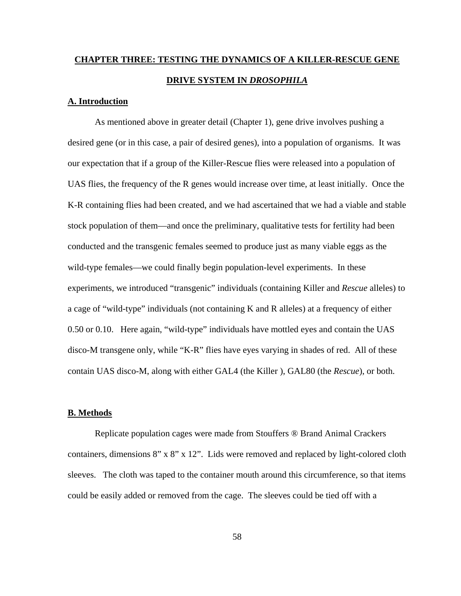# **CHAPTER THREE: TESTING THE DYNAMICS OF A KILLER-RESCUE GENE DRIVE SYSTEM IN** *DROSOPHILA*

# **A. Introduction**

As mentioned above in greater detail (Chapter 1), gene drive involves pushing a desired gene (or in this case, a pair of desired genes), into a population of organisms. It was our expectation that if a group of the Killer-Rescue flies were released into a population of UAS flies, the frequency of the R genes would increase over time, at least initially. Once the K-R containing flies had been created, and we had ascertained that we had a viable and stable stock population of them—and once the preliminary, qualitative tests for fertility had been conducted and the transgenic females seemed to produce just as many viable eggs as the wild-type females—we could finally begin population-level experiments. In these experiments, we introduced "transgenic" individuals (containing Killer and *Rescue* alleles) to a cage of "wild-type" individuals (not containing K and R alleles) at a frequency of either 0.50 or 0.10. Here again, "wild-type" individuals have mottled eyes and contain the UAS disco-M transgene only, while "K-R" flies have eyes varying in shades of red. All of these contain UAS disco-M, along with either GAL4 (the Killer ), GAL80 (the *Rescue*), or both.

## **B. Methods**

 Replicate population cages were made from Stouffers ® Brand Animal Crackers containers, dimensions 8" x 8" x 12". Lids were removed and replaced by light-colored cloth sleeves. The cloth was taped to the container mouth around this circumference, so that items could be easily added or removed from the cage. The sleeves could be tied off with a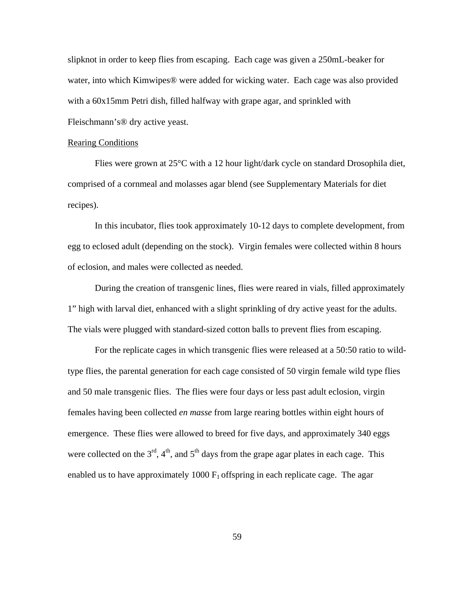slipknot in order to keep flies from escaping. Each cage was given a 250mL-beaker for water, into which Kimwipes® were added for wicking water. Each cage was also provided with a 60x15mm Petri dish, filled halfway with grape agar, and sprinkled with Fleischmann's® dry active yeast.

## Rearing Conditions

Flies were grown at 25°C with a 12 hour light/dark cycle on standard Drosophila diet, comprised of a cornmeal and molasses agar blend (see Supplementary Materials for diet recipes).

In this incubator, flies took approximately 10-12 days to complete development, from egg to eclosed adult (depending on the stock). Virgin females were collected within 8 hours of eclosion, and males were collected as needed.

During the creation of transgenic lines, flies were reared in vials, filled approximately 1" high with larval diet, enhanced with a slight sprinkling of dry active yeast for the adults. The vials were plugged with standard-sized cotton balls to prevent flies from escaping.

For the replicate cages in which transgenic flies were released at a 50:50 ratio to wildtype flies, the parental generation for each cage consisted of 50 virgin female wild type flies and 50 male transgenic flies. The flies were four days or less past adult eclosion, virgin females having been collected *en masse* from large rearing bottles within eight hours of emergence. These flies were allowed to breed for five days, and approximately 340 eggs were collected on the  $3<sup>rd</sup>$ ,  $4<sup>th</sup>$ , and  $5<sup>th</sup>$  days from the grape agar plates in each cage. This enabled us to have approximately 1000  $F_1$  offspring in each replicate cage. The agar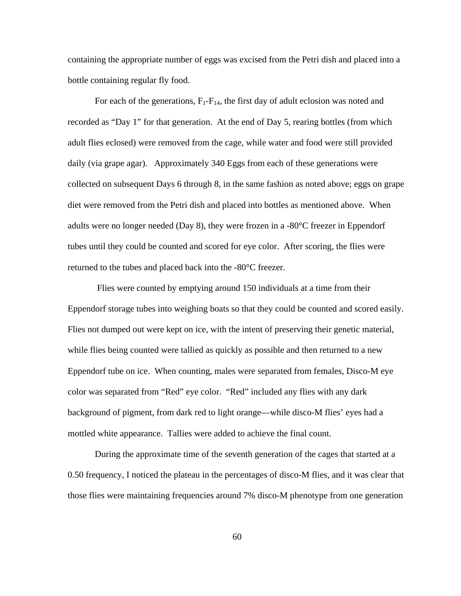containing the appropriate number of eggs was excised from the Petri dish and placed into a bottle containing regular fly food.

For each of the generations,  $F_1 - F_{14}$ , the first day of adult eclosion was noted and recorded as "Day 1" for that generation. At the end of Day 5, rearing bottles (from which adult flies eclosed) were removed from the cage, while water and food were still provided daily (via grape agar). Approximately 340 Eggs from each of these generations were collected on subsequent Days 6 through 8, in the same fashion as noted above; eggs on grape diet were removed from the Petri dish and placed into bottles as mentioned above. When adults were no longer needed (Day 8), they were frozen in a -80 $^{\circ}$ C freezer in Eppendorf tubes until they could be counted and scored for eye color. After scoring, the flies were returned to the tubes and placed back into the -80°C freezer.

 Flies were counted by emptying around 150 individuals at a time from their Eppendorf storage tubes into weighing boats so that they could be counted and scored easily. Flies not dumped out were kept on ice, with the intent of preserving their genetic material, while flies being counted were tallied as quickly as possible and then returned to a new Eppendorf tube on ice. When counting, males were separated from females, Disco-M eye color was separated from "Red" eye color. "Red" included any flies with any dark background of pigment, from dark red to light orange—while disco-M flies' eyes had a mottled white appearance. Tallies were added to achieve the final count.

During the approximate time of the seventh generation of the cages that started at a 0.50 frequency, I noticed the plateau in the percentages of disco-M flies, and it was clear that those flies were maintaining frequencies around 7% disco-M phenotype from one generation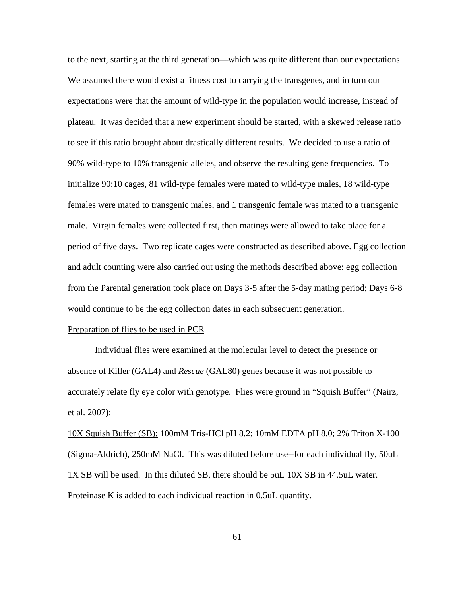to the next, starting at the third generation—which was quite different than our expectations. We assumed there would exist a fitness cost to carrying the transgenes, and in turn our expectations were that the amount of wild-type in the population would increase, instead of plateau. It was decided that a new experiment should be started, with a skewed release ratio to see if this ratio brought about drastically different results. We decided to use a ratio of 90% wild-type to 10% transgenic alleles, and observe the resulting gene frequencies. To initialize 90:10 cages, 81 wild-type females were mated to wild-type males, 18 wild-type females were mated to transgenic males, and 1 transgenic female was mated to a transgenic male. Virgin females were collected first, then matings were allowed to take place for a period of five days. Two replicate cages were constructed as described above. Egg collection and adult counting were also carried out using the methods described above: egg collection from the Parental generation took place on Days 3-5 after the 5-day mating period; Days 6-8 would continue to be the egg collection dates in each subsequent generation.

## Preparation of flies to be used in PCR

 Individual flies were examined at the molecular level to detect the presence or absence of Killer (GAL4) and *Rescue* (GAL80) genes because it was not possible to accurately relate fly eye color with genotype. Flies were ground in "Squish Buffer" (Nairz, et al. 2007):

10X Squish Buffer (SB): 100mM Tris-HCl pH 8.2; 10mM EDTA pH 8.0; 2% Triton X-100 (Sigma-Aldrich), 250mM NaCl. This was diluted before use--for each individual fly, 50uL 1X SB will be used. In this diluted SB, there should be 5uL 10X SB in 44.5uL water. Proteinase K is added to each individual reaction in 0.5uL quantity.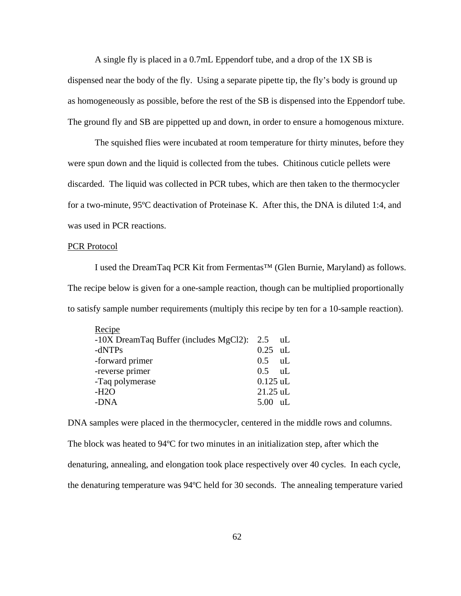A single fly is placed in a 0.7mL Eppendorf tube, and a drop of the 1X SB is dispensed near the body of the fly. Using a separate pipette tip, the fly's body is ground up as homogeneously as possible, before the rest of the SB is dispensed into the Eppendorf tube. The ground fly and SB are pippetted up and down, in order to ensure a homogenous mixture.

The squished flies were incubated at room temperature for thirty minutes, before they were spun down and the liquid is collected from the tubes. Chitinous cuticle pellets were discarded. The liquid was collected in PCR tubes, which are then taken to the thermocycler for a two-minute, 95ºC deactivation of Proteinase K. After this, the DNA is diluted 1:4, and was used in PCR reactions.

#### PCR Protocol

I used the DreamTaq PCR Kit from Fermentas™ (Glen Burnie, Maryland) as follows. The recipe below is given for a one-sample reaction, though can be multiplied proportionally to satisfy sample number requirements (multiply this recipe by ten for a 10-sample reaction).

| Recipe                                     |                   |     |
|--------------------------------------------|-------------------|-----|
| -10X DreamTaq Buffer (includes MgCl2): 2.5 |                   | -uL |
| $-dNTPs$                                   | $0.25$ uL         |     |
| -forward primer                            | $0.5$ uL          |     |
| -reverse primer                            | $0.5 \text{ uL}$  |     |
| -Taq polymerase                            | $0.125$ uL        |     |
| $-H2O$                                     | $21.25$ uL        |     |
| -DNA                                       | $5.00 \text{ uL}$ |     |
|                                            |                   |     |

DNA samples were placed in the thermocycler, centered in the middle rows and columns. The block was heated to 94ºC for two minutes in an initialization step, after which the denaturing, annealing, and elongation took place respectively over 40 cycles. In each cycle, the denaturing temperature was 94ºC held for 30 seconds. The annealing temperature varied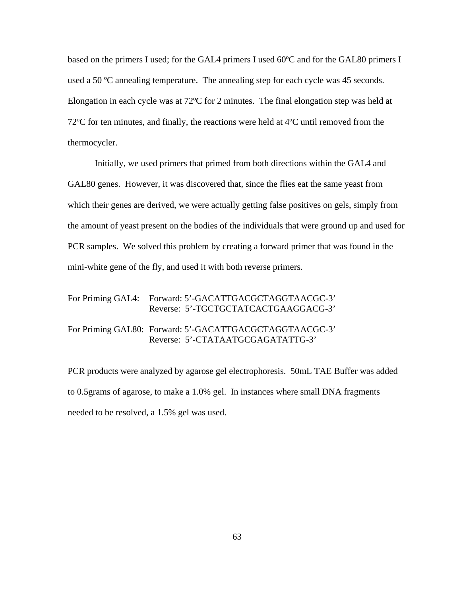based on the primers I used; for the GAL4 primers I used 60ºC and for the GAL80 primers I used a 50 ºC annealing temperature. The annealing step for each cycle was 45 seconds. Elongation in each cycle was at 72ºC for 2 minutes. The final elongation step was held at 72ºC for ten minutes, and finally, the reactions were held at 4ºC until removed from the thermocycler.

Initially, we used primers that primed from both directions within the GAL4 and GAL80 genes. However, it was discovered that, since the flies eat the same yeast from which their genes are derived, we were actually getting false positives on gels, simply from the amount of yeast present on the bodies of the individuals that were ground up and used for PCR samples. We solved this problem by creating a forward primer that was found in the mini-white gene of the fly, and used it with both reverse primers.

| For Priming GAL4: Forward: 5'-GACATTGACGCTAGGTAACGC-3'<br>Reverse: 5'-TGCTGCTATCACTGAAGGACG-3' |
|------------------------------------------------------------------------------------------------|
| For Priming GAL80: Forward: 5'-GACATTGACGCTAGGTAACGC-3'<br>Reverse: 5'-CTATAATGCGAGATATTG-3'   |

PCR products were analyzed by agarose gel electrophoresis. 50mL TAE Buffer was added to 0.5grams of agarose, to make a 1.0% gel. In instances where small DNA fragments needed to be resolved, a 1.5% gel was used.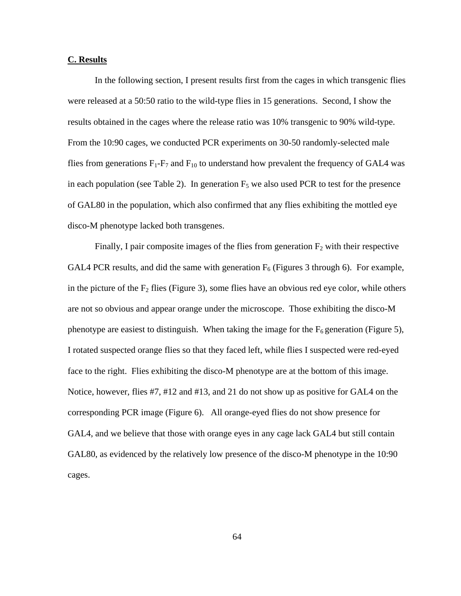# **C. Results**

In the following section, I present results first from the cages in which transgenic flies were released at a 50:50 ratio to the wild-type flies in 15 generations. Second, I show the results obtained in the cages where the release ratio was 10% transgenic to 90% wild-type. From the 10:90 cages, we conducted PCR experiments on 30-50 randomly-selected male flies from generations  $F_1$ - $F_7$  and  $F_{10}$  to understand how prevalent the frequency of GAL4 was in each population (see Table 2). In generation  $F_5$  we also used PCR to test for the presence of GAL80 in the population, which also confirmed that any flies exhibiting the mottled eye disco-M phenotype lacked both transgenes.

Finally, I pair composite images of the flies from generation  $F_2$  with their respective GAL4 PCR results, and did the same with generation  $F_6$  (Figures 3 through 6). For example, in the picture of the  $F_2$  flies (Figure 3), some flies have an obvious red eye color, while others are not so obvious and appear orange under the microscope. Those exhibiting the disco-M phenotype are easiest to distinguish. When taking the image for the  $F_6$  generation (Figure 5), I rotated suspected orange flies so that they faced left, while flies I suspected were red-eyed face to the right. Flies exhibiting the disco-M phenotype are at the bottom of this image. Notice, however, flies #7, #12 and #13, and 21 do not show up as positive for GAL4 on the corresponding PCR image (Figure 6). All orange-eyed flies do not show presence for GAL4, and we believe that those with orange eyes in any cage lack GAL4 but still contain GAL80, as evidenced by the relatively low presence of the disco-M phenotype in the 10:90 cages.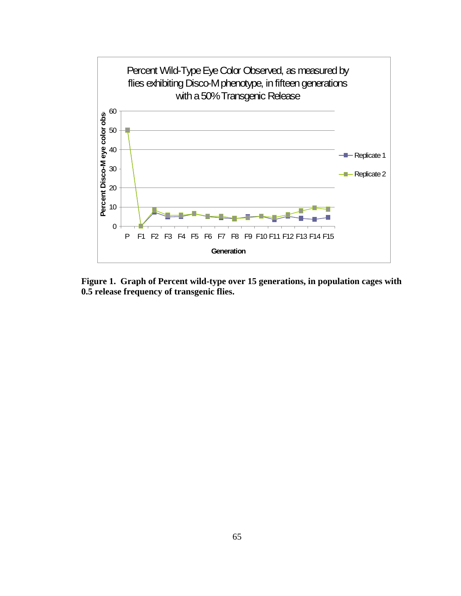

**Figure 1. Graph of Percent wild-type over 15 generations, in population cages with 0.5 release frequency of transgenic flies.**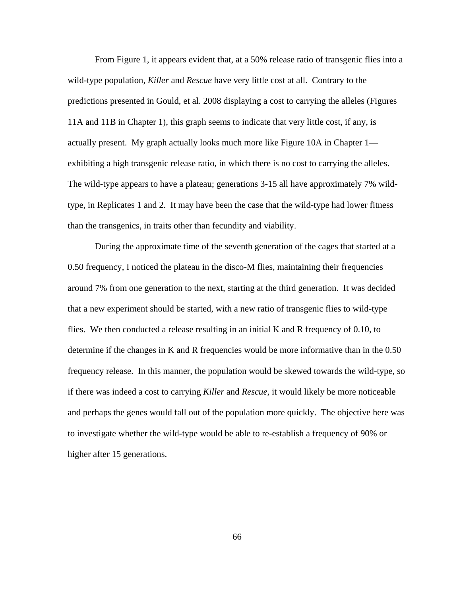From Figure 1, it appears evident that, at a 50% release ratio of transgenic flies into a wild-type population, *Killer* and *Rescue* have very little cost at all. Contrary to the predictions presented in Gould, et al. 2008 displaying a cost to carrying the alleles (Figures 11A and 11B in Chapter 1), this graph seems to indicate that very little cost, if any, is actually present. My graph actually looks much more like Figure 10A in Chapter 1 exhibiting a high transgenic release ratio, in which there is no cost to carrying the alleles. The wild-type appears to have a plateau; generations 3-15 all have approximately 7% wildtype, in Replicates 1 and 2. It may have been the case that the wild-type had lower fitness than the transgenics, in traits other than fecundity and viability.

During the approximate time of the seventh generation of the cages that started at a 0.50 frequency, I noticed the plateau in the disco-M flies, maintaining their frequencies around 7% from one generation to the next, starting at the third generation. It was decided that a new experiment should be started, with a new ratio of transgenic flies to wild-type flies. We then conducted a release resulting in an initial K and R frequency of 0.10, to determine if the changes in K and R frequencies would be more informative than in the 0.50 frequency release. In this manner, the population would be skewed towards the wild-type, so if there was indeed a cost to carrying *Killer* and *Rescue*, it would likely be more noticeable and perhaps the genes would fall out of the population more quickly. The objective here was to investigate whether the wild-type would be able to re-establish a frequency of 90% or higher after 15 generations.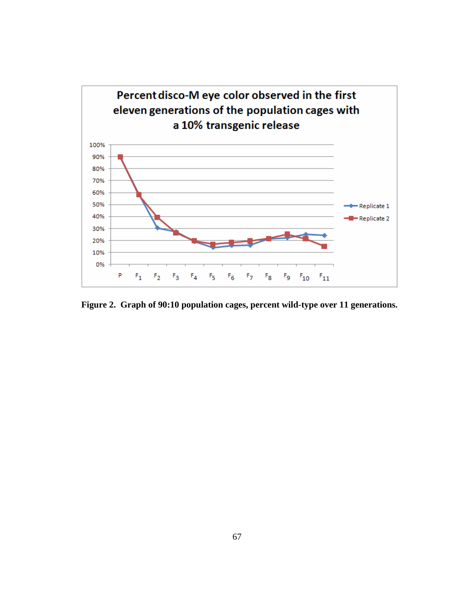

**Figure 2. Graph of 90:10 population cages, percent wild-type over 11 generations.**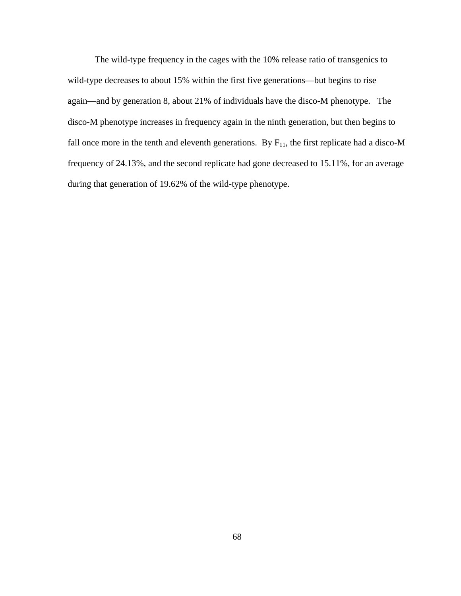The wild-type frequency in the cages with the 10% release ratio of transgenics to wild-type decreases to about 15% within the first five generations—but begins to rise again—and by generation 8, about 21% of individuals have the disco-M phenotype. The disco-M phenotype increases in frequency again in the ninth generation, but then begins to fall once more in the tenth and eleventh generations. By  $F_{11}$ , the first replicate had a disco-M frequency of 24.13%, and the second replicate had gone decreased to 15.11%, for an average during that generation of 19.62% of the wild-type phenotype.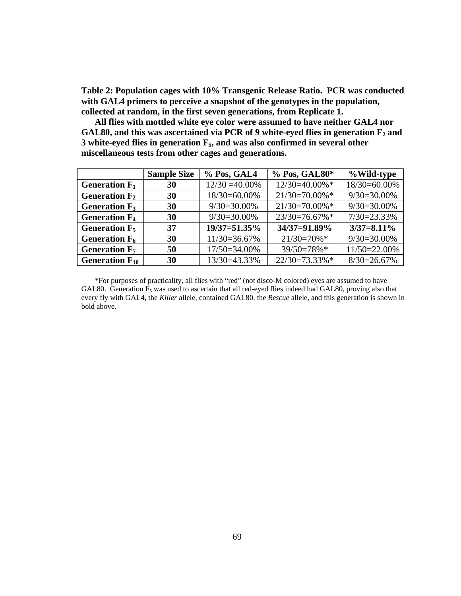**Table 2: Population cages with 10% Transgenic Release Ratio. PCR was conducted with GAL4 primers to perceive a snapshot of the genotypes in the population, collected at random, in the first seven generations, from Replicate 1.** 

**All flies with mottled white eye color were assumed to have neither GAL4 nor**  GAL80, and this was ascertained via PCR of 9 white-eyed flies in generation  $F_2$  and **3 white-eyed flies in generation F5, and was also confirmed in several other miscellaneous tests from other cages and generations.** 

|                                 | <b>Sample Size</b> | % Pos, GAL4       | % Pos, GAL80*     | %Wild-type     |
|---------------------------------|--------------------|-------------------|-------------------|----------------|
| Generation $F_1$                | 30                 | $12/30 = 40.00\%$ | 12/30=40.00%*     | 18/30=60.00%   |
| Generation $F_2$                | 30                 | 18/30=60.00%      | $21/30=70.00\%$ * | $9/30=30.00\%$ |
| Generation $F_3$                | 30                 | $9/30=30.00\%$    | $21/30=70.00\%$ * | $9/30=30.00\%$ |
| <b>Generation F<sub>4</sub></b> | 30                 | $9/30=30.00\%$    | $23/30=76.67\%*$  | $7/30=23.33\%$ |
| Generation $F_5$                | 37                 | 19/37=51.35%      | 34/37=91.89%      | $3/37=8.11\%$  |
| Generation $F_6$                | 30                 | 11/30=36.67%      | $21/30=70\%$ *    | $9/30=30.00\%$ |
| Generation $F_7$                | 50                 | 17/50=34.00%      | 39/50=78%*        | 11/50=22.00%   |
| Generation $F_{10}$             | 30                 | 13/30=43.33%      | $22/30=73.33\%*$  | $8/30=26.67%$  |

\*For purposes of practicality, all flies with "red" (not disco-M colored) eyes are assumed to have GAL80. Generation  $F_5$  was used to ascertain that all red-eyed flies indeed had GAL80, proving also that every fly with GAL4, the *Killer* allele, contained GAL80, the *Rescue* allele, and this generation is shown in bold above.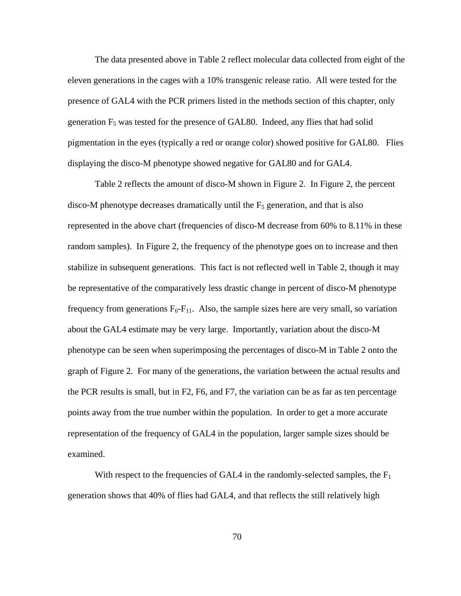The data presented above in Table 2 reflect molecular data collected from eight of the eleven generations in the cages with a 10% transgenic release ratio. All were tested for the presence of GAL4 with the PCR primers listed in the methods section of this chapter, only generation  $F_5$  was tested for the presence of GAL80. Indeed, any flies that had solid pigmentation in the eyes (typically a red or orange color) showed positive for GAL80. Flies displaying the disco-M phenotype showed negative for GAL80 and for GAL4.

 Table 2 reflects the amount of disco-M shown in Figure 2. In Figure 2, the percent disco-M phenotype decreases dramatically until the  $F_5$  generation, and that is also represented in the above chart (frequencies of disco-M decrease from 60% to 8.11% in these random samples). In Figure 2, the frequency of the phenotype goes on to increase and then stabilize in subsequent generations. This fact is not reflected well in Table 2, though it may be representative of the comparatively less drastic change in percent of disco-M phenotype frequency from generations  $F_6$ - $F_{11}$ . Also, the sample sizes here are very small, so variation about the GAL4 estimate may be very large. Importantly, variation about the disco-M phenotype can be seen when superimposing the percentages of disco-M in Table 2 onto the graph of Figure 2. For many of the generations, the variation between the actual results and the PCR results is small, but in F2, F6, and F7, the variation can be as far as ten percentage points away from the true number within the population. In order to get a more accurate representation of the frequency of GAL4 in the population, larger sample sizes should be examined.

With respect to the frequencies of GAL4 in the randomly-selected samples, the  $F_1$ generation shows that 40% of flies had GAL4, and that reflects the still relatively high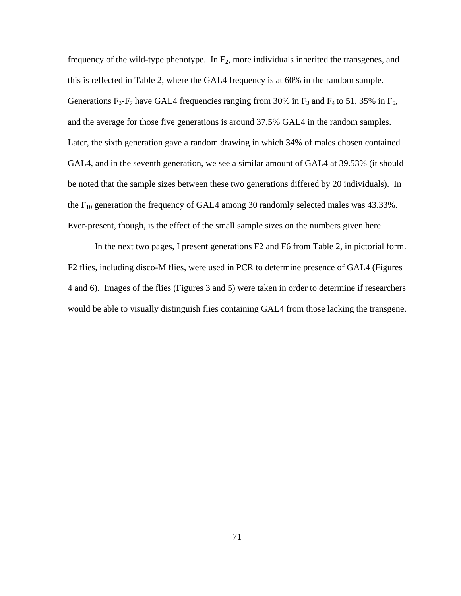frequency of the wild-type phenotype. In  $F_2$ , more individuals inherited the transgenes, and this is reflected in Table 2, where the GAL4 frequency is at 60% in the random sample. Generations  $F_3$ - $F_7$  have GAL4 frequencies ranging from 30% in  $F_3$  and  $F_4$  to 51. 35% in  $F_5$ , and the average for those five generations is around 37.5% GAL4 in the random samples. Later, the sixth generation gave a random drawing in which 34% of males chosen contained GAL4, and in the seventh generation, we see a similar amount of GAL4 at 39.53% (it should be noted that the sample sizes between these two generations differed by 20 individuals). In the  $F_{10}$  generation the frequency of GAL4 among 30 randomly selected males was 43.33%. Ever-present, though, is the effect of the small sample sizes on the numbers given here.

In the next two pages, I present generations F2 and F6 from Table 2, in pictorial form. F2 flies, including disco-M flies, were used in PCR to determine presence of GAL4 (Figures 4 and 6). Images of the flies (Figures 3 and 5) were taken in order to determine if researchers would be able to visually distinguish flies containing GAL4 from those lacking the transgene.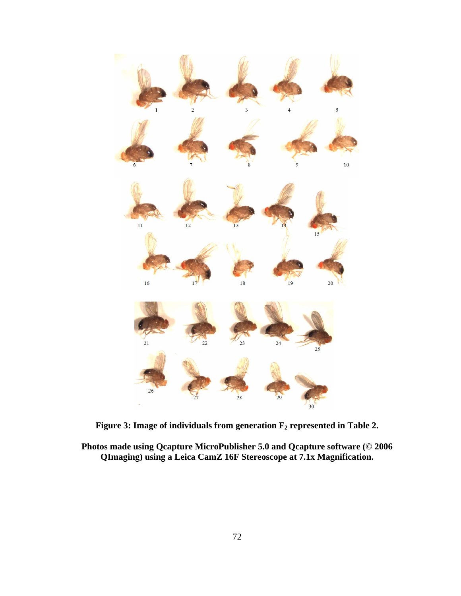

Figure 3: Image of individuals from generation  $F_2$  represented in Table 2.

**Photos made using Qcapture MicroPublisher 5.0 and Qcapture software (© 2006 QImaging) using a Leica CamZ 16F Stereoscope at 7.1x Magnification.**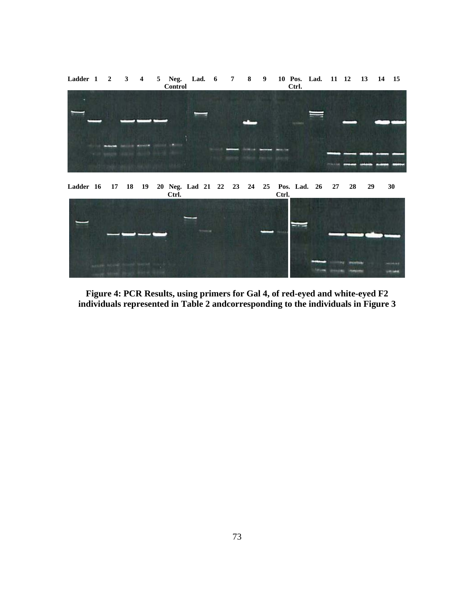

**Figure 4: PCR Results, using primers for Gal 4, of red-eyed and white-eyed F2 individuals represented in Table 2 andcorresponding to the individuals in Figure 3**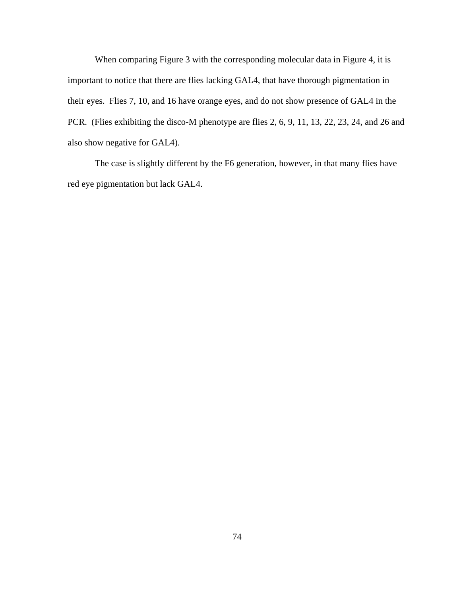When comparing Figure 3 with the corresponding molecular data in Figure 4, it is important to notice that there are flies lacking GAL4, that have thorough pigmentation in their eyes. Flies 7, 10, and 16 have orange eyes, and do not show presence of GAL4 in the PCR. (Flies exhibiting the disco-M phenotype are flies 2, 6, 9, 11, 13, 22, 23, 24, and 26 and also show negative for GAL4).

The case is slightly different by the F6 generation, however, in that many flies have red eye pigmentation but lack GAL4.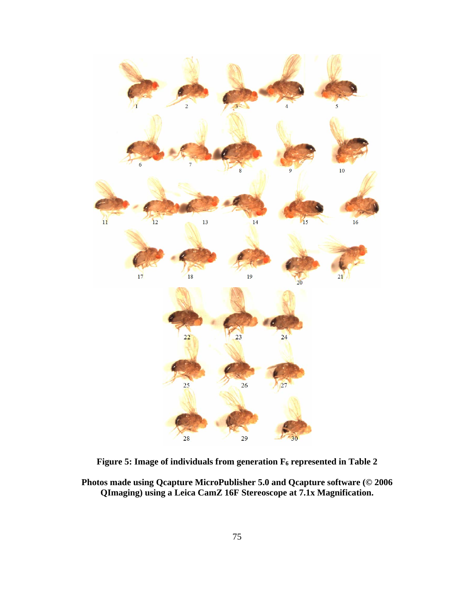

Figure 5: Image of individuals from generation  $F_6$  represented in Table 2

**Photos made using Qcapture MicroPublisher 5.0 and Qcapture software (© 2006 QImaging) using a Leica CamZ 16F Stereoscope at 7.1x Magnification.**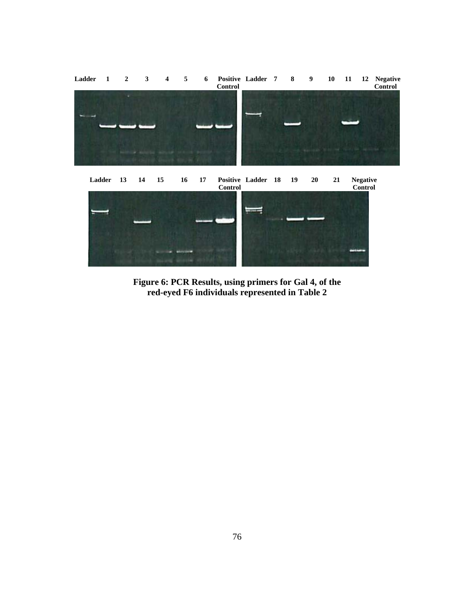

**Figure 6: PCR Results, using primers for Gal 4, of the red-eyed F6 individuals represented in Table 2**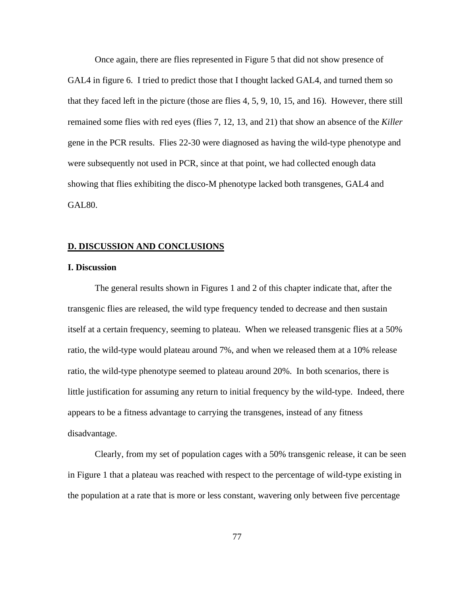Once again, there are flies represented in Figure 5 that did not show presence of GAL4 in figure 6. I tried to predict those that I thought lacked GAL4, and turned them so that they faced left in the picture (those are flies 4, 5, 9, 10, 15, and 16). However, there still remained some flies with red eyes (flies 7, 12, 13, and 21) that show an absence of the *Killer* gene in the PCR results. Flies 22-30 were diagnosed as having the wild-type phenotype and were subsequently not used in PCR, since at that point, we had collected enough data showing that flies exhibiting the disco-M phenotype lacked both transgenes, GAL4 and GAL80.

#### **D. DISCUSSION AND CONCLUSIONS**

#### **I. Discussion**

The general results shown in Figures 1 and 2 of this chapter indicate that, after the transgenic flies are released, the wild type frequency tended to decrease and then sustain itself at a certain frequency, seeming to plateau. When we released transgenic flies at a 50% ratio, the wild-type would plateau around 7%, and when we released them at a 10% release ratio, the wild-type phenotype seemed to plateau around 20%. In both scenarios, there is little justification for assuming any return to initial frequency by the wild-type. Indeed, there appears to be a fitness advantage to carrying the transgenes, instead of any fitness disadvantage.

Clearly, from my set of population cages with a 50% transgenic release, it can be seen in Figure 1 that a plateau was reached with respect to the percentage of wild-type existing in the population at a rate that is more or less constant, wavering only between five percentage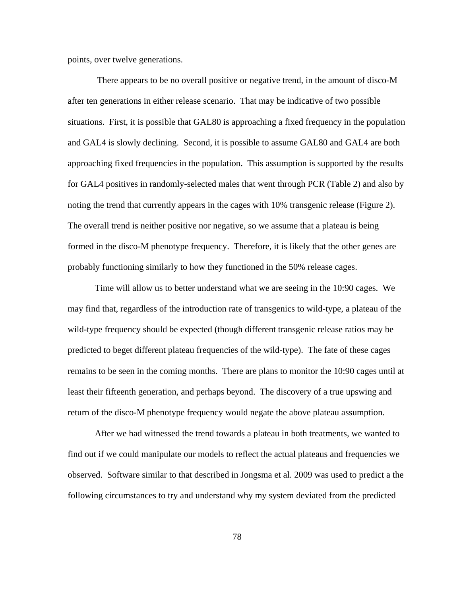points, over twelve generations.

 There appears to be no overall positive or negative trend, in the amount of disco-M after ten generations in either release scenario. That may be indicative of two possible situations. First, it is possible that GAL80 is approaching a fixed frequency in the population and GAL4 is slowly declining. Second, it is possible to assume GAL80 and GAL4 are both approaching fixed frequencies in the population. This assumption is supported by the results for GAL4 positives in randomly-selected males that went through PCR (Table 2) and also by noting the trend that currently appears in the cages with 10% transgenic release (Figure 2). The overall trend is neither positive nor negative, so we assume that a plateau is being formed in the disco-M phenotype frequency. Therefore, it is likely that the other genes are probably functioning similarly to how they functioned in the 50% release cages.

Time will allow us to better understand what we are seeing in the 10:90 cages. We may find that, regardless of the introduction rate of transgenics to wild-type, a plateau of the wild-type frequency should be expected (though different transgenic release ratios may be predicted to beget different plateau frequencies of the wild-type). The fate of these cages remains to be seen in the coming months. There are plans to monitor the 10:90 cages until at least their fifteenth generation, and perhaps beyond. The discovery of a true upswing and return of the disco-M phenotype frequency would negate the above plateau assumption.

 After we had witnessed the trend towards a plateau in both treatments, we wanted to find out if we could manipulate our models to reflect the actual plateaus and frequencies we observed. Software similar to that described in Jongsma et al. 2009 was used to predict a the following circumstances to try and understand why my system deviated from the predicted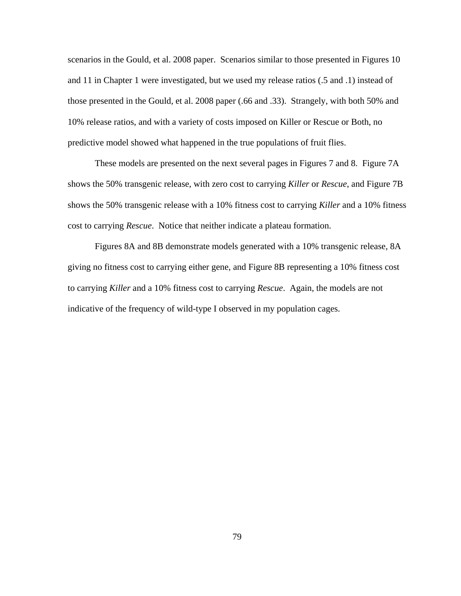scenarios in the Gould, et al. 2008 paper. Scenarios similar to those presented in Figures 10 and 11 in Chapter 1 were investigated, but we used my release ratios (.5 and .1) instead of those presented in the Gould, et al. 2008 paper (.66 and .33). Strangely, with both 50% and 10% release ratios, and with a variety of costs imposed on Killer or Rescue or Both, no predictive model showed what happened in the true populations of fruit flies.

 These models are presented on the next several pages in Figures 7 and 8. Figure 7A shows the 50% transgenic release, with zero cost to carrying *Killer* or *Rescue*, and Figure 7B shows the 50% transgenic release with a 10% fitness cost to carrying *Killer* and a 10% fitness cost to carrying *Rescue*. Notice that neither indicate a plateau formation.

 Figures 8A and 8B demonstrate models generated with a 10% transgenic release, 8A giving no fitness cost to carrying either gene, and Figure 8B representing a 10% fitness cost to carrying *Killer* and a 10% fitness cost to carrying *Rescue*. Again, the models are not indicative of the frequency of wild-type I observed in my population cages.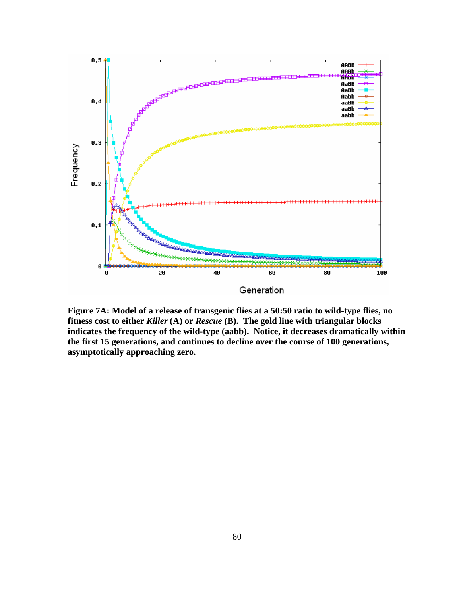

**Figure 7A: Model of a release of transgenic flies at a 50:50 ratio to wild-type flies, no fitness cost to either** *Killer* **(A) or** *Rescue* **(B). The gold line with triangular blocks indicates the frequency of the wild-type (aabb). Notice, it decreases dramatically within the first 15 generations, and continues to decline over the course of 100 generations, asymptotically approaching zero.**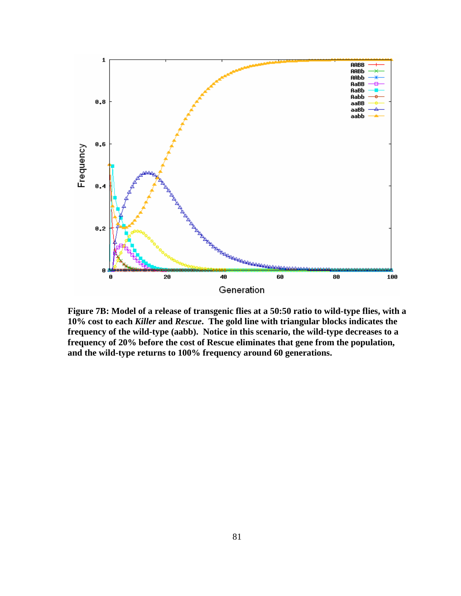

**Figure 7B: Model of a release of transgenic flies at a 50:50 ratio to wild-type flies, with a 10% cost to each** *Killer* **and** *Rescue***. The gold line with triangular blocks indicates the frequency of the wild-type (aabb). Notice in this scenario, the wild-type decreases to a frequency of 20% before the cost of Rescue eliminates that gene from the population, and the wild-type returns to 100% frequency around 60 generations.**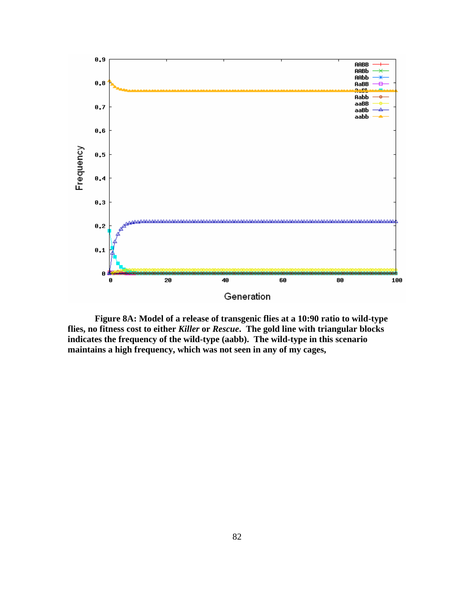

**Figure 8A: Model of a release of transgenic flies at a 10:90 ratio to wild-type flies, no fitness cost to either** *Killer* **or** *Rescue***. The gold line with triangular blocks indicates the frequency of the wild-type (aabb). The wild-type in this scenario maintains a high frequency, which was not seen in any of my cages,**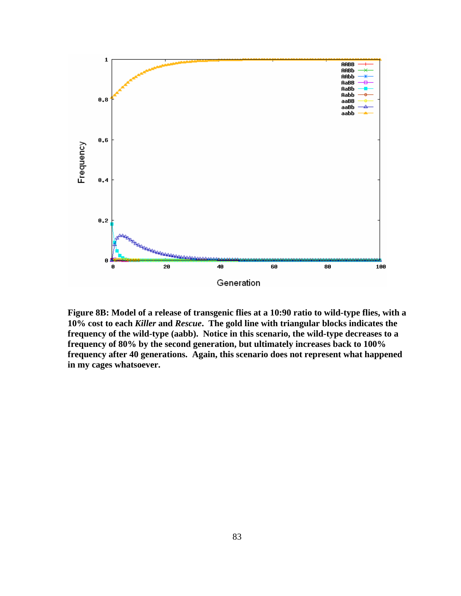

**Figure 8B: Model of a release of transgenic flies at a 10:90 ratio to wild-type flies, with a 10% cost to each** *Killer* **and** *Rescue***. The gold line with triangular blocks indicates the frequency of the wild-type (aabb). Notice in this scenario, the wild-type decreases to a frequency of 80% by the second generation, but ultimately increases back to 100% frequency after 40 generations. Again, this scenario does not represent what happened in my cages whatsoever.**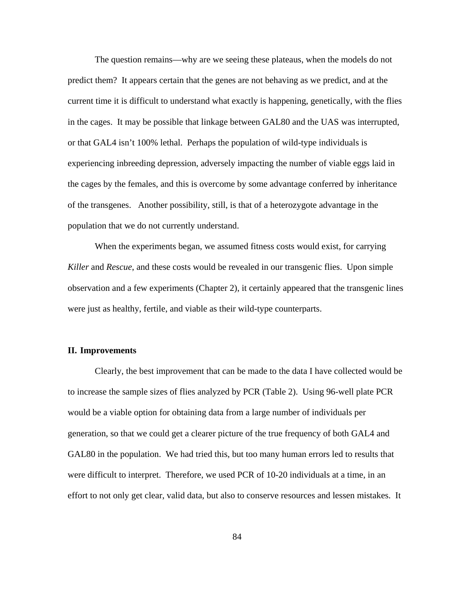The question remains—why are we seeing these plateaus, when the models do not predict them? It appears certain that the genes are not behaving as we predict, and at the current time it is difficult to understand what exactly is happening, genetically, with the flies in the cages. It may be possible that linkage between GAL80 and the UAS was interrupted, or that GAL4 isn't 100% lethal. Perhaps the population of wild-type individuals is experiencing inbreeding depression, adversely impacting the number of viable eggs laid in the cages by the females, and this is overcome by some advantage conferred by inheritance of the transgenes. Another possibility, still, is that of a heterozygote advantage in the population that we do not currently understand.

When the experiments began, we assumed fitness costs would exist, for carrying *Killer* and *Rescue*, and these costs would be revealed in our transgenic flies. Upon simple observation and a few experiments (Chapter 2), it certainly appeared that the transgenic lines were just as healthy, fertile, and viable as their wild-type counterparts.

# **II. Improvements**

 Clearly, the best improvement that can be made to the data I have collected would be to increase the sample sizes of flies analyzed by PCR (Table 2). Using 96-well plate PCR would be a viable option for obtaining data from a large number of individuals per generation, so that we could get a clearer picture of the true frequency of both GAL4 and GAL80 in the population. We had tried this, but too many human errors led to results that were difficult to interpret. Therefore, we used PCR of 10-20 individuals at a time, in an effort to not only get clear, valid data, but also to conserve resources and lessen mistakes. It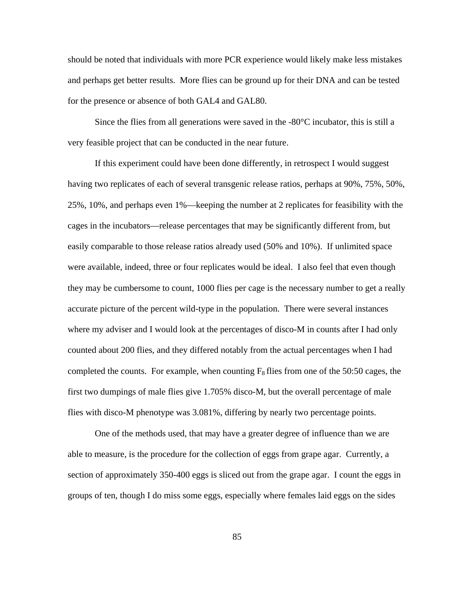should be noted that individuals with more PCR experience would likely make less mistakes and perhaps get better results. More flies can be ground up for their DNA and can be tested for the presence or absence of both GAL4 and GAL80.

 Since the flies from all generations were saved in the -80°C incubator, this is still a very feasible project that can be conducted in the near future.

If this experiment could have been done differently, in retrospect I would suggest having two replicates of each of several transgenic release ratios, perhaps at 90%, 75%, 50%, 25%, 10%, and perhaps even 1%—keeping the number at 2 replicates for feasibility with the cages in the incubators—release percentages that may be significantly different from, but easily comparable to those release ratios already used (50% and 10%). If unlimited space were available, indeed, three or four replicates would be ideal. I also feel that even though they may be cumbersome to count, 1000 flies per cage is the necessary number to get a really accurate picture of the percent wild-type in the population. There were several instances where my adviser and I would look at the percentages of disco-M in counts after I had only counted about 200 flies, and they differed notably from the actual percentages when I had completed the counts. For example, when counting  $F_8$  flies from one of the 50:50 cages, the first two dumpings of male flies give 1.705% disco-M, but the overall percentage of male flies with disco-M phenotype was 3.081%, differing by nearly two percentage points.

 One of the methods used, that may have a greater degree of influence than we are able to measure, is the procedure for the collection of eggs from grape agar. Currently, a section of approximately 350-400 eggs is sliced out from the grape agar. I count the eggs in groups of ten, though I do miss some eggs, especially where females laid eggs on the sides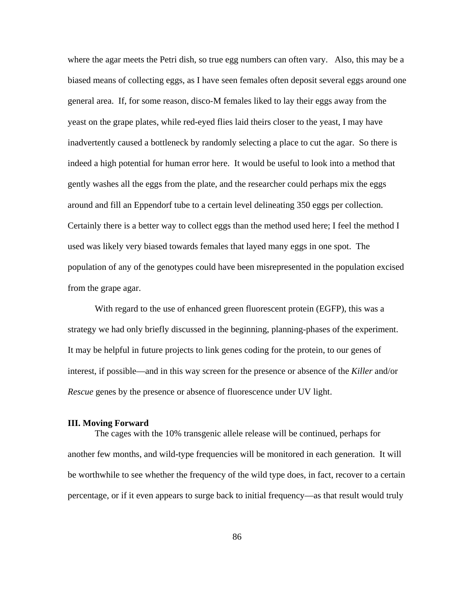where the agar meets the Petri dish, so true egg numbers can often vary. Also, this may be a biased means of collecting eggs, as I have seen females often deposit several eggs around one general area. If, for some reason, disco-M females liked to lay their eggs away from the yeast on the grape plates, while red-eyed flies laid theirs closer to the yeast, I may have inadvertently caused a bottleneck by randomly selecting a place to cut the agar. So there is indeed a high potential for human error here. It would be useful to look into a method that gently washes all the eggs from the plate, and the researcher could perhaps mix the eggs around and fill an Eppendorf tube to a certain level delineating 350 eggs per collection. Certainly there is a better way to collect eggs than the method used here; I feel the method I used was likely very biased towards females that layed many eggs in one spot. The population of any of the genotypes could have been misrepresented in the population excised from the grape agar.

 With regard to the use of enhanced green fluorescent protein (EGFP), this was a strategy we had only briefly discussed in the beginning, planning-phases of the experiment. It may be helpful in future projects to link genes coding for the protein, to our genes of interest, if possible—and in this way screen for the presence or absence of the *Killer* and/or *Rescue* genes by the presence or absence of fluorescence under UV light.

#### **III. Moving Forward**

The cages with the 10% transgenic allele release will be continued, perhaps for another few months, and wild-type frequencies will be monitored in each generation. It will be worthwhile to see whether the frequency of the wild type does, in fact, recover to a certain percentage, or if it even appears to surge back to initial frequency—as that result would truly

86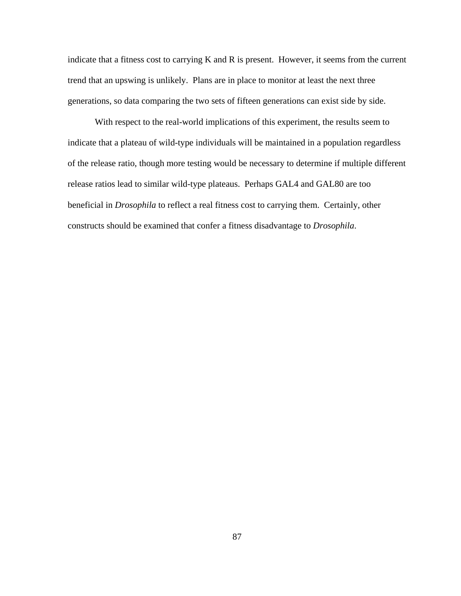indicate that a fitness cost to carrying K and R is present. However, it seems from the current trend that an upswing is unlikely. Plans are in place to monitor at least the next three generations, so data comparing the two sets of fifteen generations can exist side by side.

 With respect to the real-world implications of this experiment, the results seem to indicate that a plateau of wild-type individuals will be maintained in a population regardless of the release ratio, though more testing would be necessary to determine if multiple different release ratios lead to similar wild-type plateaus. Perhaps GAL4 and GAL80 are too beneficial in *Drosophila* to reflect a real fitness cost to carrying them. Certainly, other constructs should be examined that confer a fitness disadvantage to *Drosophila*.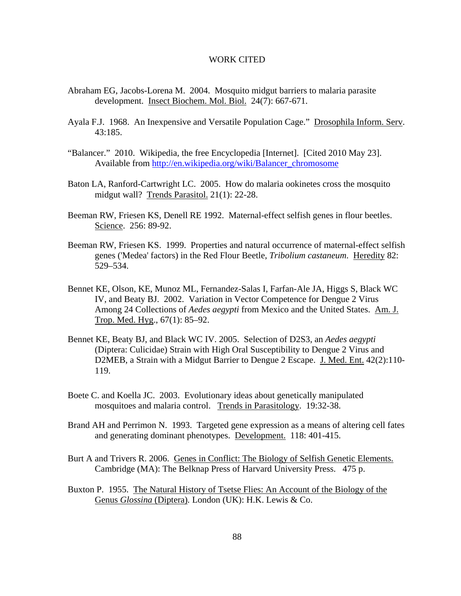## WORK CITED

- Abraham EG, Jacobs-Lorena M. 2004. Mosquito midgut barriers to malaria parasite development. Insect Biochem. Mol. Biol. 24(7): 667-671.
- Ayala F.J. 1968. An Inexpensive and Versatile Population Cage." Drosophila Inform. Serv. 43:185.
- "Balancer." 2010. Wikipedia, the free Encyclopedia [Internet]. [Cited 2010 May 23]. Available from http://en.wikipedia.org/wiki/Balancer\_chromosome
- Baton LA, Ranford-Cartwright LC. 2005. How do malaria ookinetes cross the mosquito midgut wall? Trends Parasitol. 21(1): 22-28.
- Beeman RW, Friesen KS, Denell RE 1992. Maternal-effect selfish genes in flour beetles. Science. 256: 89-92.
- Beeman RW, Friesen KS. 1999. Properties and natural occurrence of maternal-effect selfish genes ('Medea' factors) in the Red Flour Beetle, *Tribolium castaneum*. Heredity 82: 529–534.
- Bennet KE, Olson, KE, Munoz ML, Fernandez-Salas I, Farfan-Ale JA, Higgs S, Black WC IV, and Beaty BJ. 2002. Variation in Vector Competence for Dengue 2 Virus Among 24 Collections of *Aedes aegypti* from Mexico and the United States. Am. J. Trop. Med. Hyg., 67(1): 85–92.
- Bennet KE, Beaty BJ, and Black WC IV. 2005. Selection of D2S3, an *Aedes aegypti* (Diptera: Culicidae) Strain with High Oral Susceptibility to Dengue 2 Virus and D2MEB, a Strain with a Midgut Barrier to Dengue 2 Escape. J. Med. Ent. 42(2):110- 119.
- Boete C. and Koella JC. 2003. Evolutionary ideas about genetically manipulated mosquitoes and malaria control. Trends in Parasitology. 19:32-38.
- Brand AH and Perrimon N. 1993. Targeted gene expression as a means of altering cell fates and generating dominant phenotypes. Development. 118: 401-415.
- Burt A and Trivers R. 2006. Genes in Conflict: The Biology of Selfish Genetic Elements. Cambridge (MA): The Belknap Press of Harvard University Press. 475 p.
- Buxton P. 1955. The Natural History of Tsetse Flies: An Account of the Biology of the Genus *Glossina* (Diptera)*.* London (UK): H.K. Lewis & Co.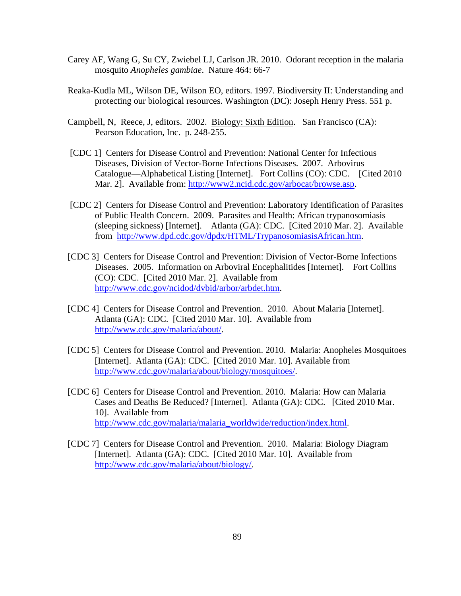- Carey AF, Wang G, Su CY, Zwiebel LJ, Carlson JR. 2010. Odorant reception in the malaria mosquito *Anopheles gambiae*. Nature 464: 66-7
- Reaka-Kudla ML, Wilson DE, Wilson EO, editors. 1997. Biodiversity II: Understanding and protecting our biological resources. Washington (DC): Joseph Henry Press. 551 p.
- Campbell, N, Reece, J, editors. 2002. Biology: Sixth Edition. San Francisco (CA): Pearson Education, Inc. p. 248-255.
- [CDC 1] Centers for Disease Control and Prevention: National Center for Infectious Diseases, Division of Vector-Borne Infections Diseases. 2007. Arbovirus Catalogue—Alphabetical Listing [Internet]. Fort Collins (CO): CDC. [Cited 2010 Mar. 2]. Available from: http://www2.ncid.cdc.gov/arbocat/browse.asp.
- [CDC 2] Centers for Disease Control and Prevention: Laboratory Identification of Parasites of Public Health Concern. 2009. Parasites and Health: African trypanosomiasis (sleeping sickness) [Internet]. Atlanta (GA): CDC. [Cited 2010 Mar. 2]. Available from http://www.dpd.cdc.gov/dpdx/HTML/TrypanosomiasisAfrican.htm.
- [CDC 3] Centers for Disease Control and Prevention: Division of Vector-Borne Infections Diseases. 2005. Information on Arboviral Encephalitides [Internet]. Fort Collins (CO): CDC. [Cited 2010 Mar. 2]. Available from http://www.cdc.gov/ncidod/dvbid/arbor/arbdet.htm.
- [CDC 4] Centers for Disease Control and Prevention. 2010. About Malaria [Internet]. Atlanta (GA): CDC. [Cited 2010 Mar. 10]. Available from http://www.cdc.gov/malaria/about/.
- [CDC 5] Centers for Disease Control and Prevention. 2010. Malaria: Anopheles Mosquitoes [Internet]. Atlanta (GA): CDC. [Cited 2010 Mar. 10]. Available from http://www.cdc.gov/malaria/about/biology/mosquitoes/.
- [CDC 6] Centers for Disease Control and Prevention. 2010. Malaria: How can Malaria Cases and Deaths Be Reduced? [Internet]. Atlanta (GA): CDC. [Cited 2010 Mar. 10]. Available from http://www.cdc.gov/malaria/malaria\_worldwide/reduction/index.html.
- [CDC 7] Centers for Disease Control and Prevention. 2010. Malaria: Biology Diagram [Internet]. Atlanta (GA): CDC. [Cited 2010 Mar. 10]. Available from http://www.cdc.gov/malaria/about/biology/.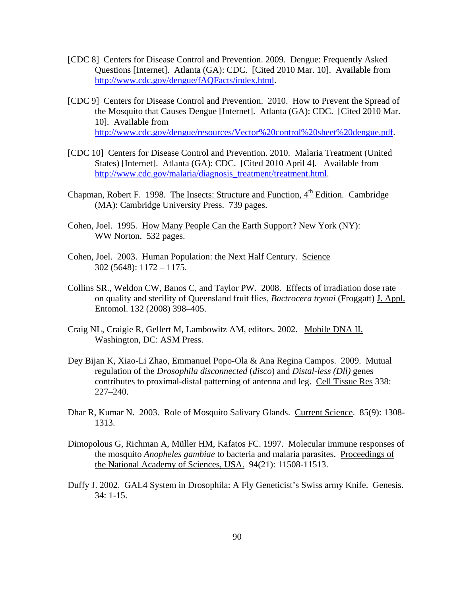- [CDC 8] Centers for Disease Control and Prevention. 2009. Dengue: Frequently Asked Questions [Internet]. Atlanta (GA): CDC. [Cited 2010 Mar. 10]. Available from http://www.cdc.gov/dengue/fAQFacts/index.html.
- [CDC 9] Centers for Disease Control and Prevention. 2010. How to Prevent the Spread of the Mosquito that Causes Dengue [Internet]. Atlanta (GA): CDC. [Cited 2010 Mar. 10]. Available from http://www.cdc.gov/dengue/resources/Vector%20control%20sheet%20dengue.pdf.
- [CDC 10] Centers for Disease Control and Prevention. 2010. Malaria Treatment (United States) [Internet]. Atlanta (GA): CDC. [Cited 2010 April 4]. Available from http://www.cdc.gov/malaria/diagnosis\_treatment/treatment.html.
- Chapman, Robert F. 1998. The Insects: Structure and Function, 4<sup>th</sup> Edition. Cambridge (MA): Cambridge University Press. 739 pages.
- Cohen, Joel. 1995. How Many People Can the Earth Support? New York (NY): WW Norton. 532 pages.
- Cohen, Joel. 2003. Human Population: the Next Half Century. Science 302 (5648): 1172 – 1175.
- Collins SR., Weldon CW, Banos C, and Taylor PW. 2008. Effects of irradiation dose rate on quality and sterility of Queensland fruit flies, *Bactrocera tryoni* (Froggatt) J. Appl. Entomol. 132 (2008) 398–405.
- Craig NL, Craigie R, Gellert M, Lambowitz AM, editors. 2002. Mobile DNA II. Washington, DC: ASM Press.
- Dey Bijan K, Xiao-Li Zhao, Emmanuel Popo-Ola & Ana Regina Campos. 2009. Mutual regulation of the *Drosophila disconnected* (*disco*) and *Distal-less (Dll)* genes contributes to proximal-distal patterning of antenna and leg. Cell Tissue Res 338: 227–240.
- Dhar R, Kumar N. 2003. Role of Mosquito Salivary Glands. Current Science. 85(9): 1308- 1313.
- Dimopolous G, Richman A, Müller HM, Kafatos FC. 1997. Molecular immune responses of the mosquito *Anopheles gambiae* to bacteria and malaria parasites. Proceedings of the National Academy of Sciences, USA. 94(21): 11508-11513.
- Duffy J. 2002. GAL4 System in Drosophila: A Fly Geneticist's Swiss army Knife. Genesis. 34: 1-15.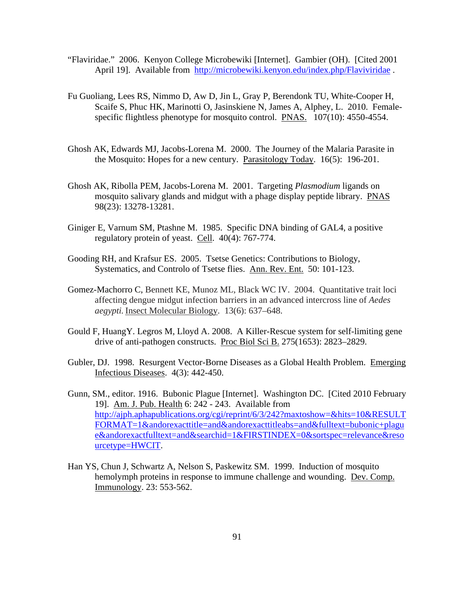- "Flaviridae." 2006. Kenyon College Microbewiki [Internet]. Gambier (OH). [Cited 2001 April 19]. Available from http://microbewiki.kenyon.edu/index.php/Flaviviridae.
- Fu Guoliang, Lees RS, Nimmo D, Aw D, Jin L, Gray P, Berendonk TU, White-Cooper H, Scaife S, Phuc HK, Marinotti O, Jasinskiene N, James A, Alphey, L. 2010. Femalespecific flightless phenotype for mosquito control. PNAS. 107(10): 4550-4554.
- Ghosh AK, Edwards MJ, Jacobs-Lorena M. 2000. The Journey of the Malaria Parasite in the Mosquito: Hopes for a new century. Parasitology Today. 16(5): 196-201.
- Ghosh AK, Ribolla PEM, Jacobs-Lorena M. 2001. Targeting *Plasmodium* ligands on mosquito salivary glands and midgut with a phage display peptide library. PNAS 98(23): 13278-13281.
- Giniger E, Varnum SM, Ptashne M. 1985. Specific DNA binding of GAL4, a positive regulatory protein of yeast. Cell. 40(4): 767-774.
- Gooding RH, and Krafsur ES. 2005. Tsetse Genetics: Contributions to Biology, Systematics, and Controlo of Tsetse flies. Ann. Rev. Ent. 50: 101-123.
- Gomez-Machorro C, Bennett KE, Munoz ML, Black WC IV. 2004. Quantitative trait loci affecting dengue midgut infection barriers in an advanced intercross line of *Aedes aegypti.* Insect Molecular Biology. 13(6): 637–648.
- Gould F, HuangY. Legros M, Lloyd A. 2008. A Killer-Rescue system for self-limiting gene drive of anti-pathogen constructs. Proc Biol Sci B. 275(1653): 2823–2829.
- Gubler, DJ. 1998. Resurgent Vector-Borne Diseases as a Global Health Problem. Emerging Infectious Diseases. 4(3): 442-450.
- Gunn, SM., editor. 1916. Bubonic Plague [Internet]. Washington DC. [Cited 2010 February 19]. Am. J. Pub. Health 6: 242 - 243. Available from http://ajph.aphapublications.org/cgi/reprint/6/3/242?maxtoshow=&hits=10&RESULT FORMAT=1&andorexacttitle=and&andorexacttitleabs=and&fulltext=bubonic+plagu e&andorexactfulltext=and&searchid=1&FIRSTINDEX=0&sortspec=relevance&reso urcetype=HWCIT.
- Han YS, Chun J, Schwartz A, Nelson S, Paskewitz SM. 1999. Induction of mosquito hemolymph proteins in response to immune challenge and wounding. Dev. Comp. Immunology. 23: 553-562.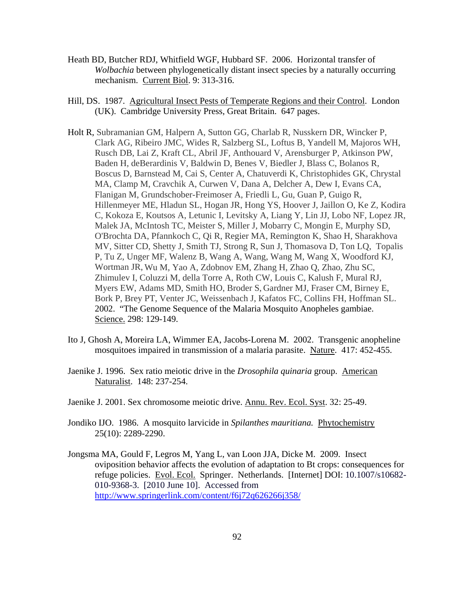- Heath BD, Butcher RDJ, Whitfield WGF, Hubbard SF. 2006. Horizontal transfer of *Wolbachia* between phylogenetically distant insect species by a naturally occurring mechanism. Current Biol. 9: 313-316.
- Hill, DS. 1987. Agricultural Insect Pests of Temperate Regions and their Control. London (UK). Cambridge University Press, Great Britain. 647 pages.
- Holt R, Subramanian GM, Halpern A, Sutton GG, Charlab R, Nusskern DR, Wincker P, Clark AG, Ribeiro JMC, Wides R, Salzberg SL, Loftus B, Yandell M, Majoros WH, Rusch DB, Lai Z, Kraft CL, Abril JF, Anthouard V, Arensburger P, Atkinson PW, Baden H, deBerardinis V, Baldwin D, Benes V, Biedler J, Blass C, Bolanos R, Boscus D, Barnstead M, Cai S, Center A, Chatuverdi K, Christophides GK, Chrystal MA, Clamp M, Cravchik A, Curwen V, Dana A, Delcher A, Dew I, Evans CA, Flanigan M, Grundschober-Freimoser A, Friedli L, Gu, Guan P, Guigo R, Hillenmeyer ME, Hladun SL, Hogan JR, Hong YS, Hoover J, Jaillon O, Ke Z, Kodira C, Kokoza E, Koutsos A, Letunic I, Levitsky A, Liang Y, Lin JJ, Lobo NF, Lopez JR, Malek JA, McIntosh TC, Meister S, Miller J, Mobarry C, Mongin E, Murphy SD, O'Brochta DA, Pfannkoch C, Qi R, Regier MA, Remington K, Shao H, Sharakhova MV, Sitter CD, Shetty J, Smith TJ, Strong R, Sun J, Thomasova D, Ton LQ, Topalis P, Tu Z, Unger MF, Walenz B, Wang A, Wang, Wang M, Wang X, Woodford KJ, Wortman JR, Wu M, Yao A, Zdobnov EM, Zhang H, Zhao Q, Zhao, Zhu SC, Zhimulev I, Coluzzi M, della Torre A, Roth CW, Louis C, Kalush F, Mural RJ, Myers EW, Adams MD, Smith HO, Broder S, Gardner MJ, Fraser CM, Birney E, Bork P, Brey PT, Venter JC, Weissenbach J, Kafatos FC, Collins FH, Hoffman SL. 2002."The Genome Sequence of the Malaria Mosquito Anopheles gambiae. Science. 298: 129-149.
- Ito J, Ghosh A, Moreira LA, Wimmer EA, Jacobs-Lorena M. 2002. Transgenic anopheline mosquitoes impaired in transmission of a malaria parasite. Nature. 417: 452-455.
- Jaenike J. 1996. Sex ratio meiotic drive in the *Drosophila quinaria* group. American Naturalist. 148: 237-254.
- Jaenike J. 2001. Sex chromosome meiotic drive. Annu. Rev. Ecol. Syst. 32: 25-49.
- Jondiko IJO. 1986. A mosquito larvicide in *Spilanthes mauritiana.* Phytochemistry 25(10): 2289-2290.
- Jongsma MA, Gould F, Legros M, Yang L, van Loon JJA, Dicke M. 2009. Insect oviposition behavior affects the evolution of adaptation to Bt crops: consequences for refuge policies. Evol. Ecol. Springer. Netherlands. [Internet] DOI: 10.1007/s10682- 010-9368-3. [2010 June 10]. Accessed from http://www.springerlink.com/content/f6j72q626266j358/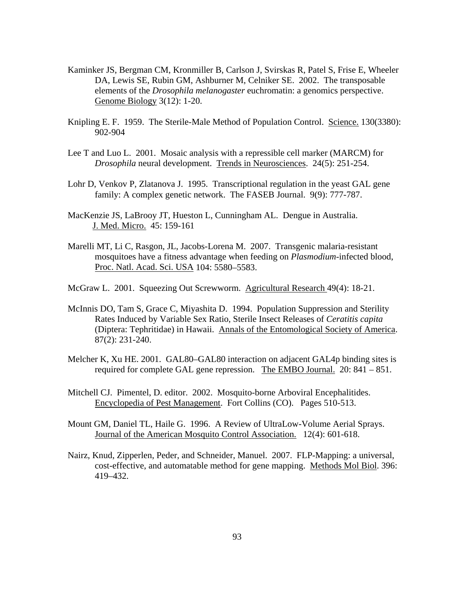- Kaminker JS, Bergman CM, Kronmiller B, Carlson J, Svirskas R, Patel S, Frise E, Wheeler DA, Lewis SE, Rubin GM, Ashburner M, Celniker SE. 2002. The transposable elements of the *Drosophila melanogaster* euchromatin: a genomics perspective. Genome Biology 3(12): 1-20.
- Knipling E. F. 1959. The Sterile-Male Method of Population Control. Science. 130(3380): 902-904
- Lee T and Luo L. 2001. Mosaic analysis with a repressible cell marker (MARCM) for *Drosophila* neural development. Trends in Neurosciences. 24(5): 251-254.
- Lohr D, Venkov P, Zlatanova J. 1995. Transcriptional regulation in the yeast GAL gene family: A complex genetic network. The FASEB Journal. 9(9): 777-787.
- MacKenzie JS, LaBrooy JT, Hueston L, Cunningham AL. Dengue in Australia. J. Med. Micro. 45: 159-161
- Marelli MT, Li C, Rasgon, JL, Jacobs-Lorena M. 2007. Transgenic malaria-resistant mosquitoes have a fitness advantage when feeding on *Plasmodium*-infected blood, Proc. Natl. Acad. Sci. USA 104: 5580–5583.
- McGraw L. 2001. Squeezing Out Screwworm. Agricultural Research 49(4): 18-21.
- McInnis DO, Tam S, Grace C, Miyashita D. 1994. Population Suppression and Sterility Rates Induced by Variable Sex Ratio, Sterile Insect Releases of *Ceratitis capita* (Diptera: Tephritidae) in Hawaii. Annals of the Entomological Society of America. 87(2): 231-240.
- Melcher K, Xu HE. 2001. GAL80–GAL80 interaction on adjacent GAL4p binding sites is required for complete GAL gene repression. The EMBO Journal. 20: 841 – 851.
- Mitchell CJ. Pimentel, D. editor. 2002. Mosquito-borne Arboviral Encephalitides. Encyclopedia of Pest Management. Fort Collins (CO). Pages 510-513.
- Mount GM, Daniel TL, Haile G. 1996. A Review of UltraLow-Volume Aerial Sprays. Journal of the American Mosquito Control Association. 12(4): 601-618.
- Nairz, Knud, Zipperlen, Peder, and Schneider, Manuel. 2007. FLP-Mapping: a universal, cost-effective, and automatable method for gene mapping. Methods Mol Biol. 396: 419–432.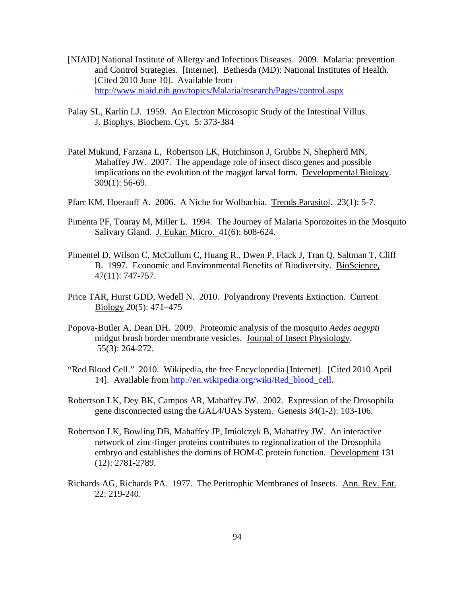- [NIAID] National Institute of Allergy and Infectious Diseases. 2009. Malaria: prevention and Control Strategies. [Internet]. Bethesda (MD): National Institutes of Health. [Cited 2010 June 10]. Available from http://www.niaid.nih.gov/topics/Malaria/research/Pages/control.aspx
- Palay SL, Karlin LJ. 1959. An Electron Microsopic Study of the Intestinal Villus. J. Biophys. Biochem. Cyt. 5: 373-384
- Patel Mukund, Farzana L, Robertson LK, Hutchinson J, Grubbs N, Shepherd MN, Mahaffey JW. 2007. The appendage role of insect disco genes and possible implications on the evolution of the maggot larval form. Developmental Biology. 309(1): 56-69.
- Pfarr KM, Hoerauff A. 2006. A Niche for Wolbachia. Trends Parasitol. 23(1): 5-7.
- Pimenta PF, Touray M, Miller L. 1994. The Journey of Malaria Sporozoites in the Mosquito Salivary Gland. J. Eukar. Micro. 41(6): 608-624.
- Pimentel D, Wilson C, McCullum C, Huang R., Dwen P, Flack J, Tran Q, Saltman T, Cliff B. 1997. Economic and Environmental Benefits of Biodiversity. BioScience*,* 47(11): 747-757.
- Price TAR, Hurst GDD, Wedell N. 2010. Polyandrony Prevents Extinction. Current Biology 20(5): 471–475
- Popova-Butler A, Dean DH. 2009. Proteomic analysis of the mosquito *Aedes aegypti* midgut brush border membrane vesicles. Journal of Insect Physiology. 55(3): 264-272.
- "Red Blood Cell." 2010. Wikipedia, the free Encyclopedia [Internet]. [Cited 2010 April 14]. Available from http://en.wikipedia.org/wiki/Red\_blood\_cell.
- Robertson LK, Dey BK, Campos AR, Mahaffey JW. 2002. Expression of the Drosophila gene disconnected using the GAL4/UAS System. Genesis 34(1-2): 103-106.
- Robertson LK, Bowling DB, Mahaffey JP, Imiolczyk B, Mahaffey JW. An interactive network of zinc-finger proteins contributes to regionalization of the Drosophila embryo and establishes the domins of HOM-C protein function. Development 131 (12): 2781-2789.
- Richards AG, Richards PA. 1977. The Peritrophic Membranes of Insects. Ann. Rev. Ent. 22: 219-240.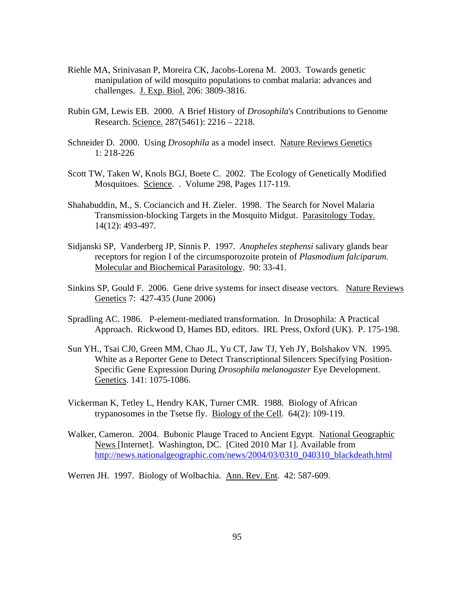- Riehle MA, Srinivasan P, Moreira CK, Jacobs-Lorena M. 2003. Towards genetic manipulation of wild mosquito populations to combat malaria: advances and challenges. J. Exp. Biol. 206: 3809-3816.
- Rubin GM, Lewis EB. 2000. A Brief History of *Drosophila*'s Contributions to Genome Research. Science. 287(5461): 2216 – 2218.
- Schneider D. 2000. Using *Drosophila* as a model insect. Nature Reviews Genetics 1: 218-226
- Scott TW, Taken W, Knols BGJ, Boete C. 2002. The Ecology of Genetically Modified Mosquitoes. Science. . Volume 298, Pages 117-119.
- Shahabuddin, M., S. Cociancich and H. Zieler. 1998. The Search for Novel Malaria Transmission-blocking Targets in the Mosquito Midgut. Parasitology Today. 14(12): 493-497.
- Sidjanski SP, Vanderberg JP, Sinnis P. 1997. *Anopheles stephensi* salivary glands bear receptors for region I of the circumsporozoite protein of *Plasmodium falciparum.*  Molecular and Biochemical Parasitology. 90: 33-41.
- Sinkins SP, Gould F. 2006. Gene drive systems for insect disease vectors. Nature Reviews Genetics 7: 427-435 (June 2006)
- Spradling AC. 1986. P-element-mediated transformation. In Drosophila: A Practical Approach. Rickwood D, Hames BD, editors. IRL Press, Oxford (UK). P. 175-198.
- Sun YH., Tsai CJ0, Green MM, Chao JL, Yu CT, Jaw TJ, Yeh JY, Bolshakov VN. 1995. White as a Reporter Gene to Detect Transcriptional Silencers Specifying Position-Specific Gene Expression During *Drosophila melanogaster* Eye Development. Genetics. 141: 1075-1086.
- Vickerman K, Tetley L, Hendry KAK, Turner CMR. 1988. Biology of African trypanosomes in the Tsetse fly. Biology of the Cell. 64(2): 109-119.
- Walker, Cameron. 2004. Bubonic Plauge Traced to Ancient Egypt. National Geographic News [Internet]. Washington, DC. [Cited 2010 Mar 1]. Available from http://news.nationalgeographic.com/news/2004/03/0310\_040310\_blackdeath.html
- Werren JH. 1997. Biology of Wolbachia. Ann. Rev. Ent. 42: 587-609.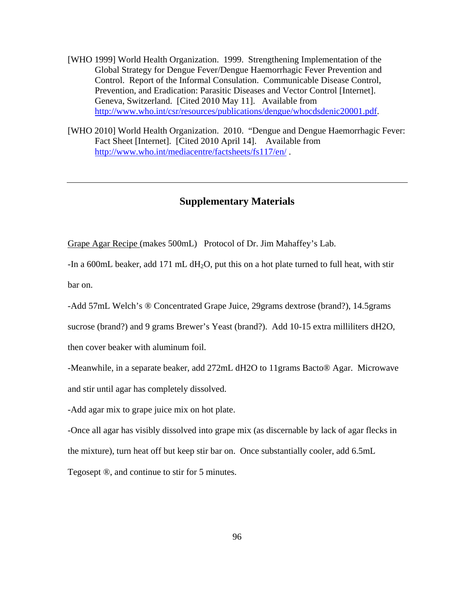- [WHO 1999] World Health Organization. 1999. Strengthening Implementation of the Global Strategy for Dengue Fever/Dengue Haemorrhagic Fever Prevention and Control. Report of the Informal Consulation. Communicable Disease Control, Prevention, and Eradication: Parasitic Diseases and Vector Control [Internet]. Geneva, Switzerland. [Cited 2010 May 11]. Available from http://www.who.int/csr/resources/publications/dengue/whocdsdenic20001.pdf.
- [WHO 2010] World Health Organization. 2010. "Dengue and Dengue Haemorrhagic Fever: Fact Sheet [Internet]. [Cited 2010 April 14]. Available from http://www.who.int/mediacentre/factsheets/fs117/en/ .

# **Supplementary Materials**

Grape Agar Recipe (makes 500mL) Protocol of Dr. Jim Mahaffey's Lab.

-In a 600mL beaker, add 171 mL  $dH_2O$ , put this on a hot plate turned to full heat, with stir bar on.

-Add 57mL Welch's ® Concentrated Grape Juice, 29grams dextrose (brand?), 14.5grams

sucrose (brand?) and 9 grams Brewer's Yeast (brand?). Add 10-15 extra milliliters dH2O,

then cover beaker with aluminum foil.

-Meanwhile, in a separate beaker, add 272mL dH2O to 11grams Bacto® Agar. Microwave and stir until agar has completely dissolved.

-Add agar mix to grape juice mix on hot plate.

-Once all agar has visibly dissolved into grape mix (as discernable by lack of agar flecks in the mixture), turn heat off but keep stir bar on. Once substantially cooler, add 6.5mL Tegosept ®, and continue to stir for 5 minutes.